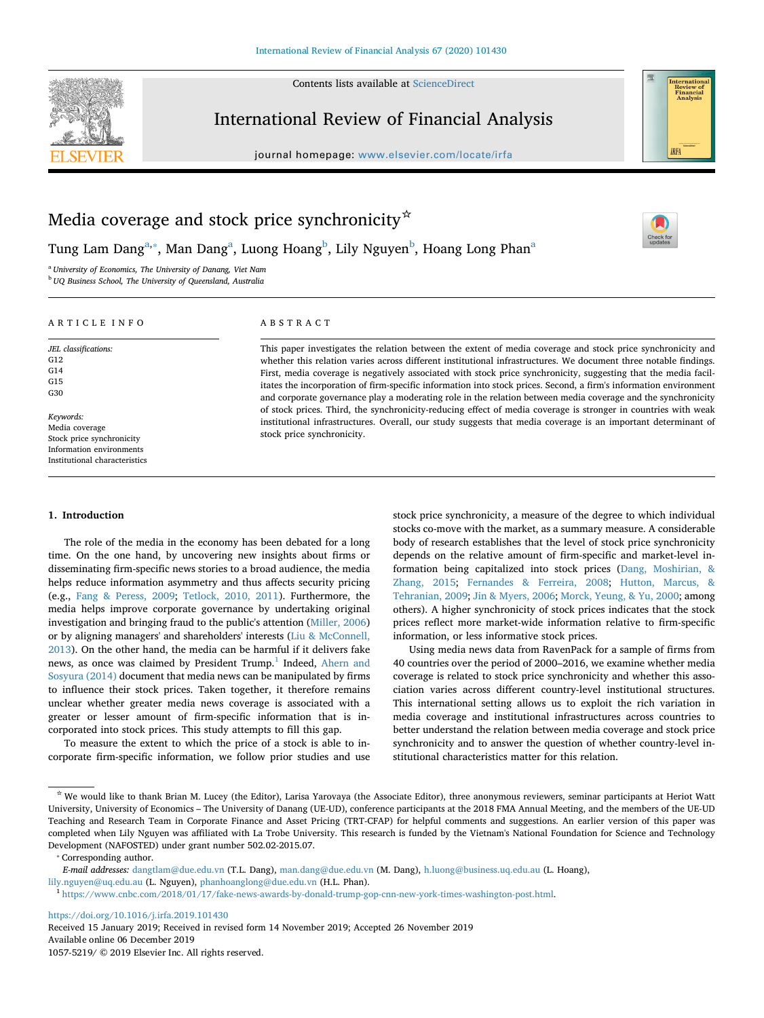Contents lists available at [ScienceDirect](http://www.sciencedirect.com/science/journal/10575219)



## International Review of Financial Analysis

journal homepage: [www.elsevier.com/locate/irfa](https://www.elsevier.com/locate/irfa)



 $\frac{N}{2}$ 

# Media coverage and stock price synchronicity  $\star$

Tung Lam Dang<sup>[a,](#page-0-0)</sup>\*, M[a](#page-0-0)n Dang<sup>a</sup>, Luong Hoang<sup>[b](#page-0-2)</sup>, Lily Nguyen<sup>b</sup>, Hoang Long Phan<sup>a</sup>

<span id="page-0-0"></span><sup>a</sup> *University of Economics, The University of Danang, Viet Nam*

<span id="page-0-2"></span><sup>b</sup> *UQ Business School, The University of Queensland, Australia*

## ARTICLE INFO

*JEL classifications:*

G12 G14 G15 G30

*Keywords:* Media coverage Stock price synchronicity Information environments Institutional characteristics

## ABSTRACT

This paper investigates the relation between the extent of media coverage and stock price synchronicity and whether this relation varies across different institutional infrastructures. We document three notable findings. First, media coverage is negatively associated with stock price synchronicity, suggesting that the media facilitates the incorporation of firm-specific information into stock prices. Second, a firm's information environment and corporate governance play a moderating role in the relation between media coverage and the synchronicity of stock prices. Third, the synchronicity-reducing effect of media coverage is stronger in countries with weak institutional infrastructures. Overall, our study suggests that media coverage is an important determinant of stock price synchronicity.

#### **1. Introduction**

The role of the media in the economy has been debated for a long time. On the one hand, by uncovering new insights about firms or disseminating firm-specific news stories to a broad audience, the media helps reduce information asymmetry and thus affects security pricing (e.g., [Fang & Peress, 2009](#page-16-0); [Tetlock, 2010, 2011](#page-17-0)). Furthermore, the media helps improve corporate governance by undertaking original investigation and bringing fraud to the public's attention [\(Miller, 2006\)](#page-17-1) or by aligning managers' and shareholders' interests ([Liu & McConnell,](#page-17-2) [2013\)](#page-17-2). On the other hand, the media can be harmful if it delivers fake news, as once was claimed by President Trump.<sup>[1](#page-0-3)</sup> Indeed, [Ahern and](#page-16-1) [Sosyura \(2014\)](#page-16-1) document that media news can be manipulated by firms to influence their stock prices. Taken together, it therefore remains unclear whether greater media news coverage is associated with a greater or lesser amount of firm-specific information that is incorporated into stock prices. This study attempts to fill this gap.

To measure the extent to which the price of a stock is able to incorporate firm-specific information, we follow prior studies and use stock price synchronicity, a measure of the degree to which individual stocks co-move with the market, as a summary measure. A considerable body of research establishes that the level of stock price synchronicity depends on the relative amount of firm-specific and market-level information being capitalized into stock prices [\(Dang, Moshirian, &](#page-16-2) [Zhang, 2015;](#page-16-2) [Fernandes & Ferreira, 2008;](#page-16-3) [Hutton, Marcus, &](#page-16-4) [Tehranian, 2009;](#page-16-4) [Jin & Myers, 2006;](#page-17-3) [Morck, Yeung, & Yu, 2000;](#page-17-4) among others). A higher synchronicity of stock prices indicates that the stock prices reflect more market-wide information relative to firm-specific information, or less informative stock prices.

Using media news data from RavenPack for a sample of firms from 40 countries over the period of 2000–2016, we examine whether media coverage is related to stock price synchronicity and whether this association varies across different country-level institutional structures. This international setting allows us to exploit the rich variation in media coverage and institutional infrastructures across countries to better understand the relation between media coverage and stock price synchronicity and to answer the question of whether country-level institutional characteristics matter for this relation.

<span id="page-0-1"></span>⁎ Corresponding author.

<https://doi.org/10.1016/j.irfa.2019.101430>

Received 15 January 2019; Received in revised form 14 November 2019; Accepted 26 November 2019 Available online 06 December 2019

1057-5219/ © 2019 Elsevier Inc. All rights reserved.

<sup>☆</sup> We would like to thank Brian M. Lucey (the Editor), Larisa Yarovaya (the Associate Editor), three anonymous reviewers, seminar participants at Heriot Watt University, University of Economics – The University of Danang (UE-UD), conference participants at the 2018 FMA Annual Meeting, and the members of the UE-UD Teaching and Research Team in Corporate Finance and Asset Pricing (TRT-CFAP) for helpful comments and suggestions. An earlier version of this paper was completed when Lily Nguyen was affiliated with La Trobe University. This research is funded by the Vietnam's National Foundation for Science and Technology Development (NAFOSTED) under grant number 502.02-2015.07.

*E-mail addresses:* [dangtlam@due.edu.vn](mailto:dangtlam@due.edu.vn) (T.L. Dang), [man.dang@due.edu.vn](mailto:man.dang@due.edu.vn) (M. Dang), [h.luong@business.uq.edu.au](mailto:h.luong@business.uq.edu.au) (L. Hoang), [lily.nguyen@uq.edu.au](mailto:lily.nguyen@uq.edu.au) (L. Nguyen), [phanhoanglong@due.edu.vn](mailto:phanhoanglong@due.edu.vn) (H.L. Phan).

<span id="page-0-3"></span><sup>1</sup> [https://www.cnbc.com/2018/01/17/fake-news-awards-by-donald-trump-gop-cnn-new-york-times-washington-post.html.](https://www.cnbc.com/2018/01/17/fake-news-awards-by-donald-trump-gop-cnn-new-york-times-washington-post.html)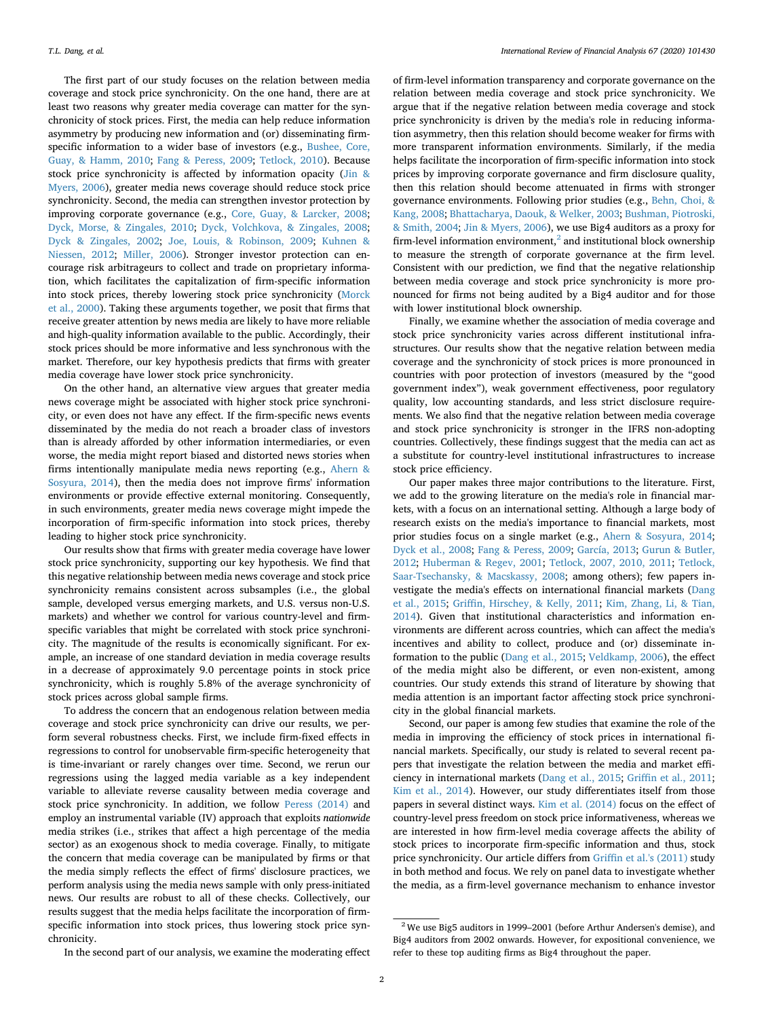The first part of our study focuses on the relation between media coverage and stock price synchronicity. On the one hand, there are at least two reasons why greater media coverage can matter for the synchronicity of stock prices. First, the media can help reduce information asymmetry by producing new information and (or) disseminating firmspecific information to a wider base of investors (e.g., [Bushee, Core,](#page-16-5) [Guay, & Hamm, 2010](#page-16-5); [Fang & Peress, 2009](#page-16-0); [Tetlock, 2010](#page-17-0)). Because stock price synchronicity is affected by information opacity [\(Jin &](#page-17-3) [Myers, 2006](#page-17-3)), greater media news coverage should reduce stock price synchronicity. Second, the media can strengthen investor protection by improving corporate governance (e.g., [Core, Guay, & Larcker, 2008](#page-16-6); [Dyck, Morse, & Zingales, 2010](#page-16-7); [Dyck, Volchkova, & Zingales, 2008](#page-16-8); [Dyck & Zingales, 2002](#page-16-9); [Joe, Louis, & Robinson, 2009](#page-17-5); [Kuhnen &](#page-17-6) [Niessen, 2012](#page-17-6); [Miller, 2006](#page-17-1)). Stronger investor protection can encourage risk arbitrageurs to collect and trade on proprietary information, which facilitates the capitalization of firm-specific information into stock prices, thereby lowering stock price synchronicity [\(Morck](#page-17-4) [et al., 2000\)](#page-17-4). Taking these arguments together, we posit that firms that receive greater attention by news media are likely to have more reliable and high-quality information available to the public. Accordingly, their stock prices should be more informative and less synchronous with the market. Therefore, our key hypothesis predicts that firms with greater media coverage have lower stock price synchronicity.

On the other hand, an alternative view argues that greater media news coverage might be associated with higher stock price synchronicity, or even does not have any effect. If the firm-specific news events disseminated by the media do not reach a broader class of investors than is already afforded by other information intermediaries, or even worse, the media might report biased and distorted news stories when firms intentionally manipulate media news reporting (e.g., [Ahern &](#page-16-1) [Sosyura, 2014\)](#page-16-1), then the media does not improve firms' information environments or provide effective external monitoring. Consequently, in such environments, greater media news coverage might impede the incorporation of firm-specific information into stock prices, thereby leading to higher stock price synchronicity.

Our results show that firms with greater media coverage have lower stock price synchronicity, supporting our key hypothesis. We find that this negative relationship between media news coverage and stock price synchronicity remains consistent across subsamples (i.e., the global sample, developed versus emerging markets, and U.S. versus non-U.S. markets) and whether we control for various country-level and firmspecific variables that might be correlated with stock price synchronicity. The magnitude of the results is economically significant. For example, an increase of one standard deviation in media coverage results in a decrease of approximately 9.0 percentage points in stock price synchronicity, which is roughly 5.8% of the average synchronicity of stock prices across global sample firms.

To address the concern that an endogenous relation between media coverage and stock price synchronicity can drive our results, we perform several robustness checks. First, we include firm-fixed effects in regressions to control for unobservable firm-specific heterogeneity that is time-invariant or rarely changes over time. Second, we rerun our regressions using the lagged media variable as a key independent variable to alleviate reverse causality between media coverage and stock price synchronicity. In addition, we follow [Peress \(2014\)](#page-17-7) and employ an instrumental variable (IV) approach that exploits *nationwide* media strikes (i.e., strikes that affect a high percentage of the media sector) as an exogenous shock to media coverage. Finally, to mitigate the concern that media coverage can be manipulated by firms or that the media simply reflects the effect of firms' disclosure practices, we perform analysis using the media news sample with only press-initiated news. Our results are robust to all of these checks. Collectively, our results suggest that the media helps facilitate the incorporation of firmspecific information into stock prices, thus lowering stock price synchronicity.

of firm-level information transparency and corporate governance on the relation between media coverage and stock price synchronicity. We argue that if the negative relation between media coverage and stock price synchronicity is driven by the media's role in reducing information asymmetry, then this relation should become weaker for firms with more transparent information environments. Similarly, if the media helps facilitate the incorporation of firm-specific information into stock prices by improving corporate governance and firm disclosure quality, then this relation should become attenuated in firms with stronger governance environments. Following prior studies (e.g., [Behn, Choi, &](#page-16-10) [Kang, 2008;](#page-16-10) [Bhattacharya, Daouk, & Welker, 2003](#page-16-11); [Bushman, Piotroski,](#page-16-12) [& Smith, 2004](#page-16-12); [Jin & Myers, 2006\)](#page-17-3), we use Big4 auditors as a proxy for firm-level information environment, $<sup>2</sup>$  $<sup>2</sup>$  $<sup>2</sup>$  and institutional block ownership</sup> to measure the strength of corporate governance at the firm level. Consistent with our prediction, we find that the negative relationship between media coverage and stock price synchronicity is more pronounced for firms not being audited by a Big4 auditor and for those with lower institutional block ownership.

Finally, we examine whether the association of media coverage and stock price synchronicity varies across different institutional infrastructures. Our results show that the negative relation between media coverage and the synchronicity of stock prices is more pronounced in countries with poor protection of investors (measured by the "good government index"), weak government effectiveness, poor regulatory quality, low accounting standards, and less strict disclosure requirements. We also find that the negative relation between media coverage and stock price synchronicity is stronger in the IFRS non-adopting countries. Collectively, these findings suggest that the media can act as a substitute for country-level institutional infrastructures to increase stock price efficiency.

Our paper makes three major contributions to the literature. First, we add to the growing literature on the media's role in financial markets, with a focus on an international setting. Although a large body of research exists on the media's importance to financial markets, most prior studies focus on a single market (e.g., [Ahern & Sosyura, 2014](#page-16-1); [Dyck et al., 2008;](#page-16-8) [Fang & Peress, 2009](#page-16-0); [García, 2013;](#page-16-13) [Gurun & Butler,](#page-16-14) [2012;](#page-16-14) [Huberman & Regev, 2001](#page-16-15); [Tetlock, 2007, 2010, 2011](#page-17-8); [Tetlock,](#page-17-9) [Saar-Tsechansky, & Macskassy, 2008;](#page-17-9) among others); few papers investigate the media's effects on international financial markets [\(Dang](#page-16-2) [et al., 2015;](#page-16-2) [Griffin, Hirschey, & Kelly, 2011](#page-16-16); [Kim, Zhang, Li, & Tian,](#page-17-10) [2014\)](#page-17-10). Given that institutional characteristics and information environments are different across countries, which can affect the media's incentives and ability to collect, produce and (or) disseminate information to the public ([Dang et al., 2015;](#page-16-2) [Veldkamp, 2006](#page-17-11)), the effect of the media might also be different, or even non-existent, among countries. Our study extends this strand of literature by showing that media attention is an important factor affecting stock price synchronicity in the global financial markets.

Second, our paper is among few studies that examine the role of the media in improving the efficiency of stock prices in international financial markets. Specifically, our study is related to several recent papers that investigate the relation between the media and market efficiency in international markets ([Dang et al., 2015](#page-16-2); [Griffin et al., 2011](#page-16-16); [Kim et al., 2014\)](#page-17-10). However, our study differentiates itself from those papers in several distinct ways. [Kim et al. \(2014\)](#page-17-10) focus on the effect of country-level press freedom on stock price informativeness, whereas we are interested in how firm-level media coverage affects the ability of stock prices to incorporate firm-specific information and thus, stock price synchronicity. Our article differs from [Griffin et al.'s \(2011\)](#page-16-16) study in both method and focus. We rely on panel data to investigate whether the media, as a firm-level governance mechanism to enhance investor

<span id="page-1-0"></span> $2$  We use Big5 auditors in 1999–2001 (before Arthur Andersen's demise), and Big4 auditors from 2002 onwards. However, for expositional convenience, we refer to these top auditing firms as Big4 throughout the paper.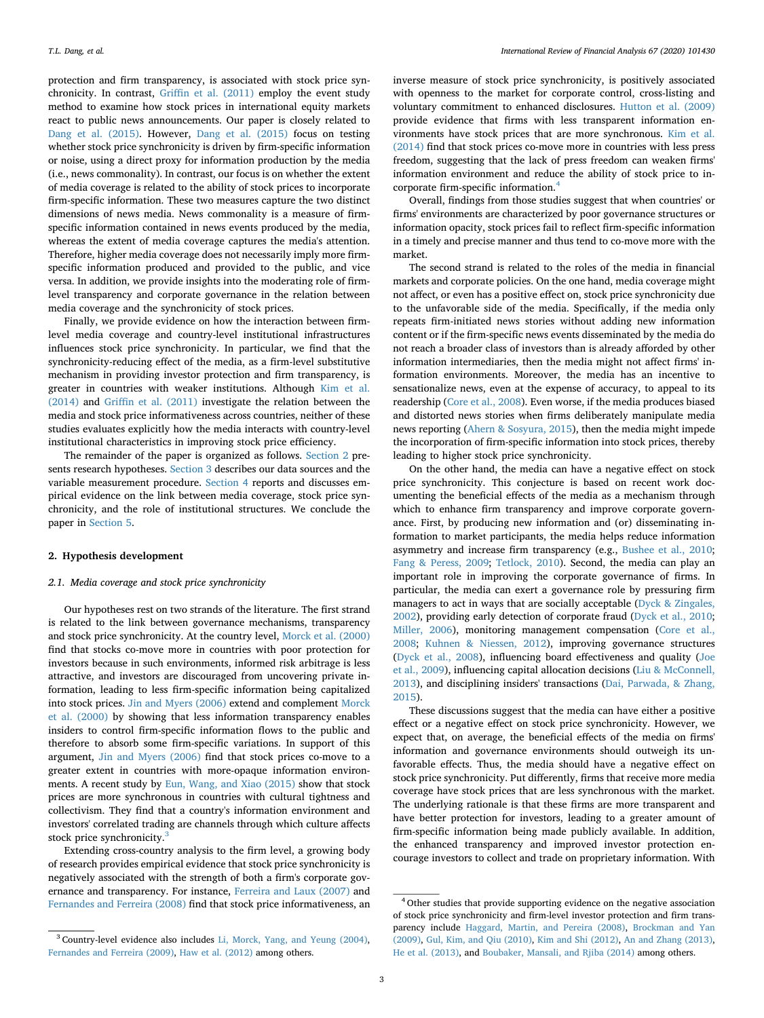protection and firm transparency, is associated with stock price synchronicity. In contrast, [Griffin et al. \(2011\)](#page-16-16) employ the event study method to examine how stock prices in international equity markets react to public news announcements. Our paper is closely related to [Dang et al. \(2015\).](#page-16-2) However, [Dang et al. \(2015\)](#page-16-2) focus on testing whether stock price synchronicity is driven by firm-specific information or noise, using a direct proxy for information production by the media (i.e., news commonality). In contrast, our focus is on whether the extent of media coverage is related to the ability of stock prices to incorporate firm-specific information. These two measures capture the two distinct dimensions of news media. News commonality is a measure of firmspecific information contained in news events produced by the media, whereas the extent of media coverage captures the media's attention. Therefore, higher media coverage does not necessarily imply more firmspecific information produced and provided to the public, and vice versa. In addition, we provide insights into the moderating role of firmlevel transparency and corporate governance in the relation between media coverage and the synchronicity of stock prices.

Finally, we provide evidence on how the interaction between firmlevel media coverage and country-level institutional infrastructures influences stock price synchronicity. In particular, we find that the synchronicity-reducing effect of the media, as a firm-level substitutive mechanism in providing investor protection and firm transparency, is greater in countries with weaker institutions. Although [Kim et al.](#page-17-10) [\(2014\)](#page-17-10) and [Griffin et al. \(2011\)](#page-16-16) investigate the relation between the media and stock price informativeness across countries, neither of these studies evaluates explicitly how the media interacts with country-level institutional characteristics in improving stock price efficiency.

The remainder of the paper is organized as follows. [Section 2](#page-2-0) presents research hypotheses. [Section 3](#page-3-0) describes our data sources and the variable measurement procedure. [Section 4](#page-6-0) reports and discusses empirical evidence on the link between media coverage, stock price synchronicity, and the role of institutional structures. We conclude the paper in [Section 5.](#page-13-0)

## <span id="page-2-0"></span>**2. Hypothesis development**

## *2.1. Media coverage and stock price synchronicity*

Our hypotheses rest on two strands of the literature. The first strand is related to the link between governance mechanisms, transparency and stock price synchronicity. At the country level, [Morck et al. \(2000\)](#page-17-4) find that stocks co-move more in countries with poor protection for investors because in such environments, informed risk arbitrage is less attractive, and investors are discouraged from uncovering private information, leading to less firm-specific information being capitalized into stock prices. [Jin and Myers \(2006\)](#page-17-3) extend and complement [Morck](#page-17-4) [et al. \(2000\)](#page-17-4) by showing that less information transparency enables insiders to control firm-specific information flows to the public and therefore to absorb some firm-specific variations. In support of this argument, [Jin and Myers \(2006\)](#page-17-3) find that stock prices co-move to a greater extent in countries with more-opaque information environments. A recent study by [Eun, Wang, and Xiao \(2015\)](#page-16-17) show that stock prices are more synchronous in countries with cultural tightness and collectivism. They find that a country's information environment and investors' correlated trading are channels through which culture affects stock price synchronicity.<sup>[3](#page-2-1)</sup>

Extending cross-country analysis to the firm level, a growing body of research provides empirical evidence that stock price synchronicity is negatively associated with the strength of both a firm's corporate governance and transparency. For instance, [Ferreira and Laux \(2007\)](#page-16-18) and [Fernandes and Ferreira \(2008\)](#page-16-3) find that stock price informativeness, an inverse measure of stock price synchronicity, is positively associated with openness to the market for corporate control, cross-listing and voluntary commitment to enhanced disclosures. [Hutton et al. \(2009\)](#page-16-4) provide evidence that firms with less transparent information environments have stock prices that are more synchronous. [Kim et al.](#page-17-10) [\(2014\)](#page-17-10) find that stock prices co-move more in countries with less press freedom, suggesting that the lack of press freedom can weaken firms' information environment and reduce the ability of stock price to incorporate firm-specific information.[4](#page-2-2)

Overall, findings from those studies suggest that when countries' or firms' environments are characterized by poor governance structures or information opacity, stock prices fail to reflect firm-specific information in a timely and precise manner and thus tend to co-move more with the market.

The second strand is related to the roles of the media in financial markets and corporate policies. On the one hand, media coverage might not affect, or even has a positive effect on, stock price synchronicity due to the unfavorable side of the media. Specifically, if the media only repeats firm-initiated news stories without adding new information content or if the firm-specific news events disseminated by the media do not reach a broader class of investors than is already afforded by other information intermediaries, then the media might not affect firms' information environments. Moreover, the media has an incentive to sensationalize news, even at the expense of accuracy, to appeal to its readership ([Core et al., 2008](#page-16-6)). Even worse, if the media produces biased and distorted news stories when firms deliberately manipulate media news reporting ([Ahern & Sosyura, 2015](#page-16-19)), then the media might impede the incorporation of firm-specific information into stock prices, thereby leading to higher stock price synchronicity.

On the other hand, the media can have a negative effect on stock price synchronicity. This conjecture is based on recent work documenting the beneficial effects of the media as a mechanism through which to enhance firm transparency and improve corporate governance. First, by producing new information and (or) disseminating information to market participants, the media helps reduce information asymmetry and increase firm transparency (e.g., [Bushee et al., 2010](#page-16-5); [Fang & Peress, 2009](#page-16-0); [Tetlock, 2010](#page-17-0)). Second, the media can play an important role in improving the corporate governance of firms. In particular, the media can exert a governance role by pressuring firm managers to act in ways that are socially acceptable ([Dyck & Zingales,](#page-16-9) [2002\)](#page-16-9), providing early detection of corporate fraud ([Dyck et al., 2010](#page-16-7); [Miller, 2006\)](#page-17-1), monitoring management compensation [\(Core et al.,](#page-16-6) [2008;](#page-16-6) [Kuhnen & Niessen, 2012](#page-17-6)), improving governance structures ([Dyck et al., 2008](#page-16-8)), influencing board effectiveness and quality ([Joe](#page-17-5) [et al., 2009\)](#page-17-5), influencing capital allocation decisions [\(Liu & McConnell,](#page-17-2) [2013\)](#page-17-2), and disciplining insiders' transactions [\(Dai, Parwada, & Zhang,](#page-16-20) [2015\)](#page-16-20).

These discussions suggest that the media can have either a positive effect or a negative effect on stock price synchronicity. However, we expect that, on average, the beneficial effects of the media on firms' information and governance environments should outweigh its unfavorable effects. Thus, the media should have a negative effect on stock price synchronicity. Put differently, firms that receive more media coverage have stock prices that are less synchronous with the market. The underlying rationale is that these firms are more transparent and have better protection for investors, leading to a greater amount of firm-specific information being made publicly available. In addition, the enhanced transparency and improved investor protection encourage investors to collect and trade on proprietary information. With

<span id="page-2-1"></span><sup>3</sup> Country-level evidence also includes [Li, Morck, Yang, and Yeung \(2004\),](#page-17-12) [Fernandes and Ferreira \(2009\),](#page-16-21) [Haw et al. \(2012\)](#page-16-22) among others.

<span id="page-2-2"></span><sup>&</sup>lt;sup>4</sup> Other studies that provide supporting evidence on the negative association of stock price synchronicity and firm-level investor protection and firm transparency include [Haggard, Martin, and Pereira \(2008\),](#page-16-23) [Brockman and Yan](#page-16-24) [\(2009\)](#page-16-24), [Gul, Kim, and Qiu \(2010\),](#page-16-25) [Kim and Shi \(2012\)](#page-17-13), [An and Zhang \(2013\),](#page-16-26) [He et al. \(2013\),](#page-16-27) and [Boubaker, Mansali, and Rjiba \(2014\)](#page-16-28) among others.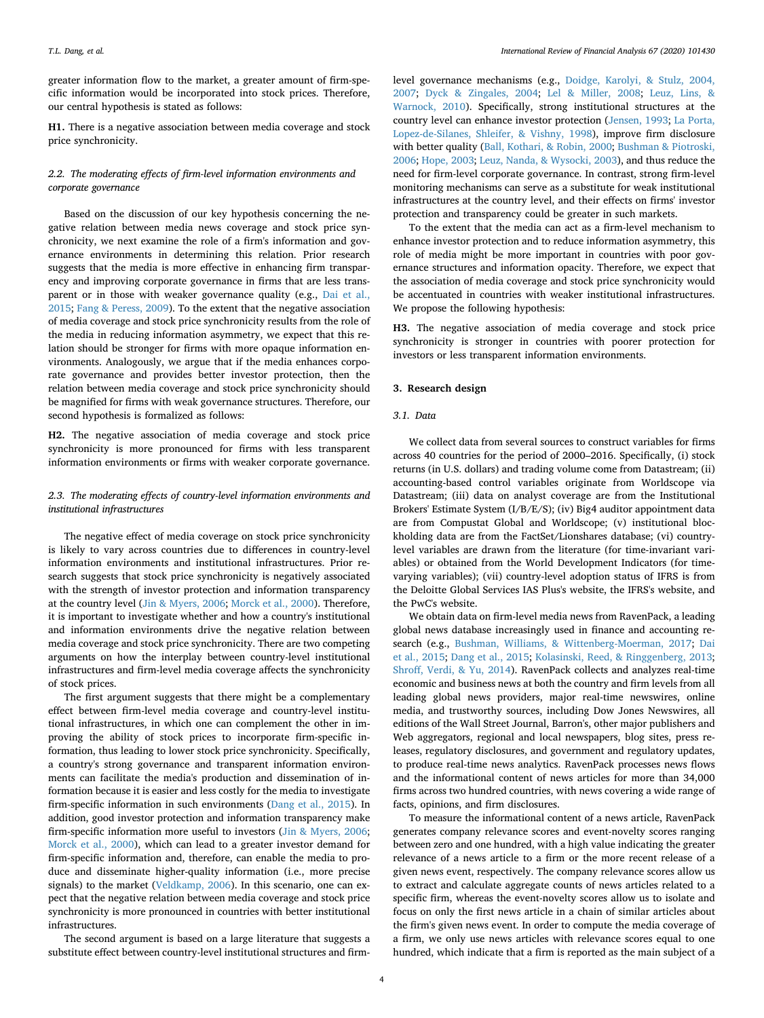greater information flow to the market, a greater amount of firm-specific information would be incorporated into stock prices. Therefore, our central hypothesis is stated as follows:

**H1.** There is a negative association between media coverage and stock price synchronicity.

## *2.2. The moderating effects of firm-level information environments and corporate governance*

Based on the discussion of our key hypothesis concerning the negative relation between media news coverage and stock price synchronicity, we next examine the role of a firm's information and governance environments in determining this relation. Prior research suggests that the media is more effective in enhancing firm transparency and improving corporate governance in firms that are less trans-parent or in those with weaker governance quality (e.g., [Dai et al.,](#page-16-20) [2015;](#page-16-20) [Fang & Peress, 2009\)](#page-16-0). To the extent that the negative association of media coverage and stock price synchronicity results from the role of the media in reducing information asymmetry, we expect that this relation should be stronger for firms with more opaque information environments. Analogously, we argue that if the media enhances corporate governance and provides better investor protection, then the relation between media coverage and stock price synchronicity should be magnified for firms with weak governance structures. Therefore, our second hypothesis is formalized as follows:

**H2.** The negative association of media coverage and stock price synchronicity is more pronounced for firms with less transparent information environments or firms with weaker corporate governance.

## *2.3. The moderating effects of country-level information environments and institutional infrastructures*

The negative effect of media coverage on stock price synchronicity is likely to vary across countries due to differences in country-level information environments and institutional infrastructures. Prior research suggests that stock price synchronicity is negatively associated with the strength of investor protection and information transparency at the country level [\(Jin & Myers, 2006;](#page-17-3) [Morck et al., 2000\)](#page-17-4). Therefore, it is important to investigate whether and how a country's institutional and information environments drive the negative relation between media coverage and stock price synchronicity. There are two competing arguments on how the interplay between country-level institutional infrastructures and firm-level media coverage affects the synchronicity of stock prices.

The first argument suggests that there might be a complementary effect between firm-level media coverage and country-level institutional infrastructures, in which one can complement the other in improving the ability of stock prices to incorporate firm-specific information, thus leading to lower stock price synchronicity. Specifically, a country's strong governance and transparent information environments can facilitate the media's production and dissemination of information because it is easier and less costly for the media to investigate firm-specific information in such environments [\(Dang et al., 2015](#page-16-2)). In addition, good investor protection and information transparency make firm-specific information more useful to investors [\(Jin & Myers, 2006](#page-17-3); [Morck et al., 2000\)](#page-17-4), which can lead to a greater investor demand for firm-specific information and, therefore, can enable the media to produce and disseminate higher-quality information (i.e., more precise signals) to the market [\(Veldkamp, 2006\)](#page-17-11). In this scenario, one can expect that the negative relation between media coverage and stock price synchronicity is more pronounced in countries with better institutional infrastructures.

The second argument is based on a large literature that suggests a substitute effect between country-level institutional structures and firmlevel governance mechanisms (e.g., [Doidge, Karolyi, & Stulz, 2004,](#page-16-29) [2007;](#page-16-29) [Dyck & Zingales, 2004;](#page-16-30) [Lel & Miller, 2008;](#page-17-14) [Leuz, Lins, &](#page-17-15) [Warnock, 2010](#page-17-15)). Specifically, strong institutional structures at the country level can enhance investor protection ([Jensen, 1993](#page-17-16); [La Porta,](#page-17-17) [Lopez-de-Silanes, Shleifer, & Vishny, 1998\)](#page-17-17), improve firm disclosure with better quality ([Ball, Kothari, & Robin, 2000](#page-16-31); [Bushman & Piotroski,](#page-16-32) [2006;](#page-16-32) [Hope, 2003;](#page-16-33) [Leuz, Nanda, & Wysocki, 2003](#page-17-18)), and thus reduce the need for firm-level corporate governance. In contrast, strong firm-level monitoring mechanisms can serve as a substitute for weak institutional infrastructures at the country level, and their effects on firms' investor protection and transparency could be greater in such markets.

To the extent that the media can act as a firm-level mechanism to enhance investor protection and to reduce information asymmetry, this role of media might be more important in countries with poor governance structures and information opacity. Therefore, we expect that the association of media coverage and stock price synchronicity would be accentuated in countries with weaker institutional infrastructures. We propose the following hypothesis:

**H3.** The negative association of media coverage and stock price synchronicity is stronger in countries with poorer protection for investors or less transparent information environments.

#### <span id="page-3-0"></span>**3. Research design**

#### *3.1. Data*

We collect data from several sources to construct variables for firms across 40 countries for the period of 2000–2016. Specifically, (i) stock returns (in U.S. dollars) and trading volume come from Datastream; (ii) accounting-based control variables originate from Worldscope via Datastream; (iii) data on analyst coverage are from the Institutional Brokers' Estimate System (I/B/E/S); (iv) Big4 auditor appointment data are from Compustat Global and Worldscope; (v) institutional blockholding data are from the FactSet/Lionshares database; (vi) countrylevel variables are drawn from the literature (for time-invariant variables) or obtained from the World Development Indicators (for timevarying variables); (vii) country-level adoption status of IFRS is from the Deloitte Global Services IAS Plus's website, the IFRS's website, and the PwC's website.

We obtain data on firm-level media news from RavenPack, a leading global news database increasingly used in finance and accounting research (e.g., [Bushman, Williams, & Wittenberg-Moerman, 2017](#page-16-34); [Dai](#page-16-20) [et al., 2015;](#page-16-20) [Dang et al., 2015;](#page-16-2) [Kolasinski, Reed, & Ringgenberg, 2013](#page-17-19); [Shroff, Verdi, & Yu, 2014](#page-17-20)). RavenPack collects and analyzes real-time economic and business news at both the country and firm levels from all leading global news providers, major real-time newswires, online media, and trustworthy sources, including Dow Jones Newswires, all editions of the Wall Street Journal, Barron's, other major publishers and Web aggregators, regional and local newspapers, blog sites, press releases, regulatory disclosures, and government and regulatory updates, to produce real-time news analytics. RavenPack processes news flows and the informational content of news articles for more than 34,000 firms across two hundred countries, with news covering a wide range of facts, opinions, and firm disclosures.

To measure the informational content of a news article, RavenPack generates company relevance scores and event-novelty scores ranging between zero and one hundred, with a high value indicating the greater relevance of a news article to a firm or the more recent release of a given news event, respectively. The company relevance scores allow us to extract and calculate aggregate counts of news articles related to a specific firm, whereas the event-novelty scores allow us to isolate and focus on only the first news article in a chain of similar articles about the firm's given news event. In order to compute the media coverage of a firm, we only use news articles with relevance scores equal to one hundred, which indicate that a firm is reported as the main subject of a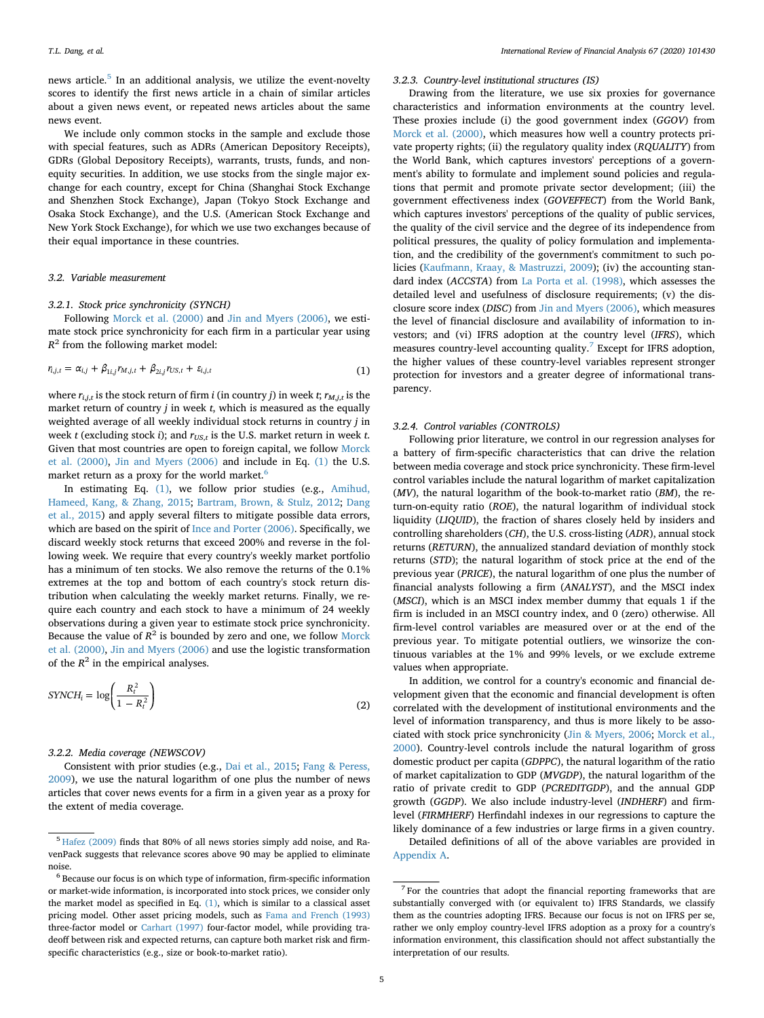news article.<sup>[5](#page-4-0)</sup> In an additional analysis, we utilize the event-novelty scores to identify the first news article in a chain of similar articles about a given news event, or repeated news articles about the same news event.

We include only common stocks in the sample and exclude those with special features, such as ADRs (American Depository Receipts), GDRs (Global Depository Receipts), warrants, trusts, funds, and nonequity securities. In addition, we use stocks from the single major exchange for each country, except for China (Shanghai Stock Exchange and Shenzhen Stock Exchange), Japan (Tokyo Stock Exchange and Osaka Stock Exchange), and the U.S. (American Stock Exchange and New York Stock Exchange), for which we use two exchanges because of their equal importance in these countries.

#### *3.2. Variable measurement*

#### *3.2.1. Stock price synchronicity (SYNCH)*

<span id="page-4-1"></span>Following [Morck et al. \(2000\)](#page-17-4) and [Jin and Myers \(2006\),](#page-17-3) we estimate stock price synchronicity for each firm in a particular year using  $R<sup>2</sup>$  from the following market model:

$$
r_{i,j,t} = \alpha_{i,j} + \beta_{1i,j} r_{M,j,t} + \beta_{2i,j} r_{US,t} + \varepsilon_{i,j,t}
$$
\n
$$
\tag{1}
$$

where  $r_{i,j,t}$  is the stock return of firm *i* (in country *j*) in week *t*;  $r_{M,j,t}$  is the market return of country *j* in week *t*, which is measured as the equally weighted average of all weekly individual stock returns in country *j* in week *t* (excluding stock *i*); and  $r_{US,t}$  is the U.S. market return in week *t*. Given that most countries are open to foreign capital, we follow [Morck](#page-17-4) [et al. \(2000\)](#page-17-4), [Jin and Myers \(2006\)](#page-17-3) and include in Eq. [\(1\)](#page-4-1) the U.S. market return as a proxy for the world market.<sup>[6](#page-4-2)</sup>

In estimating Eq. [\(1\),](#page-4-1) we follow prior studies (e.g., [Amihud,](#page-16-35) [Hameed, Kang, & Zhang, 2015;](#page-16-35) [Bartram, Brown, & Stulz, 2012](#page-16-36); [Dang](#page-16-2) [et al., 2015\)](#page-16-2) and apply several filters to mitigate possible data errors, which are based on the spirit of [Ince and Porter \(2006\).](#page-16-37) Specifically, we discard weekly stock returns that exceed 200% and reverse in the following week. We require that every country's weekly market portfolio has a minimum of ten stocks. We also remove the returns of the 0.1% extremes at the top and bottom of each country's stock return distribution when calculating the weekly market returns. Finally, we require each country and each stock to have a minimum of 24 weekly observations during a given year to estimate stock price synchronicity. Because the value of  $R^2$  is bounded by zero and one, we follow [Morck](#page-17-4) [et al. \(2000\),](#page-17-4) [Jin and Myers \(2006\)](#page-17-3) and use the logistic transformation of the  $R^2$  in the empirical analyses.

$$
SYNCH_i = \log\left(\frac{R_t^2}{1 - R_t^2}\right) \tag{2}
$$

#### *3.2.2. Media coverage (NEWSCOV)*

Consistent with prior studies (e.g., [Dai et al., 2015](#page-16-20); [Fang & Peress,](#page-16-0) [2009\)](#page-16-0), we use the natural logarithm of one plus the number of news articles that cover news events for a firm in a given year as a proxy for the extent of media coverage.

#### *3.2.3. Country-level institutional structures (IS)*

Drawing from the literature, we use six proxies for governance characteristics and information environments at the country level. These proxies include (i) the good government index (*GGOV*) from [Morck et al. \(2000\),](#page-17-4) which measures how well a country protects private property rights; (ii) the regulatory quality index (*RQUALITY*) from the World Bank, which captures investors' perceptions of a government's ability to formulate and implement sound policies and regulations that permit and promote private sector development; (iii) the government effectiveness index (*GOVEFFECT*) from the World Bank, which captures investors' perceptions of the quality of public services, the quality of the civil service and the degree of its independence from political pressures, the quality of policy formulation and implementation, and the credibility of the government's commitment to such policies [\(Kaufmann, Kraay, & Mastruzzi, 2009](#page-17-21)); (iv) the accounting standard index (*ACCSTA*) from [La Porta et al. \(1998\),](#page-17-17) which assesses the detailed level and usefulness of disclosure requirements; (v) the disclosure score index (*DISC*) from [Jin and Myers \(2006\),](#page-17-3) which measures the level of financial disclosure and availability of information to investors; and (vi) IFRS adoption at the country level (*IFRS*), which measures country-level accounting quality.<sup>[7](#page-4-3)</sup> Except for IFRS adoption, the higher values of these country-level variables represent stronger protection for investors and a greater degree of informational transparency.

#### <span id="page-4-4"></span>*3.2.4. Control variables (CONTROLS)*

Following prior literature, we control in our regression analyses for a battery of firm-specific characteristics that can drive the relation between media coverage and stock price synchronicity. These firm-level control variables include the natural logarithm of market capitalization (*MV*), the natural logarithm of the book-to-market ratio (*BM*), the return-on-equity ratio (*ROE*), the natural logarithm of individual stock liquidity (*LIQUID*), the fraction of shares closely held by insiders and controlling shareholders (*CH*), the U.S. cross-listing (*ADR*), annual stock returns (*RETURN*), the annualized standard deviation of monthly stock returns (*STD*); the natural logarithm of stock price at the end of the previous year (*PRICE*), the natural logarithm of one plus the number of financial analysts following a firm (*ANALYST*), and the MSCI index (*MSCI*), which is an MSCI index member dummy that equals 1 if the firm is included in an MSCI country index, and 0 (zero) otherwise. All firm-level control variables are measured over or at the end of the previous year. To mitigate potential outliers, we winsorize the continuous variables at the 1% and 99% levels, or we exclude extreme values when appropriate.

In addition, we control for a country's economic and financial development given that the economic and financial development is often correlated with the development of institutional environments and the level of information transparency, and thus is more likely to be associated with stock price synchronicity ([Jin & Myers, 2006](#page-17-3); [Morck et al.,](#page-17-4) [2000\)](#page-17-4). Country-level controls include the natural logarithm of gross domestic product per capita (*GDPPC*), the natural logarithm of the ratio of market capitalization to GDP (*MVGDP*), the natural logarithm of the ratio of private credit to GDP (*PCREDITGDP*), and the annual GDP growth (*GGDP*). We also include industry-level (*INDHERF*) and firmlevel (*FIRMHERF*) Herfindahl indexes in our regressions to capture the likely dominance of a few industries or large firms in a given country.

Detailed definitions of all of the above variables are provided in [Appendix A](#page-14-0).

<span id="page-4-0"></span><sup>5</sup> [Hafez \(2009\)](#page-16-38) finds that 80% of all news stories simply add noise, and RavenPack suggests that relevance scores above 90 may be applied to eliminate noise.

<span id="page-4-2"></span><sup>6</sup> Because our focus is on which type of information, firm-specific information or market-wide information, is incorporated into stock prices, we consider only the market model as specified in Eq. [\(1\)](#page-4-1), which is similar to a classical asset pricing model. Other asset pricing models, such as [Fama and French \(1993\)](#page-16-39) three-factor model or [Carhart \(1997\)](#page-16-40) four-factor model, while providing tradeoff between risk and expected returns, can capture both market risk and firmspecific characteristics (e.g., size or book-to-market ratio).

<span id="page-4-3"></span><sup>7</sup> For the countries that adopt the financial reporting frameworks that are substantially converged with (or equivalent to) IFRS Standards, we classify them as the countries adopting IFRS. Because our focus is not on IFRS per se, rather we only employ country-level IFRS adoption as a proxy for a country's information environment, this classification should not affect substantially the interpretation of our results.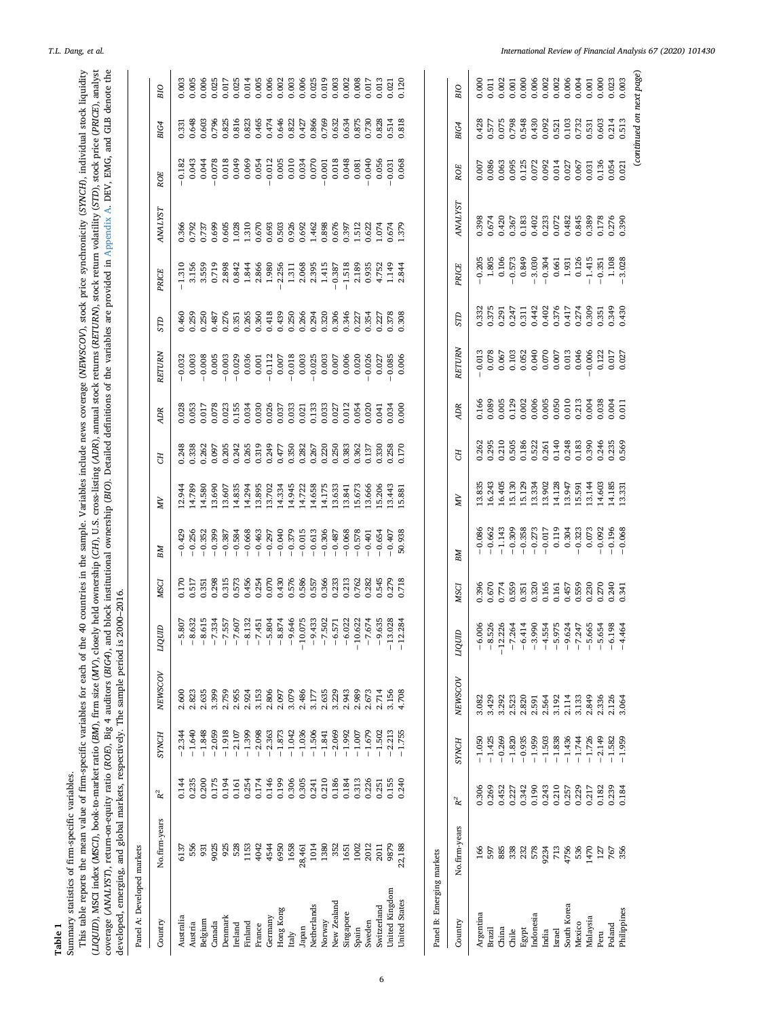<span id="page-5-0"></span>(LIQUID), NSCI index (MSCI), book-to-market ratio (BM), firm size (MV), closely held ownership (CFI), U.S. cross-listing (ADR), amual stock returns (RETURN), stock return volatility (STD), stock price (PRICE), analyst<br>cove This table reports the mean value of firm-specific variables for each of the 40 countries in the sample. Variables include news coverage (NEWSCOV), stock price synchronicity (SYNCH), individual stock liquidity This table reports the mean value of firm-specific variables for each of the 40 countries in the sample. Variables include news coverage (*NEWSCOV*), stock price synchronicity (*SYNCH*), individual stock liquidity (LIQUID), MSCI index (MSCI), book-to-market ratio (BM), firm size (MV), closely held ownership (CH), U.S. cross-listing (ADR), annual stock returns (RETURN), stock return volatility (STD), stock price (PRICE), analyst coverage (ANALYST), return-on-equity ratio (ROE), Big 4 auditors (BIG4), and block institutional ownership (BIO). Detailed definitions of the variables are provided in [Appendix](#page-14-0) A. DEV, EMG, and GLB denote the Summary statistics of firm-specific variables. Summary statistics of firm-specific variables.

developed, emerging, and global markets, respectively. The sample period is 2000–2016.

| Panel A: Developed markets |                   |                                                                                                                                 |                                                                                                      |                         |                                               |                                           |                                                                                                                                                                                                                                                                                                                                                                                |                                                                      |                         |                                                                 |                                                                                                                                                                                                                                                                                             |                         |                                                                                                                                                                                                                                                                                                                     |                                          |                                          |                      |                                          |
|----------------------------|-------------------|---------------------------------------------------------------------------------------------------------------------------------|------------------------------------------------------------------------------------------------------|-------------------------|-----------------------------------------------|-------------------------------------------|--------------------------------------------------------------------------------------------------------------------------------------------------------------------------------------------------------------------------------------------------------------------------------------------------------------------------------------------------------------------------------|----------------------------------------------------------------------|-------------------------|-----------------------------------------------------------------|---------------------------------------------------------------------------------------------------------------------------------------------------------------------------------------------------------------------------------------------------------------------------------------------|-------------------------|---------------------------------------------------------------------------------------------------------------------------------------------------------------------------------------------------------------------------------------------------------------------------------------------------------------------|------------------------------------------|------------------------------------------|----------------------|------------------------------------------|
| Country                    | No.firm-years     | $\mathbf{R}^2$                                                                                                                  | SYNCH                                                                                                | <b>NEWSCOV</b>          | undri                                         | <b>MSCI</b>                               | BМ                                                                                                                                                                                                                                                                                                                                                                             | NΝ                                                                   | E                       | <b>ADR</b>                                                      | <b>RETURN</b>                                                                                                                                                                                                                                                                               | <b>GLS</b>              | PRICE                                                                                                                                                                                                                                                                                                               | <b>ANALYST</b>                           | ROE                                      | BIG4                 | BIO                                      |
| Australia                  | 6137              | 0.144                                                                                                                           | $-2.344$                                                                                             | 2.600                   | $-5.807$                                      | 0.170                                     |                                                                                                                                                                                                                                                                                                                                                                                | 12.944                                                               |                         | 0.028                                                           |                                                                                                                                                                                                                                                                                             | 3.460                   |                                                                                                                                                                                                                                                                                                                     | 0.366                                    |                                          | 0.33                 | 0.003                                    |
| Austria                    | 556               | 0.235                                                                                                                           | $-1.640$                                                                                             | 2.823                   | 8.632                                         | 0.517                                     | $-0.429$<br>$-0.256$                                                                                                                                                                                                                                                                                                                                                           | 14.789                                                               | 0.248<br>0.338          | 0.053                                                           | $-0.032$<br>$0.003$<br>$-0.008$                                                                                                                                                                                                                                                             | 0.259                   |                                                                                                                                                                                                                                                                                                                     | 0.792<br>3737                            | $-0.182$<br>0.043<br>0.044               | 3.648                |                                          |
| Belgium                    | 931               | 0.200                                                                                                                           | $-1.848$                                                                                             | 2.635                   |                                               | 0.351                                     | $-0.352$                                                                                                                                                                                                                                                                                                                                                                       | 14.580                                                               | 0.262                   | 0.017                                                           |                                                                                                                                                                                                                                                                                             | 0.250                   |                                                                                                                                                                                                                                                                                                                     |                                          |                                          | 0.603                |                                          |
| Canada                     | 9025              | 0.175                                                                                                                           | $-2.059$                                                                                             | 3.399                   |                                               | 0.298                                     | $-0.399$                                                                                                                                                                                                                                                                                                                                                                       | 13.690                                                               | 0.097                   | 0.078                                                           | 0.005                                                                                                                                                                                                                                                                                       | 0.487                   |                                                                                                                                                                                                                                                                                                                     | 0.699                                    | $-0.078$                                 | 0.796                |                                          |
| Denmark                    | 925               | 0.194                                                                                                                           | $-1.918$                                                                                             | 2.759                   |                                               |                                           |                                                                                                                                                                                                                                                                                                                                                                                | 13.607                                                               |                         |                                                                 |                                                                                                                                                                                                                                                                                             |                         |                                                                                                                                                                                                                                                                                                                     |                                          |                                          |                      |                                          |
| Ireland                    | 528               |                                                                                                                                 | $\begin{array}{r} -2.107 \\ -1.399 \\ -2.098 \\ -2.363 \\ -1.873 \\ -1.042 \\ -1.042 \\ \end{array}$ | 2.955                   |                                               | 0.315<br>0.573<br>0.454<br>0.676<br>0.576 | $\begin{array}{l} k\hskip -1pt 0\hskip -1pt 0\hskip -1pt 0\hskip -1pt 0\hskip -1pt 0\hskip -1pt 0\hskip -1pt 0\hskip -1pt 0\hskip -1pt 0\hskip -1pt 0\hskip -1pt 0\hskip -1pt 0\hskip -1pt 0\hskip -1pt 0\hskip -1pt 0\hskip -1pt 0\hskip -1pt 0\hskip -1pt 0\hskip -1pt 0\hskip -1pt 0\hskip -1pt 0\hskip -1pt 0\hskip -1pt 0\hskip -1pt 0\hskip -1pt 0\hskip -1pt 0\hskip -$ | 14.835                                                               |                         |                                                                 | $\begin{array}{l} 0.0003 \\ 0.0103 \\ 0.0003 \\ 0.0004 \\ 0.0005 \\ 0.0005 \\ 0.0005 \\ 0.0003 \\ 0.0003 \\ 0.0000 \\ 0.0000 \\ 0.0000 \\ 0.0000 \\ 0.0000 \\ 0.0000 \\ 0.0000 \\ 0.0000 \\ 0.0000 \\ 0.0000 \\ 0.0000 \\ 0.0000 \\ 0.0000 \\ 0.0000 \\ 0.0000 \\ 0.0000 \\ 0.0000 \\ 0.00$ |                         | $\frac{1}{4}$ $\frac{1}{3}$ $\frac{1}{3}$ $\frac{1}{3}$ $\frac{1}{3}$ $\frac{1}{3}$ $\frac{1}{3}$ $\frac{1}{3}$ $\frac{1}{3}$ $\frac{1}{3}$ $\frac{1}{3}$ $\frac{1}{3}$ $\frac{1}{3}$ $\frac{1}{3}$ $\frac{1}{3}$ $\frac{1}{3}$ $\frac{1}{3}$ $\frac{1}{3}$ $\frac{1}{3}$ $\frac{1}{3}$ $\frac{1}{3}$ $\frac{1}{3}$ |                                          | 0.018<br>0.069<br>0.050                  |                      |                                          |
| Finland                    | 1153              |                                                                                                                                 |                                                                                                      | 2.924                   |                                               |                                           |                                                                                                                                                                                                                                                                                                                                                                                | 14.294                                                               |                         |                                                                 |                                                                                                                                                                                                                                                                                             |                         |                                                                                                                                                                                                                                                                                                                     |                                          |                                          |                      |                                          |
| France                     | 4042              |                                                                                                                                 |                                                                                                      | 3.153                   |                                               |                                           |                                                                                                                                                                                                                                                                                                                                                                                | 13.895                                                               |                         |                                                                 |                                                                                                                                                                                                                                                                                             |                         |                                                                                                                                                                                                                                                                                                                     |                                          |                                          |                      |                                          |
| Germany                    | 4544              |                                                                                                                                 |                                                                                                      | 2.806                   |                                               |                                           |                                                                                                                                                                                                                                                                                                                                                                                |                                                                      |                         |                                                                 |                                                                                                                                                                                                                                                                                             |                         |                                                                                                                                                                                                                                                                                                                     |                                          | $-0.012$                                 |                      |                                          |
| Hong Kong                  | 6950              | $\begin{array}{l} 1161 \\ 0.1254 \\ 0.1746 \\ 0.199 \\ 0.306 \\ 0.306 \\ 0.305 \\ 0.241 \\ 0.186 \\ 0.184 \\ 0.184 \end{array}$ |                                                                                                      | 2.097                   |                                               |                                           |                                                                                                                                                                                                                                                                                                                                                                                | 13.702<br>14.334                                                     |                         |                                                                 |                                                                                                                                                                                                                                                                                             |                         |                                                                                                                                                                                                                                                                                                                     |                                          | $0.005$<br>$0.010$<br>$0.034$            |                      |                                          |
| Italy                      | 1658              |                                                                                                                                 |                                                                                                      | 3.079                   |                                               |                                           |                                                                                                                                                                                                                                                                                                                                                                                |                                                                      |                         |                                                                 |                                                                                                                                                                                                                                                                                             |                         |                                                                                                                                                                                                                                                                                                                     |                                          |                                          |                      |                                          |
| Japan                      | 28,461            |                                                                                                                                 |                                                                                                      | 2.486                   |                                               |                                           |                                                                                                                                                                                                                                                                                                                                                                                |                                                                      |                         |                                                                 |                                                                                                                                                                                                                                                                                             |                         |                                                                                                                                                                                                                                                                                                                     |                                          |                                          |                      |                                          |
| Netherlands                | 1014              |                                                                                                                                 |                                                                                                      | 3.177                   |                                               |                                           |                                                                                                                                                                                                                                                                                                                                                                                |                                                                      |                         |                                                                 |                                                                                                                                                                                                                                                                                             |                         |                                                                                                                                                                                                                                                                                                                     |                                          |                                          |                      |                                          |
| Norway                     | 1380              |                                                                                                                                 |                                                                                                      |                         |                                               |                                           |                                                                                                                                                                                                                                                                                                                                                                                |                                                                      |                         |                                                                 |                                                                                                                                                                                                                                                                                             |                         |                                                                                                                                                                                                                                                                                                                     |                                          |                                          |                      |                                          |
| New Zealand                | 352               |                                                                                                                                 | $\begin{array}{r} -1.036 \\ -1.506 \\ -1.841 \\ -1.439 \\ -1.992 \\ -1.007 \\ -1.007 \\ \end{array}$ | 2.635<br>3.229          |                                               | 0.586<br>0.557<br>0.366<br>0.233<br>0.762 |                                                                                                                                                                                                                                                                                                                                                                                | $14.945$<br>$14.722$<br>$14.658$<br>$14.175$<br>$13.633$<br>$13.633$ |                         |                                                                 |                                                                                                                                                                                                                                                                                             |                         |                                                                                                                                                                                                                                                                                                                     |                                          | $-0.070$<br>$-0.001$<br>0.018<br>0.048   |                      |                                          |
| Singapore                  | 1651              |                                                                                                                                 |                                                                                                      | 2.943                   |                                               |                                           |                                                                                                                                                                                                                                                                                                                                                                                |                                                                      |                         |                                                                 |                                                                                                                                                                                                                                                                                             |                         |                                                                                                                                                                                                                                                                                                                     |                                          |                                          |                      |                                          |
| Spain                      | 1002              | 0.313                                                                                                                           |                                                                                                      | 2.989                   |                                               |                                           |                                                                                                                                                                                                                                                                                                                                                                                | 15.673                                                               |                         |                                                                 |                                                                                                                                                                                                                                                                                             |                         |                                                                                                                                                                                                                                                                                                                     |                                          | 0.081                                    |                      |                                          |
| Sweden                     | 2012              | 0.226                                                                                                                           | $-1.679$                                                                                             | 2.673                   | $-7.674$                                      | 0.282                                     |                                                                                                                                                                                                                                                                                                                                                                                | 13.666                                                               |                         |                                                                 |                                                                                                                                                                                                                                                                                             |                         |                                                                                                                                                                                                                                                                                                                     |                                          | $-0.040$                                 |                      |                                          |
| Switzerland                | 2011              | 0.251                                                                                                                           | $-1.502$                                                                                             | 2.714                   | $-9.635$                                      | 0.545                                     | $-0.654$                                                                                                                                                                                                                                                                                                                                                                       | 15.206                                                               | 0.330                   | 0.041                                                           |                                                                                                                                                                                                                                                                                             |                         |                                                                                                                                                                                                                                                                                                                     | 1.074                                    | 0.056                                    |                      |                                          |
| United Kingdom             | 9879              | 0.155                                                                                                                           | $-2.213$                                                                                             | 3.156                   | 13.028                                        | 0.279<br>0.718                            | $-0.407$                                                                                                                                                                                                                                                                                                                                                                       | 13.443                                                               | 0.258                   | 0.034                                                           | $-0.085$                                                                                                                                                                                                                                                                                    |                         |                                                                                                                                                                                                                                                                                                                     | 0.674<br>1.379                           | $-0.031$                                 |                      |                                          |
| <b>Jnited States</b>       | 22,188            | 0.240                                                                                                                           | $-1.755$                                                                                             | 4.708                   | 12.284<br>Ĵ,                                  |                                           | 50.938                                                                                                                                                                                                                                                                                                                                                                         | 15.881                                                               |                         | 0.000                                                           | 0.006                                                                                                                                                                                                                                                                                       |                         |                                                                                                                                                                                                                                                                                                                     |                                          | 0.068                                    |                      |                                          |
|                            |                   |                                                                                                                                 |                                                                                                      |                         |                                               |                                           |                                                                                                                                                                                                                                                                                                                                                                                |                                                                      |                         |                                                                 |                                                                                                                                                                                                                                                                                             |                         |                                                                                                                                                                                                                                                                                                                     |                                          |                                          |                      |                                          |
| Panel B: Emerging markets  |                   |                                                                                                                                 |                                                                                                      |                         |                                               |                                           |                                                                                                                                                                                                                                                                                                                                                                                |                                                                      |                         |                                                                 |                                                                                                                                                                                                                                                                                             |                         |                                                                                                                                                                                                                                                                                                                     |                                          |                                          |                      |                                          |
| Country                    | No.firm-years     | $R^2$                                                                                                                           | SYNCH                                                                                                | <b>NEWSCOV</b>          | алда                                          | <b>MSCI</b>                               | BМ                                                                                                                                                                                                                                                                                                                                                                             | ЙN                                                                   | EЯ                      | ЮR                                                              | RETURN                                                                                                                                                                                                                                                                                      | СLIS                    | PRICE                                                                                                                                                                                                                                                                                                               | <b>ANALYST</b>                           | ROE                                      | BIG4                 | BIO                                      |
| Argentina                  | 166               |                                                                                                                                 | $-1.050$                                                                                             | 3.082                   |                                               |                                           |                                                                                                                                                                                                                                                                                                                                                                                |                                                                      |                         |                                                                 |                                                                                                                                                                                                                                                                                             |                         |                                                                                                                                                                                                                                                                                                                     |                                          |                                          |                      |                                          |
| Brazil                     | 597<br>885<br>338 | 0.306<br>0.269<br>0.452<br>0.227                                                                                                | $-1.425$<br>$-0.269$<br>$-1.820$                                                                     | 3.429<br>3.292<br>2.523 | $-6.006$<br>$-8.526$<br>$-12.226$<br>$-7.264$ | 0.396<br>0.670<br>0.559<br>0.559          | $-0.086$<br>$-0.662$<br>$-1.143$<br>$-1.309$                                                                                                                                                                                                                                                                                                                                   | $13.835$<br>$16.243$<br>$16.405$<br>$15.130$                         | 0.262<br>0.295<br>0.505 | $\begin{array}{c} 0.166 \\ 0.089 \\ 0.005 \\ 0.129 \end{array}$ | $-0.013$<br>$0.078$<br>$0.067$<br>$0.103$                                                                                                                                                                                                                                                   | 0.375<br>0.375<br>0.247 | $-0.205$<br>1.805<br>1.805<br>0.106<br>-0.573                                                                                                                                                                                                                                                                       | $0.398$<br>$0.674$<br>$0.420$<br>$0.367$ | $0.007$<br>$0.086$<br>$0.063$<br>$0.095$ | 8875<br>1755<br>1758 | $0.000$<br>$0.010$<br>$0.001$<br>$0.001$ |
| China<br>Chile             |                   |                                                                                                                                 |                                                                                                      |                         |                                               |                                           |                                                                                                                                                                                                                                                                                                                                                                                |                                                                      |                         |                                                                 |                                                                                                                                                                                                                                                                                             |                         |                                                                                                                                                                                                                                                                                                                     |                                          |                                          |                      |                                          |
|                            |                   |                                                                                                                                 |                                                                                                      |                         |                                               |                                           |                                                                                                                                                                                                                                                                                                                                                                                |                                                                      |                         |                                                                 |                                                                                                                                                                                                                                                                                             |                         |                                                                                                                                                                                                                                                                                                                     |                                          |                                          |                      |                                          |

| anel B: Emerging markets |               |                                                                  |                                                                                                                                              |                                                    |      |             |                                                                                                                                                                                      |                                                                                                                                                                                          |    |      |                                                                                                                                                                                                                                                                                                     |             |                                                                                                                                                                                          |                                                                                                                                                                                                                                                                                                               |     |                          |     |
|--------------------------|---------------|------------------------------------------------------------------|----------------------------------------------------------------------------------------------------------------------------------------------|----------------------------------------------------|------|-------------|--------------------------------------------------------------------------------------------------------------------------------------------------------------------------------------|------------------------------------------------------------------------------------------------------------------------------------------------------------------------------------------|----|------|-----------------------------------------------------------------------------------------------------------------------------------------------------------------------------------------------------------------------------------------------------------------------------------------------------|-------------|------------------------------------------------------------------------------------------------------------------------------------------------------------------------------------------|---------------------------------------------------------------------------------------------------------------------------------------------------------------------------------------------------------------------------------------------------------------------------------------------------------------|-----|--------------------------|-----|
| Jountry                  | No.firm-years | ř                                                                | SYNCH                                                                                                                                        | NEWSCOV                                            | порп | <b>MSCI</b> | BМ                                                                                                                                                                                   | ЙN                                                                                                                                                                                       | GН | ADR. | RETURN                                                                                                                                                                                                                                                                                              | <b>CLIS</b> | PRICE                                                                                                                                                                                    | <b>ANALYST</b>                                                                                                                                                                                                                                                                                                | ROE | BIG4                     | BIO |
| rgentina                 |               |                                                                  | 1.050                                                                                                                                        |                                                    |      |             | 0.086                                                                                                                                                                                | 13.835                                                                                                                                                                                   |    |      | 0.013                                                                                                                                                                                                                                                                                               |             |                                                                                                                                                                                          |                                                                                                                                                                                                                                                                                                               |     |                          |     |
| razil                    | 166<br>597    | 0.269                                                            | $-1.425$                                                                                                                                     | 3.429                                              |      |             |                                                                                                                                                                                      |                                                                                                                                                                                          |    |      |                                                                                                                                                                                                                                                                                                     |             |                                                                                                                                                                                          |                                                                                                                                                                                                                                                                                                               |     |                          |     |
| hina                     |               |                                                                  |                                                                                                                                              |                                                    |      |             | 0.662<br>0.388, 0.373<br>0.388, 0.373<br>0.388, 0.388, 0.388, 0.388<br>0.388, 0.388, 0.388, 0.398, 0.398, 0.398, 0.398, 0.398, 0.398, 0.498, 0.498, 0.498, 0.498, 0.498, 0.498, 0.49 | $16.243\n16.405\n16.133\n16.133\n16.133\n16.133\n16.133\n16.133\n16.133\n17.14\n18.15\n19.13\n10.13\n11.13\n12.13\n13.13\n14.15\n15.16\n16.16\n17.17\n18.18\n19.13\n10.13\n11.13\n12.13$ |    |      | $\begin{array}{l} 0.078 \\ 0.067 \\ 0.063 \\ 0.033 \\ 0.040 \\ 0.070 \\ 0.000 \\ 0.000 \\ 0.001 \\ 0.000 \\ 0.001 \\ 0.002 \\ 0.002 \\ 0.002 \\ 0.002 \\ 0.002 \\ 0.002 \\ 0.002 \\ 0.002 \\ 0.002 \\ 0.002 \\ 0.002 \\ 0.003 \\ 0.003 \\ 0.003 \\ 0.003 \\ 0.003 \\ 0.003 \\ 0.003 \\ 0.003 \\ 0.$ |             | 0.205<br>1.805 0.305 0.305 0.573 0.573<br>1.905 0.305 0.573 0.573 0.573<br>1.405 0.573 0.574 0.575 0.574 0.575 0.575 0.575 0.575 0.575 0.575 0.575 0.575 0.575 0.575 0.575 0.575 0.575 0 | $\begin{array}{l} 388 \\ 3964 \\ 6944 \\ 7954 \\ 8964 \\ 7964 \\ 8964 \\ 8964 \\ 1964 \\ 1964 \\ 1964 \\ 1964 \\ 1964 \\ 1964 \\ 1964 \\ 1964 \\ 1964 \\ 1964 \\ 1964 \\ 1964 \\ 1964 \\ 1964 \\ 1964 \\ 1964 \\ 1964 \\ 1964 \\ 1964 \\ 1964 \\ 1964 \\ 1964 \\ 1964 \\ 1964 \\ 1964 \\ 1964 \\ 1964 \\ 196$ |     |                          |     |
| hile                     |               |                                                                  | $-0.269$<br>$-1.820$                                                                                                                         | 3.292<br>2.523                                     |      |             |                                                                                                                                                                                      |                                                                                                                                                                                          |    |      |                                                                                                                                                                                                                                                                                                     |             |                                                                                                                                                                                          |                                                                                                                                                                                                                                                                                                               |     |                          |     |
| gypt                     |               |                                                                  |                                                                                                                                              |                                                    |      |             |                                                                                                                                                                                      |                                                                                                                                                                                          |    |      |                                                                                                                                                                                                                                                                                                     |             |                                                                                                                                                                                          |                                                                                                                                                                                                                                                                                                               |     |                          |     |
|                          |               |                                                                  |                                                                                                                                              |                                                    |      |             |                                                                                                                                                                                      |                                                                                                                                                                                          |    |      |                                                                                                                                                                                                                                                                                                     |             |                                                                                                                                                                                          |                                                                                                                                                                                                                                                                                                               |     |                          |     |
| ıdia                     |               |                                                                  |                                                                                                                                              |                                                    |      |             |                                                                                                                                                                                      |                                                                                                                                                                                          |    |      |                                                                                                                                                                                                                                                                                                     |             |                                                                                                                                                                                          |                                                                                                                                                                                                                                                                                                               |     |                          |     |
| srael                    |               |                                                                  |                                                                                                                                              |                                                    |      |             |                                                                                                                                                                                      |                                                                                                                                                                                          |    |      |                                                                                                                                                                                                                                                                                                     |             |                                                                                                                                                                                          |                                                                                                                                                                                                                                                                                                               |     |                          |     |
| outh Korea               |               | 4527<br>0.327 30.333<br>0.34 30.31 30.323<br>0.327 30.327 30.327 | $\begin{array}{r} -0.935 \\ -1.503 \\ -1.503 \\ -1.503 \\ -1.436 \\ -1.746 \\ -1.746 \\ -1.382 \\ -1.582 \\ -1.582 \\ -1.582 \\ \end{array}$ | 2.820<br>2.554<br>2.543<br>2.133<br>2.126<br>2.126 |      |             |                                                                                                                                                                                      |                                                                                                                                                                                          |    |      |                                                                                                                                                                                                                                                                                                     |             |                                                                                                                                                                                          |                                                                                                                                                                                                                                                                                                               |     |                          |     |
| <b>Jexico</b>            |               |                                                                  |                                                                                                                                              |                                                    |      |             |                                                                                                                                                                                      |                                                                                                                                                                                          |    |      |                                                                                                                                                                                                                                                                                                     |             |                                                                                                                                                                                          |                                                                                                                                                                                                                                                                                                               |     |                          |     |
| Aalaysia                 |               |                                                                  |                                                                                                                                              |                                                    |      |             |                                                                                                                                                                                      |                                                                                                                                                                                          |    |      |                                                                                                                                                                                                                                                                                                     |             |                                                                                                                                                                                          |                                                                                                                                                                                                                                                                                                               |     |                          |     |
|                          |               |                                                                  |                                                                                                                                              |                                                    |      |             |                                                                                                                                                                                      |                                                                                                                                                                                          |    |      |                                                                                                                                                                                                                                                                                                     |             |                                                                                                                                                                                          |                                                                                                                                                                                                                                                                                                               |     |                          |     |
|                          |               | 0.235                                                            |                                                                                                                                              |                                                    |      |             |                                                                                                                                                                                      |                                                                                                                                                                                          |    |      |                                                                                                                                                                                                                                                                                                     |             |                                                                                                                                                                                          |                                                                                                                                                                                                                                                                                                               |     |                          |     |
|                          | 356           | 0.184                                                            | $-1.959$                                                                                                                                     | <b>1.064</b>                                       |      |             |                                                                                                                                                                                      |                                                                                                                                                                                          |    |      |                                                                                                                                                                                                                                                                                                     |             |                                                                                                                                                                                          |                                                                                                                                                                                                                                                                                                               |     |                          |     |
|                          |               |                                                                  |                                                                                                                                              |                                                    |      |             |                                                                                                                                                                                      |                                                                                                                                                                                          |    |      |                                                                                                                                                                                                                                                                                                     |             |                                                                                                                                                                                          |                                                                                                                                                                                                                                                                                                               |     | (continued on next page) |     |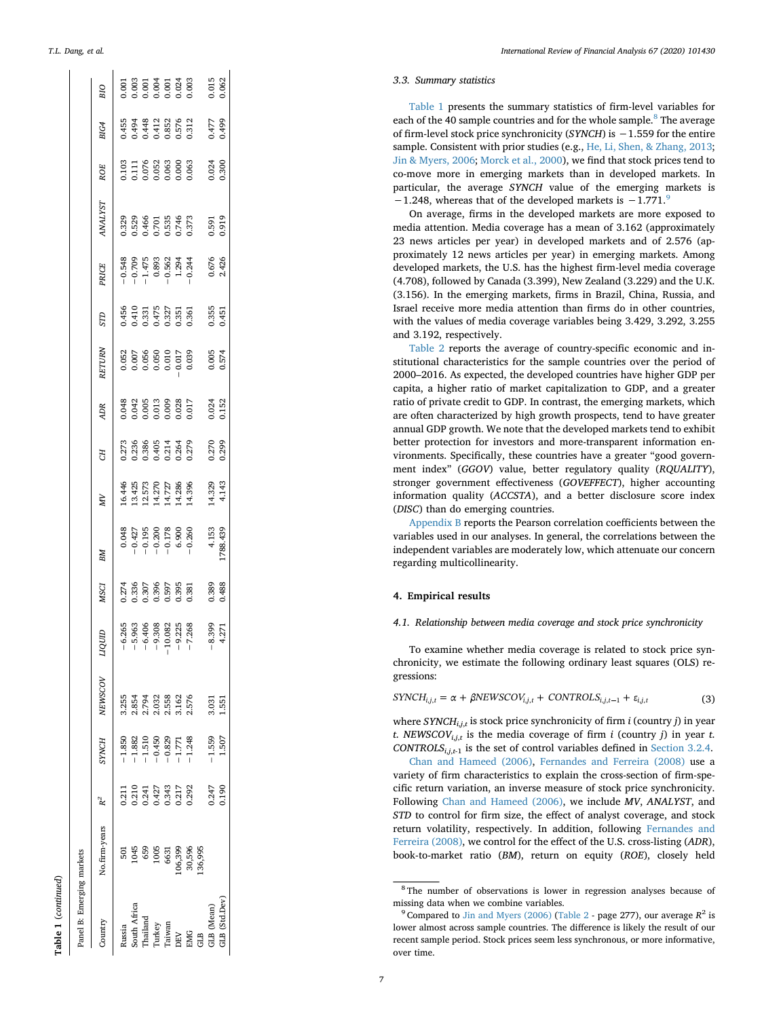| Panel B: Emerging markets |               |                          |                                                                      |                                           |                                                        |                                         |                                                                                                 |                                                          |                                           |                                           |                                                                                            |                                         |                                                                    |                                           |                                           |                                         |                                           |
|---------------------------|---------------|--------------------------|----------------------------------------------------------------------|-------------------------------------------|--------------------------------------------------------|-----------------------------------------|-------------------------------------------------------------------------------------------------|----------------------------------------------------------|-------------------------------------------|-------------------------------------------|--------------------------------------------------------------------------------------------|-----------------------------------------|--------------------------------------------------------------------|-------------------------------------------|-------------------------------------------|-----------------------------------------|-------------------------------------------|
| Country                   | No.firm-years | $R^2$                    | <b>SYNCH</b>                                                         | NEWSCOV                                   | mon                                                    | <b>MSCI</b>                             | BМ                                                                                              | ΜV                                                       | CH.                                       | <b>ADR</b>                                | <b>ETURN</b>                                                                               | <b>GLS</b>                              | PRICE                                                              | <b>ANALYST</b>                            | <b>ROE</b>                                | BIG4                                    | BIO                                       |
| kussia                    |               | 0.211                    | $-1.850$                                                             | 3.255                                     |                                                        |                                         |                                                                                                 |                                                          |                                           |                                           |                                                                                            |                                         |                                                                    |                                           |                                           |                                         |                                           |
| South Africa              | 1045          |                          |                                                                      |                                           |                                                        |                                         |                                                                                                 |                                                          |                                           |                                           |                                                                                            |                                         |                                                                    |                                           |                                           |                                         |                                           |
| Thailand                  | 659           | 0.2147<br>0.241<br>0.343 | $-1.882$<br>$-1.510$<br>$-0.450$<br>$-0.829$<br>$-1.771$<br>$-1.248$ | 2.854<br>2.794<br>2.558<br>3.162<br>2.576 | 6.265<br>5.308 3.215<br>5.308 2.215<br>5.2168<br>7.268 | 274<br>0.336<br>0.395<br>0.395<br>0.395 | $\begin{array}{r} 0.048 \\ -0.427 \\ -0.195 \\ -0.200 \\ -0.178 \\ 6.900 \\ -0.260 \end{array}$ | 16.446<br>13.425<br>12.573<br>14.286<br>14.396<br>14.396 | 0.273<br>0.386<br>0.386<br>0.314<br>0.279 | 0.048<br>0.042<br>0.005<br>0.009<br>0.017 | $\begin{array}{c} 0.052 \\ 0.007 \\ 0.056 \\ 0.050 \\ 0.010 \\ 0.017 \\ 0.039 \end{array}$ | 456<br>0.333<br>0.325<br>0.355<br>0.355 | $-0.548$<br>$-0.709$<br>$-1.475$<br>$0.893$<br>$-0.562$<br>$1.294$ | 0.329<br>0.529<br>0.466<br>0.535<br>0.373 | 0.103<br>0.076<br>0.063<br>0.063<br>0.063 | 55<br>0.448<br>0.448<br>0.6352<br>0.512 | 0.001<br>0.003<br>0.001<br>0.003<br>0.000 |
| <b>Turkey</b>             | 1005          |                          |                                                                      |                                           |                                                        |                                         |                                                                                                 |                                                          |                                           |                                           |                                                                                            |                                         |                                                                    |                                           |                                           |                                         |                                           |
| Taiwan                    | 6631          |                          |                                                                      |                                           |                                                        |                                         |                                                                                                 |                                                          |                                           |                                           |                                                                                            |                                         |                                                                    |                                           |                                           |                                         |                                           |
|                           | 06,399        | 0.217                    |                                                                      |                                           |                                                        |                                         |                                                                                                 |                                                          |                                           |                                           |                                                                                            |                                         |                                                                    |                                           |                                           |                                         |                                           |
| <b>EMG</b>                | 30,596        | 0.292                    |                                                                      |                                           |                                                        |                                         |                                                                                                 |                                                          |                                           |                                           |                                                                                            |                                         |                                                                    |                                           |                                           |                                         |                                           |
| <b>AB</b>                 | .36,995       |                          |                                                                      |                                           |                                                        |                                         |                                                                                                 |                                                          |                                           |                                           |                                                                                            |                                         |                                                                    |                                           |                                           |                                         |                                           |
| <b>GLB</b> (Mean)         |               | 0.247                    | $-1.559$                                                             | 3.031                                     |                                                        | 0.389<br>0.488                          | 4.153<br>788.439                                                                                | 14.329<br>4.143                                          | 0.270<br>0.299                            | 0.024                                     | $0.005$<br>$0.574$                                                                         | 0.355<br>0.451                          | 0.676<br>2.426                                                     | 0.591<br>0.919                            | $0.024$<br>$0.300$                        | 0.477<br>0.499                          |                                           |
| GLB (Std.Dev)             |               | 0.190                    | 1.507                                                                | 1.551                                     | 8.399<br>4.271                                         |                                         |                                                                                                 |                                                          |                                           |                                           |                                                                                            |                                         |                                                                    |                                           |                                           |                                         | 0.015<br>0.062                            |
|                           |               |                          |                                                                      |                                           |                                                        |                                         |                                                                                                 |                                                          |                                           |                                           |                                                                                            |                                         |                                                                    |                                           |                                           |                                         |                                           |

**Table 1** (*continued*)

Table 1 (continued)

#### *3.3. Summary statistics*

[Table 1](#page-5-0) presents the summary statistics of firm-level variables for each of the 40 sample countries and for the whole sample.<sup>[8](#page-6-1)</sup> The average of firm-level stock price synchronicity (*SYNCH*) is −1.559 for the entire sample. Consistent with prior studies (e.g., [He, Li, Shen, & Zhang, 2013](#page-16-27) ; [Jin & Myers, 2006](#page-17-3) ; [Morck et al., 2000\)](#page-17-4), we find that stock prices tend to co-move more in emerging markets than in developed markets. In particular, the average *SYNCH* value of the emerging markets is  $-1.248$ , whereas that of the developed markets is  $-1.771$ .<sup>[9](#page-6-2)</sup>

On average, firms in the developed markets are more exposed to media attention. Media coverage has a mean of 3.162 (approximately 23 news articles per year) in developed markets and of 2.576 (approximately 12 news articles per year) in emerging markets. Among developed markets, the U.S. has the highest firm-level media coverage (4.708), followed by Canada (3.399), New Zealand (3.229) and the U.K. (3.156). In the emerging markets, firms in Brazil, China, Russia, and Israel receive more media attention than firms do in other countries, with the values of media coverage variables being 3.429, 3.292, 3.255 and 3.192, respectively.

[Table 2](#page-7-0) reports the average of country-specific economic and institutional characteristics for the sample countries over the period of 2000–2016. As expected, the developed countries have higher GDP per capita, a higher ratio of market capitalization to GDP, and a greater ratio of private credit to GDP. In contrast, the emerging markets, which are often characterized by high growth prospects, tend to have greater annual GDP growth. We note that the developed markets tend to exhibit better protection for investors and more-transparent information environments. Specifically, these countries have a greater "good government index" (*GGOV*) value, better regulatory quality (*RQUALITY*), stronger government effectiveness (*GOVEFFECT*), higher accounting information quality (*ACCSTA*), and a better disclosure score index (*DISC*) than do emerging countries.

[Appendix B](#page-15-0) reports the Pearson correlation coefficients between the variables used in our analyses. In general, the correlations between the independent variables are moderately low, which attenuate our concern regarding multicollinearity.

#### <span id="page-6-0"></span>**4. Empirical results**

#### *4.1. Relationship between media coverage and stock price synchronicity*

<span id="page-6-3"></span>To examine whether media coverage is related to stock price synchronicity, we estimate the following ordinary least squares (OLS) regressions:

 $SYNCH_{i,j,t} = \alpha + \beta NEWSCOV_{i,j,t} + CONTROLS_{i,j,t-1} + \varepsilon_{i,j,t}$ (3)

where *SYNCH*<sub>*i,j,t*</sub> is stock price synchronicity of firm *i* (country *j*) in year *t*. *NEWSCOV*<sub>*i,j,t*</sub> is the media coverage of firm *i* (country *j*) in year *t*. *CONTROLS*<sub>*i*,*j*, $t$ -1</sub> is the set of control variables defined in [Section 3.2.4](#page-4-4).

[Chan and Hameed \(2006\)](#page-16-41) , [Fernandes and Ferreira \(2008\)](#page-16-3) use a variety of firm characteristics to explain the cross-section of firm-specific return variation, an inverse measure of stock price synchronicity. Following [Chan and Hameed \(2006\),](#page-16-41) we include *MV*, *ANALYST*, and *STD* to control for firm size, the effect of analyst coverage, and stock return volatility, respectively. In addition, following [Fernandes and](#page-16-3) [Ferreira \(2008\),](#page-16-3) we control for the effect of the U.S. cross-listing (*ADR*), book-to-market ratio (*BM*), return on equity (*ROE*), closely held

<span id="page-6-1"></span><sup>8</sup> The number of observations is lower in regression analyses because of missing data when we combine variables.

<span id="page-6-2"></span><sup>&</sup>lt;sup>9</sup> Compared to [Jin and Myers \(2006\)](#page-17-3) [\(Table 2](#page-7-0) - page 277), our average  $R^2$  is lower almost across sample countries. The difference is likely the result of our recent sample period. Stock prices seem less synchronous, or more informative, over time.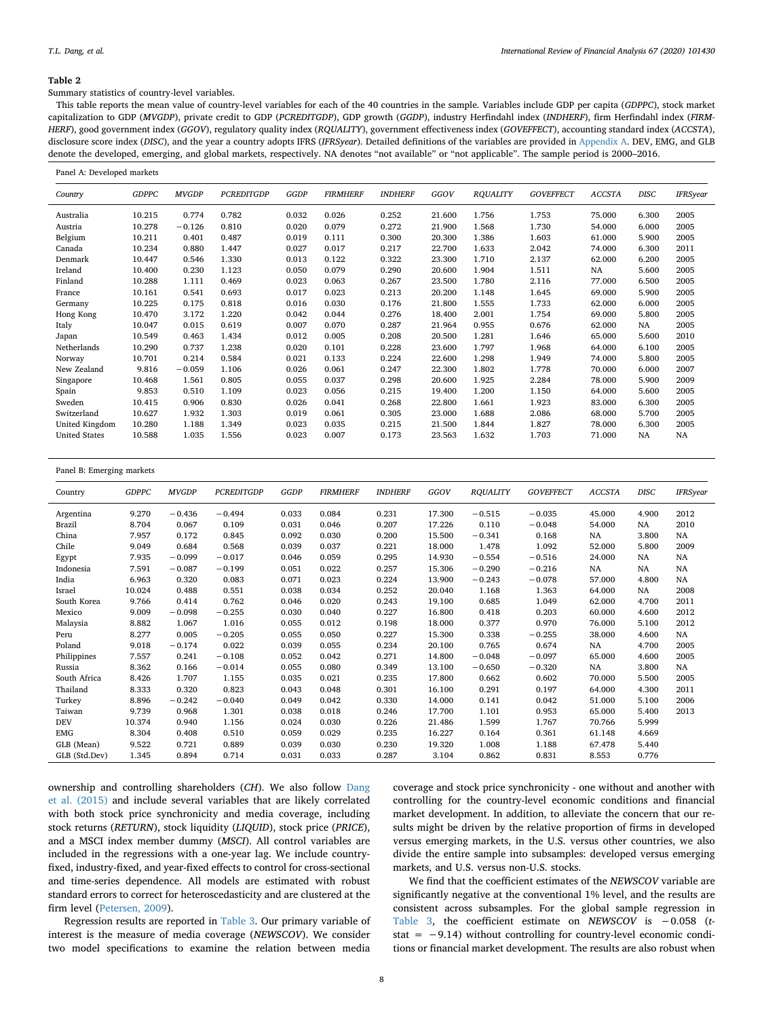<span id="page-7-0"></span>Summary statistics of country-level variables.

This table reports the mean value of country-level variables for each of the 40 countries in the sample. Variables include GDP per capita (*GDPPC*), stock market capitalization to GDP (*MVGDP*), private credit to GDP (*PCREDITGDP*), GDP growth (*GGDP*), industry Herfindahl index (*INDHERF*), firm Herfindahl index (*FIRM-HERF*), good government index (*GGOV*), regulatory quality index (*RQUALITY*), government effectiveness index (*GOVEFFECT*), accounting standard index (*ACCSTA*), disclosure score index (*DISC*), and the year a country adopts IFRS (*IFRSyear*). Detailed definitions of the variables are provided in [Appendix A.](#page-14-0) DEV, EMG, and GLB denote the developed, emerging, and global markets, respectively. NA denotes "not available" or "not applicable". The sample period is 2000–2016.

| Panel A: Developed markets |              |              |                   |       |                 |                |        |                 |                  |               |           |                 |
|----------------------------|--------------|--------------|-------------------|-------|-----------------|----------------|--------|-----------------|------------------|---------------|-----------|-----------------|
| Country                    | <b>GDPPC</b> | <b>MVGDP</b> | <b>PCREDITGDP</b> | GGDP  | <b>FIRMHERF</b> | <b>INDHERF</b> | GGOV   | <b>RQUALITY</b> | <b>GOVEFFECT</b> | <b>ACCSTA</b> | DISC      | <b>IFRSyear</b> |
| Australia                  | 10.215       | 0.774        | 0.782             | 0.032 | 0.026           | 0.252          | 21.600 | 1.756           | 1.753            | 75.000        | 6.300     | 2005            |
| Austria                    | 10.278       | $-0.126$     | 0.810             | 0.020 | 0.079           | 0.272          | 21.900 | 1.568           | 1.730            | 54.000        | 6.000     | 2005            |
| Belgium                    | 10.211       | 0.401        | 0.487             | 0.019 | 0.111           | 0.300          | 20.300 | 1.386           | 1.603            | 61.000        | 5.900     | 2005            |
| Canada                     | 10.234       | 0.880        | 1.447             | 0.027 | 0.017           | 0.217          | 22.700 | 1.633           | 2.042            | 74.000        | 6.300     | 2011            |
| Denmark                    | 10.447       | 0.546        | 1.330             | 0.013 | 0.122           | 0.322          | 23.300 | 1.710           | 2.137            | 62.000        | 6.200     | 2005            |
| Ireland                    | 10.400       | 0.230        | 1.123             | 0.050 | 0.079           | 0.290          | 20.600 | 1.904           | 1.511            | NA            | 5.600     | 2005            |
| Finland                    | 10.288       | 1.111        | 0.469             | 0.023 | 0.063           | 0.267          | 23.500 | 1.780           | 2.116            | 77.000        | 6.500     | 2005            |
| France                     | 10.161       | 0.541        | 0.693             | 0.017 | 0.023           | 0.213          | 20.200 | 1.148           | 1.645            | 69.000        | 5.900     | 2005            |
| Germany                    | 10.225       | 0.175        | 0.818             | 0.016 | 0.030           | 0.176          | 21.800 | 1.555           | 1.733            | 62.000        | 6.000     | 2005            |
| Hong Kong                  | 10.470       | 3.172        | 1.220             | 0.042 | 0.044           | 0.276          | 18.400 | 2.001           | 1.754            | 69.000        | 5.800     | 2005            |
| Italy                      | 10.047       | 0.015        | 0.619             | 0.007 | 0.070           | 0.287          | 21.964 | 0.955           | 0.676            | 62.000        | NA        | 2005            |
| Japan                      | 10.549       | 0.463        | 1.434             | 0.012 | 0.005           | 0.208          | 20.500 | 1.281           | 1.646            | 65.000        | 5.600     | 2010            |
| Netherlands                | 10.290       | 0.737        | 1.238             | 0.020 | 0.101           | 0.228          | 23.600 | 1.797           | 1.968            | 64.000        | 6.100     | 2005            |
| Norway                     | 10.701       | 0.214        | 0.584             | 0.021 | 0.133           | 0.224          | 22.600 | 1.298           | 1.949            | 74.000        | 5.800     | 2005            |
| New Zealand                | 9.816        | $-0.059$     | 1.106             | 0.026 | 0.061           | 0.247          | 22.300 | 1.802           | 1.778            | 70.000        | 6.000     | 2007            |
| Singapore                  | 10.468       | 1.561        | 0.805             | 0.055 | 0.037           | 0.298          | 20.600 | 1.925           | 2.284            | 78.000        | 5.900     | 2009            |
| Spain                      | 9.853        | 0.510        | 1.109             | 0.023 | 0.056           | 0.215          | 19.400 | 1.200           | 1.150            | 64.000        | 5.600     | 2005            |
| Sweden                     | 10.415       | 0.906        | 0.830             | 0.026 | 0.041           | 0.268          | 22.800 | 1.661           | 1.923            | 83.000        | 6.300     | 2005            |
| Switzerland                | 10.627       | 1.932        | 1.303             | 0.019 | 0.061           | 0.305          | 23.000 | 1.688           | 2.086            | 68.000        | 5.700     | 2005            |
| United Kingdom             | 10.280       | 1.188        | 1.349             | 0.023 | 0.035           | 0.215          | 21.500 | 1.844           | 1.827            | 78,000        | 6.300     | 2005            |
| <b>United States</b>       | 10.588       | 1.035        | 1.556             | 0.023 | 0.007           | 0.173          | 23.563 | 1.632           | 1.703            | 71.000        | <b>NA</b> | NA              |

| Panel B: Emerging markets |              |              |                   |       |                 |                |        |                 |                  |               |             |                 |
|---------------------------|--------------|--------------|-------------------|-------|-----------------|----------------|--------|-----------------|------------------|---------------|-------------|-----------------|
| Country                   | <b>GDPPC</b> | <b>MVGDP</b> | <b>PCREDITGDP</b> | GGDP  | <b>FIRMHERF</b> | <b>INDHERF</b> | GGOV   | <b>RQUALITY</b> | <b>GOVEFFECT</b> | <b>ACCSTA</b> | <b>DISC</b> | <b>IFRSyear</b> |
| Argentina                 | 9.270        | $-0.436$     | $-0.494$          | 0.033 | 0.084           | 0.231          | 17.300 | $-0.515$        | $-0.035$         | 45.000        | 4.900       | 2012            |
| Brazil                    | 8.704        | 0.067        | 0.109             | 0.031 | 0.046           | 0.207          | 17.226 | 0.110           | $-0.048$         | 54.000        | NA          | 2010            |
| China                     | 7.957        | 0.172        | 0.845             | 0.092 | 0.030           | 0.200          | 15.500 | $-0.341$        | 0.168            | NA            | 3.800       | NA              |
| Chile                     | 9.049        | 0.684        | 0.568             | 0.039 | 0.037           | 0.221          | 18.000 | 1.478           | 1.092            | 52.000        | 5.800       | 2009            |
| Egypt                     | 7.935        | $-0.099$     | $-0.017$          | 0.046 | 0.059           | 0.295          | 14.930 | $-0.554$        | $-0.516$         | 24.000        | <b>NA</b>   | NA              |
| Indonesia                 | 7.591        | $-0.087$     | $-0.199$          | 0.051 | 0.022           | 0.257          | 15.306 | $-0.290$        | $-0.216$         | NA            | <b>NA</b>   | NA              |
| India                     | 6.963        | 0.320        | 0.083             | 0.071 | 0.023           | 0.224          | 13.900 | $-0.243$        | $-0.078$         | 57.000        | 4.800       | NA              |
| Israel                    | 10.024       | 0.488        | 0.551             | 0.038 | 0.034           | 0.252          | 20.040 | 1.168           | 1.363            | 64.000        | NA          | 2008            |
| South Korea               | 9.766        | 0.414        | 0.762             | 0.046 | 0.020           | 0.243          | 19.100 | 0.685           | 1.049            | 62.000        | 4.700       | 2011            |
| Mexico                    | 9.009        | $-0.098$     | $-0.255$          | 0.030 | 0.040           | 0.227          | 16.800 | 0.418           | 0.203            | 60.000        | 4.600       | 2012            |
| Malaysia                  | 8.882        | 1.067        | 1.016             | 0.055 | 0.012           | 0.198          | 18.000 | 0.377           | 0.970            | 76.000        | 5.100       | 2012            |
| Peru                      | 8.277        | 0.005        | $-0.205$          | 0.055 | 0.050           | 0.227          | 15.300 | 0.338           | $-0.255$         | 38.000        | 4.600       | NA              |
| Poland                    | 9.018        | $-0.174$     | 0.022             | 0.039 | 0.055           | 0.234          | 20.100 | 0.765           | 0.674            | NA            | 4.700       | 2005            |
| Philippines               | 7.557        | 0.241        | $-0.108$          | 0.052 | 0.042           | 0.271          | 14.800 | $-0.048$        | $-0.097$         | 65.000        | 4.600       | 2005            |
| Russia                    | 8.362        | 0.166        | $-0.014$          | 0.055 | 0.080           | 0.349          | 13.100 | $-0.650$        | $-0.320$         | NA            | 3.800       | NA              |
| South Africa              | 8.426        | 1.707        | 1.155             | 0.035 | 0.021           | 0.235          | 17.800 | 0.662           | 0.602            | 70.000        | 5.500       | 2005            |
| Thailand                  | 8.333        | 0.320        | 0.823             | 0.043 | 0.048           | 0.301          | 16.100 | 0.291           | 0.197            | 64.000        | 4.300       | 2011            |
| Turkey                    | 8.896        | $-0.242$     | $-0.040$          | 0.049 | 0.042           | 0.330          | 14.000 | 0.141           | 0.042            | 51.000        | 5.100       | 2006            |
| Taiwan                    | 9.739        | 0.968        | 1.301             | 0.038 | 0.018           | 0.246          | 17.700 | 1.101           | 0.953            | 65.000        | 5.400       | 2013            |
| <b>DEV</b>                | 10.374       | 0.940        | 1.156             | 0.024 | 0.030           | 0.226          | 21.486 | 1.599           | 1.767            | 70.766        | 5.999       |                 |
| <b>EMG</b>                | 8.304        | 0.408        | 0.510             | 0.059 | 0.029           | 0.235          | 16.227 | 0.164           | 0.361            | 61.148        | 4.669       |                 |
| GLB (Mean)                | 9.522        | 0.721        | 0.889             | 0.039 | 0.030           | 0.230          | 19.320 | 1.008           | 1.188            | 67.478        | 5.440       |                 |
| GLB (Std.Dev)             | 1.345        | 0.894        | 0.714             | 0.031 | 0.033           | 0.287          | 3.104  | 0.862           | 0.831            | 8.553         | 0.776       |                 |

ownership and controlling shareholders (*CH*). We also follow [Dang](#page-16-2) [et al. \(2015\)](#page-16-2) and include several variables that are likely correlated with both stock price synchronicity and media coverage, including stock returns (*RETURN*), stock liquidity (*LIQUID*), stock price (*PRICE*), and a MSCI index member dummy (*MSCI*). All control variables are included in the regressions with a one-year lag. We include countryfixed, industry-fixed, and year-fixed effects to control for cross-sectional and time-series dependence. All models are estimated with robust standard errors to correct for heteroscedasticity and are clustered at the firm level ([Petersen, 2009](#page-17-22)).

Regression results are reported in [Table 3.](#page-8-0) Our primary variable of interest is the measure of media coverage (*NEWSCOV*). We consider two model specifications to examine the relation between media

coverage and stock price synchronicity - one without and another with controlling for the country-level economic conditions and financial market development. In addition, to alleviate the concern that our results might be driven by the relative proportion of firms in developed versus emerging markets, in the U.S. versus other countries, we also divide the entire sample into subsamples: developed versus emerging markets, and U.S. versus non-U.S. stocks.

We find that the coefficient estimates of the *NEWSCOV* variable are significantly negative at the conventional 1% level, and the results are consistent across subsamples. For the global sample regression in [Table 3](#page-8-0), the coefficient estimate on *NEWSCOV* is −0.058 (*t*stat = −9.14) without controlling for country-level economic conditions or financial market development. The results are also robust when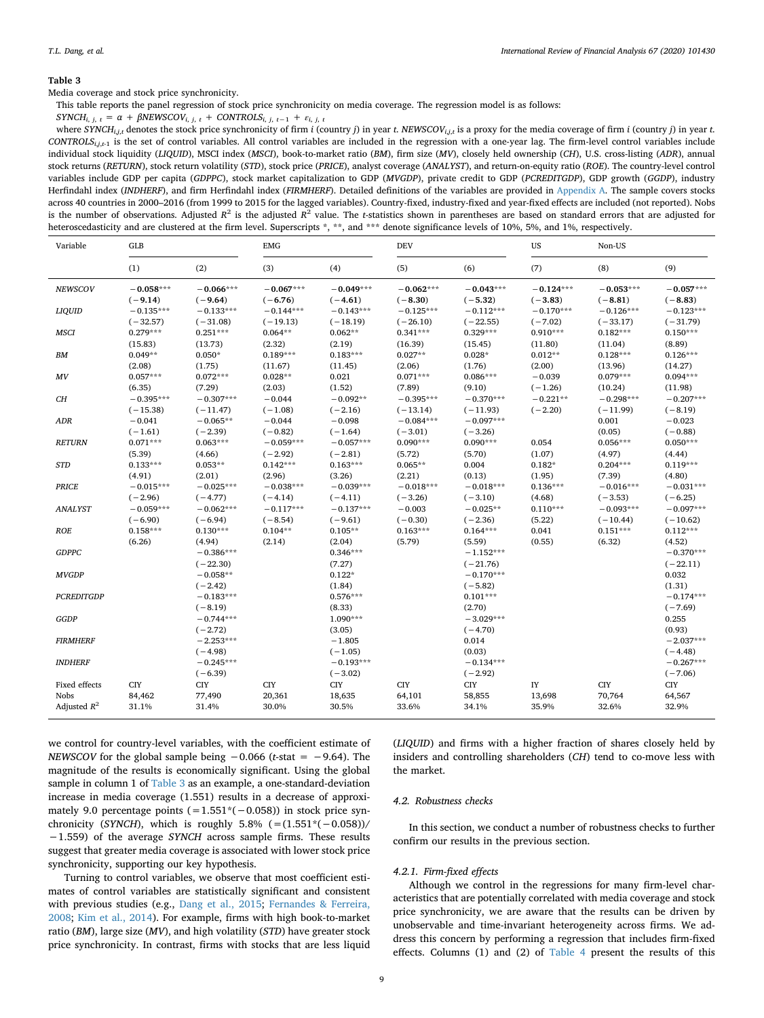<span id="page-8-0"></span>Media coverage and stock price synchronicity.

This table reports the panel regression of stock price synchronicity on media coverage. The regression model is as follows:

 $SYNCH_{i, j, t} = \alpha + \beta NEWSCOV_{i, j, t} + \beta INFUSCOV_{i, j, t} + \beta INFUSUS_{i, j, t-1} + \varepsilon_{i, j, t}$ 

where  $SYNCH_{i,i,t}$  denotes the stock price synchronicity of firm i (country j) in year t. NEWSCOV<sub>iit</sub> is a proxy for the media coverage of firm i (country j) in year t. *CONTROLSi*,*j*,*t*-1 is the set of control variables. All control variables are included in the regression with a one-year lag. The firm-level control variables include individual stock liquidity (*LIQUID*), MSCI index (*MSCI*), book-to-market ratio (*BM*), firm size (*MV*), closely held ownership (*CH*), U.S. cross-listing (*ADR*), annual stock returns (*RETURN*), stock return volatility (*STD*), stock price (*PRICE*), analyst coverage (*ANALYST*), and return-on-equity ratio (*ROE*). The country-level control variables include GDP per capita (*GDPPC*), stock market capitalization to GDP (*MVGDP*), private credit to GDP (*PCREDITGDP*), GDP growth (*GGDP*), industry Herfindahl index (*INDHERF*), and firm Herfindahl index (*FIRMHERF*). Detailed definitions of the variables are provided in [Appendix A.](#page-14-0) The sample covers stocks across 40 countries in 2000–2016 (from 1999 to 2015 for the lagged variables). Country-fixed, industry-fixed and year-fixed effects are included (not reported). Nobs is the number of observations. Adjusted  $R^2$  is the adjusted  $R^2$  value. The *t*-statistics shown in parentheses are based on standard errors that are adjusted for heteroscedasticity and are clustered at the firm level. Superscripts \*, \*\*, and \*\*\* denote significance levels of 10%, 5%, and 1%, respectively.

| Variable          | <b>GLB</b>            |                           | <b>EMG</b>            |                          | <b>DEV</b>               |                           | US          | Non-US          |                           |
|-------------------|-----------------------|---------------------------|-----------------------|--------------------------|--------------------------|---------------------------|-------------|-----------------|---------------------------|
|                   | (1)                   | (2)                       | (3)                   | (4)                      | (5)                      | (6)                       | (7)         | (8)             | (9)                       |
| <b>NEWSCOV</b>    | $-0.058***$           | $-0.066***$               | $-0.067***$           | $-0.049***$              | $-0.062***$              | $-0.043***$               | $-0.124***$ | $-0.053***$     | $-0.057***$               |
|                   | $(-9.14)$             | $(-9.64)$                 | $(-6.76)$             | $(-4.61)$                | $(-8.30)$                | $(-5.32)$                 | $(-3.83)$   | $(-8.81)$       | $(-8.83)$                 |
| LIQUID            | $-0.135***$           | $-0.133***$               | $-0.144***$           | $-0.143***$              | $-0.125***$              | $-0.112***$               | $-0.170***$ | $-0.126***$     | $-0.123***$               |
|                   | $(-32.57)$            | $(-31.08)$                | $(-19.13)$            | $(-18.19)$               | $(-26.10)$               | $(-22.55)$                | $(-7.02)$   | $(-33.17)$      | $(-31.79)$                |
| MSCI              | $0.279***$            | $0.251***$                | $0.064**$             | $0.062**$                | $0.341***$               | $0.329***$                | $0.910***$  | $0.182***$      | $0.150***$                |
|                   | (15.83)               | (13.73)                   | (2.32)                | (2.19)                   | (16.39)                  | (15.45)                   | (11.80)     | (11.04)         | (8.89)                    |
| BМ                | $0.049**$             | $0.050*$                  | $0.189***$            | $0.183***$               | $0.027**$                | $0.028*$                  | $0.012**$   | $0.128***$      | $0.126***$                |
|                   | (2.08)                | (1.75)                    | (11.67)               | (11.45)                  | (2.06)                   | (1.76)                    | (2.00)      | (13.96)         | (14.27)                   |
| MV                | $0.057***$            | $0.072***$                | $0.028**$             | 0.021                    | $0.071***$               | $0.086***$                | $-0.039$    | $0.079***$      | $0.094***$                |
|                   | (6.35)                | (7.29)                    | (2.03)                | (1.52)                   | (7.89)                   | (9.10)                    | $(-1.26)$   | (10.24)         | (11.98)                   |
| CН                | $-0.395***$           | $-0.307***$               | $-0.044$              | $-0.092**$               | $-0.395***$              | $-0.370***$               | $-0.221**$  | $-0.298***$     | $-0.207***$               |
|                   | $(-15.38)$            | $(-11.47)$                | $(-1.08)$             | $(-2.16)$                | $(-13.14)$               | $(-11.93)$                | $(-2.20)$   | $(-11.99)$      | $(-8.19)$                 |
| ADR               | $-0.041$<br>$(-1.61)$ | $-0.065**$<br>$(-2.39)$   | $-0.044$<br>$(-0.82)$ | $-0.098$<br>$(-1.64)$    | $-0.084***$<br>$(-3.01)$ | $-0.097***$<br>$(-3.26)$  |             | 0.001<br>(0.05) | $-0.023$<br>$(-0.88)$     |
| <b>RETURN</b>     | $0.071***$            | $0.063***$                | $-0.059***$           | $-0.057***$              | $0.090***$               | $0.090***$                | 0.054       | $0.056***$      | $0.050***$                |
|                   | (5.39)                | (4.66)                    | $(-2.92)$             | $(-2.81)$                | (5.72)                   | (5.70)                    | (1.07)      | (4.97)          | (4.44)                    |
| <b>STD</b>        | $0.133***$            | $0.053**$                 | $0.142***$            | $0.163***$               | $0.065**$                | 0.004                     | $0.182*$    | $0.204***$      | $0.119***$                |
|                   | (4.91)                | (2.01)                    | (2.96)                | (3.26)                   | (2.21)                   | (0.13)                    | (1.95)      | (7.39)          | (4.80)                    |
| <b>PRICE</b>      | $-0.015***$           | $-0.025***$               | $-0.038***$           | $-0.039***$              | $-0.018***$              | $-0.018***$               | $0.136***$  | $-0.016***$     | $-0.031***$               |
|                   | $(-2.96)$             | $(-4.77)$                 | $(-4.14)$             | $(-4.11)$                | $(-3.26)$                | $(-3.10)$                 | (4.68)      | $(-3.53)$       | $(-6.25)$                 |
| <b>ANALYST</b>    | $-0.059***$           | $-0.062***$               | $-0.117***$           | $-0.137***$              | $-0.003$                 | $-0.025**$                | $0.110***$  | $-0.093***$     | $-0.097***$               |
|                   | $(-6.90)$             | $(-6.94)$                 | $(-8.54)$             | $(-9.61)$                | $(-0.30)$                | $(-2.36)$                 | (5.22)      | $(-10.44)$      | $(-10.62)$                |
| <b>ROE</b>        | $0.158***$            | $0.130***$                | $0.104**$             | $0.105**$                | $0.163***$               | $0.164***$                | 0.041       | $0.151***$      | $0.112***$                |
|                   | (6.26)                | (4.94)                    | (2.14)                | (2.04)                   | (5.79)                   | (5.59)                    | (0.55)      | (6.32)          | (4.52)                    |
| <b>GDPPC</b>      |                       | $-0.386***$<br>$(-22.30)$ |                       | $0.346***$<br>(7.27)     |                          | $-1.152***$<br>$(-21.76)$ |             |                 | $-0.370***$<br>$(-22.11)$ |
| <b>MVGDP</b>      |                       | $-0.058**$<br>$(-2.42)$   |                       | $0.122*$<br>(1.84)       |                          | $-0.170***$<br>$(-5.82)$  |             |                 | 0.032<br>(1.31)           |
| <b>PCREDITGDP</b> |                       | $-0.183***$<br>$(-8.19)$  |                       | $0.576***$<br>(8.33)     |                          | $0.101***$<br>(2.70)      |             |                 | $-0.174***$<br>$(-7.69)$  |
| GGDP              |                       | $-0.744***$<br>$(-2.72)$  |                       | 1.090***<br>(3.05)       |                          | $-3.029***$<br>$(-4.70)$  |             |                 | 0.255<br>(0.93)           |
| <b>FIRMHERF</b>   |                       | $-2.253***$<br>$(-4.98)$  |                       | $-1.805$<br>$(-1.05)$    |                          | 0.014<br>(0.03)           |             |                 | $-2.037***$<br>$(-4.48)$  |
| <b>INDHERF</b>    |                       | $-0.245***$<br>$(-6.39)$  |                       | $-0.193***$<br>$(-3.02)$ |                          | $-0.134***$<br>$(-2.92)$  |             |                 | $-0.267***$<br>$(-7.06)$  |
| Fixed effects     | <b>CIY</b>            | <b>CIY</b>                | <b>CIY</b>            | <b>CIY</b>               | <b>CIY</b>               | <b>CIY</b>                | ${\rm IY}$  | <b>CIY</b>      | <b>CIY</b>                |
| Nobs              | 84,462                | 77,490                    | 20,361                | 18,635                   | 64,101                   | 58,855                    | 13,698      | 70,764          | 64,567                    |
| Adjusted $R^2$    | 31.1%                 | 31.4%                     | 30.0%                 | 30.5%                    | 33.6%                    | 34.1%                     | 35.9%       | 32.6%           | 32.9%                     |

we control for country-level variables, with the coefficient estimate of *NEWSCOV* for the global sample being −0.066 (*t*-stat = −9.64). The magnitude of the results is economically significant. Using the global sample in column 1 of [Table 3](#page-8-0) as an example, a one-standard-deviation increase in media coverage (1.551) results in a decrease of approximately 9.0 percentage points  $(=1.551*(-0.058))$  in stock price synchronicity (*SYNCH*), which is roughly 5.8% (=(1.551\*(−0.058))/ −1.559) of the average *SYNCH* across sample firms. These results suggest that greater media coverage is associated with lower stock price synchronicity, supporting our key hypothesis.

Turning to control variables, we observe that most coefficient estimates of control variables are statistically significant and consistent with previous studies (e.g., [Dang et al., 2015](#page-16-2); [Fernandes & Ferreira,](#page-16-3) [2008;](#page-16-3) [Kim et al., 2014\)](#page-17-10). For example, firms with high book-to-market ratio (*BM*), large size (*MV*), and high volatility (*STD*) have greater stock price synchronicity. In contrast, firms with stocks that are less liquid

(*LIQUID*) and firms with a higher fraction of shares closely held by insiders and controlling shareholders (*CH*) tend to co-move less with the market.

#### *4.2. Robustness checks*

In this section, we conduct a number of robustness checks to further confirm our results in the previous section.

## *4.2.1. Firm-fixed effects*

Although we control in the regressions for many firm-level characteristics that are potentially correlated with media coverage and stock price synchronicity, we are aware that the results can be driven by unobservable and time-invariant heterogeneity across firms. We address this concern by performing a regression that includes firm-fixed effects. Columns (1) and (2) of [Table 4](#page-9-0) present the results of this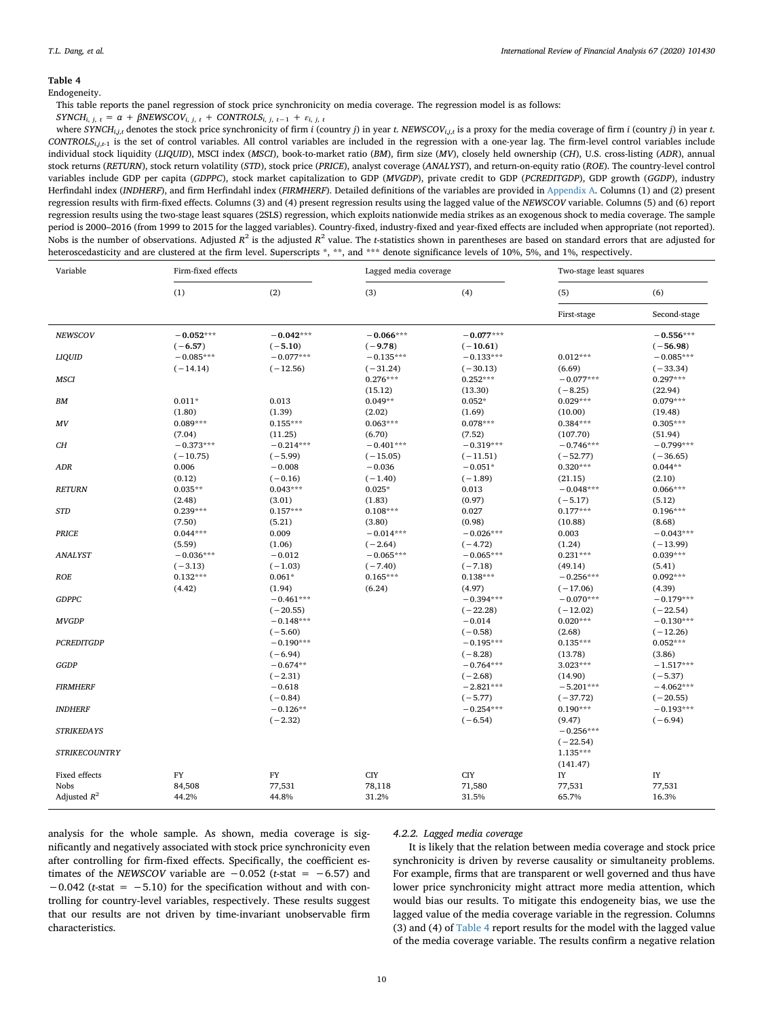<span id="page-9-0"></span>Endogeneity.

This table reports the panel regression of stock price synchronicity on media coverage. The regression model is as follows:

 $SYNCH_{i, j, t} = \alpha + \beta NEWSCOV_{i, j, t} + \beta INFUSCOV_{i, j, t} + \beta INFUSUS_{i, j, t-1} + \varepsilon_{i, j, t}$ 

where  $SYNCH_{i,i,t}$  denotes the stock price synchronicity of firm i (country j) in year t. NEWSCOV<sub>i.i,t</sub> is a proxy for the media coverage of firm i (country j) in year t. *CONTROLSi*,*j*,*t*-1 is the set of control variables. All control variables are included in the regression with a one-year lag. The firm-level control variables include individual stock liquidity (*LIQUID*), MSCI index (*MSCI*), book-to-market ratio (*BM*), firm size (*MV*), closely held ownership (*CH*), U.S. cross-listing (*ADR*), annual stock returns (*RETURN*), stock return volatility (*STD*), stock price (*PRICE*), analyst coverage (*ANALYST*), and return-on-equity ratio (*ROE*). The country-level control variables include GDP per capita (*GDPPC*), stock market capitalization to GDP (*MVGDP*), private credit to GDP (*PCREDITGDP*), GDP growth (*GGDP*), industry Herfindahl index (*INDHERF*), and firm Herfindahl index (*FIRMHERF*). Detailed definitions of the variables are provided in [Appendix A](#page-14-0). Columns (1) and (2) present regression results with firm-fixed effects. Columns (3) and (4) present regression results using the lagged value of the *NEWSCOV* variable. Columns (5) and (6) report regression results using the two-stage least squares (2SLS) regression, which exploits nationwide media strikes as an exogenous shock to media coverage. The sample period is 2000–2016 (from 1999 to 2015 for the lagged variables). Country-fixed, industry-fixed and year-fixed effects are included when appropriate (not reported). Nobs is the number of observations. Adjusted  $R^2$  is the adjusted  $R^2$  value. The *t*-statistics shown in parentheses are based on standard errors that are adjusted for heteroscedasticity and are clustered at the firm level. Superscripts \*, \*\*, and \*\*\* denote significance levels of 10%, 5%, and 1%, respectively.

| Variable              | Firm-fixed effects        |                           | Lagged media coverage          |                           | Two-stage least squares            |                                  |
|-----------------------|---------------------------|---------------------------|--------------------------------|---------------------------|------------------------------------|----------------------------------|
|                       | (1)                       | (2)                       | (3)                            | (4)                       | (5)                                | (6)                              |
|                       |                           |                           |                                |                           | First-stage                        | Second-stage                     |
| <b>NEWSCOV</b>        | $-0.052***$<br>$(-6.57)$  | $-0.042***$<br>$(-5.10)$  | $-0.066***$<br>$(-9.78)$       | $-0.077***$<br>$(-10.61)$ |                                    | $-0.556***$<br>$(-56.98)$        |
| LIQUID                | $-0.085***$<br>$(-14.14)$ | $-0.077***$<br>$(-12.56)$ | $-0.135***$<br>$(-31.24)$      | $-0.133***$<br>$(-30.13)$ | $0.012***$<br>(6.69)               | $-0.085***$<br>$(-33.34)$        |
| <b>MSCI</b>           |                           |                           | $0.276***$                     | $0.252***$<br>(13.30)     | $-0.077***$                        | $0.297***$                       |
| BМ                    | $0.011*$<br>(1.80)        | 0.013<br>(1.39)           | (15.12)<br>$0.049**$<br>(2.02) | $0.052*$<br>(1.69)        | $(-8.25)$<br>$0.029***$<br>(10.00) | (22.94)<br>$0.079***$<br>(19.48) |
| MV                    | $0.089***$<br>(7.04)      | $0.155***$<br>(11.25)     | $0.063***$<br>(6.70)           | $0.078***$<br>(7.52)      | $0.384***$<br>(107.70)             | $0.305***$<br>(51.94)            |
| CH                    | $-0.373***$<br>$(-10.75)$ | $-0.214***$<br>$(-5.99)$  | $-0.401***$<br>$(-15.05)$      | $-0.319***$<br>$(-11.51)$ | $-0.746***$<br>$(-52.77)$          | $-0.799***$<br>$(-36.65)$        |
| ADR                   | 0.006<br>(0.12)           | $-0.008$<br>$(-0.16)$     | $-0.036$<br>$(-1.40)$          | $-0.051*$<br>$(-1.89)$    | $0.320***$<br>(21.15)              | $0.044**$<br>(2.10)              |
| <b>RETURN</b>         | $0.035**$<br>(2.48)       | $0.043***$<br>(3.01)      | $0.025*$<br>(1.83)             | 0.013<br>(0.97)           | $-0.048***$<br>$(-5.17)$           | $0.066***$<br>(5.12)             |
| <b>STD</b>            | $0.239***$<br>(7.50)      | $0.157***$<br>(5.21)      | $0.108***$<br>(3.80)           | 0.027<br>(0.98)           | $0.177***$<br>(10.88)              | $0.196***$<br>(8.68)             |
| <b>PRICE</b>          | $0.044***$<br>(5.59)      | 0.009<br>(1.06)           | $-0.014***$<br>$(-2.64)$       | $-0.026***$<br>$(-4.72)$  | 0.003<br>(1.24)                    | $-0.043***$<br>$(-13.99)$        |
| <b>ANALYST</b>        | $-0.036***$<br>$(-3.13)$  | $-0.012$<br>$(-1.03)$     | $-0.065***$<br>$(-7.40)$       | $-0.065***$<br>$(-7.18)$  | $0.231***$<br>(49.14)              | $0.039***$<br>(5.41)             |
| <b>ROE</b>            | $0.132***$<br>(4.42)      | $0.061*$<br>(1.94)        | $0.165***$<br>(6.24)           | $0.138***$<br>(4.97)      | $-0.256***$<br>$(-17.06)$          | $0.092***$<br>(4.39)             |
| <b>GDPPC</b>          |                           | $-0.461***$<br>$(-20.55)$ |                                | $-0.394***$<br>$(-22.28)$ | $-0.070***$<br>$(-12.02)$          | $-0.179***$<br>$(-22.54)$        |
| <b>MVGDP</b>          |                           | $-0.148***$<br>$(-5.60)$  |                                | $-0.014$<br>$(-0.58)$     | $0.020***$<br>(2.68)               | $-0.130***$<br>$(-12.26)$        |
| <b>PCREDITGDP</b>     |                           | $-0.190***$<br>$(-6.94)$  |                                | $-0.195***$<br>$(-8.28)$  | $0.135***$<br>(13.78)              | $0.052***$<br>(3.86)             |
| GGDP                  |                           | $-0.674**$<br>$(-2.31)$   |                                | $-0.764***$<br>$(-2.68)$  | $3.023***$<br>(14.90)              | $-1.517***$<br>$(-5.37)$         |
| <b>FIRMHERF</b>       |                           | $-0.618$<br>$(-0.84)$     |                                | $-2.821***$<br>$(-5.77)$  | $-5.201***$<br>$(-37.72)$          | $-4.062***$<br>$(-20.55)$        |
| <b>INDHERF</b>        |                           | $-0.126**$<br>$(-2.32)$   |                                | $-0.254***$<br>$(-6.54)$  | $0.190***$<br>(9.47)               | $-0.193***$<br>$(-6.94)$         |
| <b>STRIKEDAYS</b>     |                           |                           |                                |                           | $-0.256***$<br>$(-22.54)$          |                                  |
| <b>STRIKECOUNTRY</b>  |                           |                           |                                |                           | $1.135***$<br>(141.47)             |                                  |
| Fixed effects<br>Nobs | FY<br>84,508              | FY<br>77,531              | <b>CIY</b><br>78,118           | <b>CIY</b><br>71,580      | IY<br>77,531                       | $_{\rm IY}$<br>77,531            |
| Adjusted $R^2$        | 44.2%                     | 44.8%                     | 31.2%                          | 31.5%                     | 65.7%                              | 16.3%                            |

analysis for the whole sample. As shown, media coverage is significantly and negatively associated with stock price synchronicity even after controlling for firm-fixed effects. Specifically, the coefficient estimates of the *NEWSCOV* variable are  $-0.052$  (*t*-stat =  $-6.57$ ) and −0.042 (*t*-stat = −5.10) for the specification without and with controlling for country-level variables, respectively. These results suggest that our results are not driven by time-invariant unobservable firm characteristics.

#### *4.2.2. Lagged media coverage*

It is likely that the relation between media coverage and stock price synchronicity is driven by reverse causality or simultaneity problems. For example, firms that are transparent or well governed and thus have lower price synchronicity might attract more media attention, which would bias our results. To mitigate this endogeneity bias, we use the lagged value of the media coverage variable in the regression. Columns (3) and (4) of [Table 4](#page-9-0) report results for the model with the lagged value of the media coverage variable. The results confirm a negative relation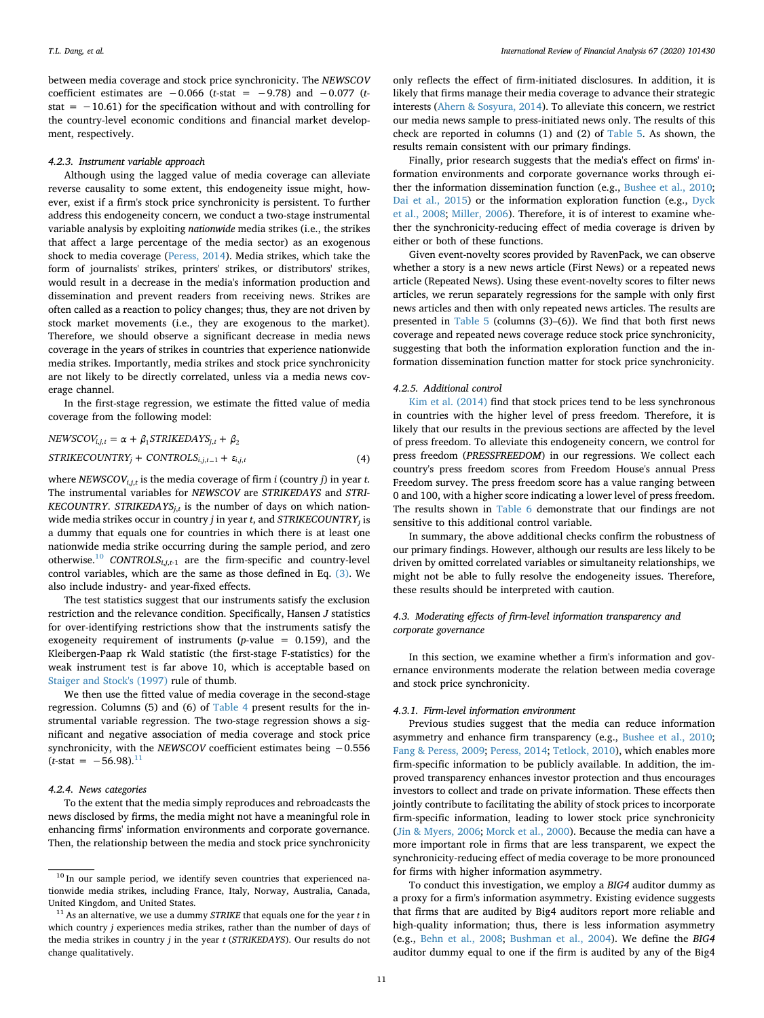between media coverage and stock price synchronicity. The *NEWSCOV* coefficient estimates are −0.066 (*t*-stat = −9.78) and −0.077 (*t*stat =  $-10.61$ ) for the specification without and with controlling for the country-level economic conditions and financial market development, respectively.

#### *4.2.3. Instrument variable approach*

Although using the lagged value of media coverage can alleviate reverse causality to some extent, this endogeneity issue might, however, exist if a firm's stock price synchronicity is persistent. To further address this endogeneity concern, we conduct a two-stage instrumental variable analysis by exploiting *nationwide* media strikes (i.e., the strikes that affect a large percentage of the media sector) as an exogenous shock to media coverage [\(Peress, 2014\)](#page-17-7). Media strikes, which take the form of journalists' strikes, printers' strikes, or distributors' strikes, would result in a decrease in the media's information production and dissemination and prevent readers from receiving news. Strikes are often called as a reaction to policy changes; thus, they are not driven by stock market movements (i.e., they are exogenous to the market). Therefore, we should observe a significant decrease in media news coverage in the years of strikes in countries that experience nationwide media strikes. Importantly, media strikes and stock price synchronicity are not likely to be directly correlated, unless via a media news coverage channel.

In the first-stage regression, we estimate the fitted value of media coverage from the following model:

$$
NEWSCOV_{i,j,t} = \alpha + \beta_1 STRIKEDAYS_{j,t} + \beta_2
$$
  
STRIKECOUNTRY<sub>j</sub> + CONTROLS<sub>i,j,t-1</sub> +  $\varepsilon_{i,j,t}$  (4)

where *NEWSCOVi*,*j*,*<sup>t</sup>* is the media coverage of firm *i* (country *j*) in year *t*. The instrumental variables for *NEWSCOV* are *STRIKEDAYS* and *STRI-KECOUNTRY*. *STRIKEDAYS<sub>i,t</sub>* is the number of days on which nationwide media strikes occur in country *j* in year *t*, and *STRIKECOUNTRYj* is a dummy that equals one for countries in which there is at least one nationwide media strike occurring during the sample period, and zero otherwise.<sup>[10](#page-10-0)</sup> *CONTROLS*<sub>*i,j*,*t*-1</sub> are the firm-specific and country-level control variables, which are the same as those defined in Eq. [\(3\)](#page-6-3). We also include industry- and year-fixed effects.

The test statistics suggest that our instruments satisfy the exclusion restriction and the relevance condition. Specifically, Hansen *J* statistics for over-identifying restrictions show that the instruments satisfy the exogeneity requirement of instruments (*p*-value = 0.159), and the Kleibergen-Paap rk Wald statistic (the first-stage F-statistics) for the weak instrument test is far above 10, which is acceptable based on [Staiger and Stock's \(1997\)](#page-17-23) rule of thumb.

We then use the fitted value of media coverage in the second-stage regression. Columns (5) and (6) of [Table 4](#page-9-0) present results for the instrumental variable regression. The two-stage regression shows a significant and negative association of media coverage and stock price synchronicity, with the *NEWSCOV* coefficient estimates being −0.556  $(t\text{-stat} = -56.98)^{11}$  $(t\text{-stat} = -56.98)^{11}$  $(t\text{-stat} = -56.98)^{11}$ 

#### *4.2.4. News categories*

To the extent that the media simply reproduces and rebroadcasts the news disclosed by firms, the media might not have a meaningful role in enhancing firms' information environments and corporate governance. Then, the relationship between the media and stock price synchronicity

only reflects the effect of firm-initiated disclosures. In addition, it is likely that firms manage their media coverage to advance their strategic interests [\(Ahern & Sosyura, 2014\)](#page-16-1). To alleviate this concern, we restrict our media news sample to press-initiated news only. The results of this check are reported in columns (1) and (2) of [Table 5](#page-11-0). As shown, the results remain consistent with our primary findings.

Finally, prior research suggests that the media's effect on firms' information environments and corporate governance works through either the information dissemination function (e.g., [Bushee et al., 2010](#page-16-5); [Dai et al., 2015\)](#page-16-20) or the information exploration function (e.g., [Dyck](#page-16-8) [et al., 2008](#page-16-8); [Miller, 2006](#page-17-1)). Therefore, it is of interest to examine whether the synchronicity-reducing effect of media coverage is driven by either or both of these functions.

Given event-novelty scores provided by RavenPack, we can observe whether a story is a new news article (First News) or a repeated news article (Repeated News). Using these event-novelty scores to filter news articles, we rerun separately regressions for the sample with only first news articles and then with only repeated news articles. The results are presented in [Table 5](#page-11-0) (columns (3)–(6)). We find that both first news coverage and repeated news coverage reduce stock price synchronicity, suggesting that both the information exploration function and the information dissemination function matter for stock price synchronicity.

#### *4.2.5. Additional control*

[Kim et al. \(2014\)](#page-17-10) find that stock prices tend to be less synchronous in countries with the higher level of press freedom. Therefore, it is likely that our results in the previous sections are affected by the level of press freedom. To alleviate this endogeneity concern, we control for press freedom (*PRESSFREEDOM*) in our regressions. We collect each country's press freedom scores from Freedom House's annual Press Freedom survey. The press freedom score has a value ranging between 0 and 100, with a higher score indicating a lower level of press freedom. The results shown in [Table 6](#page-12-0) demonstrate that our findings are not sensitive to this additional control variable.

In summary, the above additional checks confirm the robustness of our primary findings. However, although our results are less likely to be driven by omitted correlated variables or simultaneity relationships, we might not be able to fully resolve the endogeneity issues. Therefore, these results should be interpreted with caution.

## *4.3. Moderating effects of firm-level information transparency and corporate governance*

In this section, we examine whether a firm's information and governance environments moderate the relation between media coverage and stock price synchronicity.

#### *4.3.1. Firm-level information environment*

Previous studies suggest that the media can reduce information asymmetry and enhance firm transparency (e.g., [Bushee et al., 2010](#page-16-5); [Fang & Peress, 2009](#page-16-0); [Peress, 2014;](#page-17-7) [Tetlock, 2010\)](#page-17-0), which enables more firm-specific information to be publicly available. In addition, the improved transparency enhances investor protection and thus encourages investors to collect and trade on private information. These effects then jointly contribute to facilitating the ability of stock prices to incorporate firm-specific information, leading to lower stock price synchronicity ([Jin & Myers, 2006;](#page-17-3) [Morck et al., 2000](#page-17-4)). Because the media can have a more important role in firms that are less transparent, we expect the synchronicity-reducing effect of media coverage to be more pronounced for firms with higher information asymmetry.

To conduct this investigation, we employ a *BIG4* auditor dummy as a proxy for a firm's information asymmetry. Existing evidence suggests that firms that are audited by Big4 auditors report more reliable and high-quality information; thus, there is less information asymmetry (e.g., [Behn et al., 2008](#page-16-10); [Bushman et al., 2004](#page-16-12)). We define the *BIG4* auditor dummy equal to one if the firm is audited by any of the Big4

<span id="page-10-0"></span> $10$  In our sample period, we identify seven countries that experienced nationwide media strikes, including France, Italy, Norway, Australia, Canada, United Kingdom, and United States.

<span id="page-10-1"></span><sup>11</sup> As an alternative, we use a dummy *STRIKE* that equals one for the year *t* in which country *j* experiences media strikes, rather than the number of days of the media strikes in country *j* in the year *t* (*STRIKEDAYS*). Our results do not change qualitatively.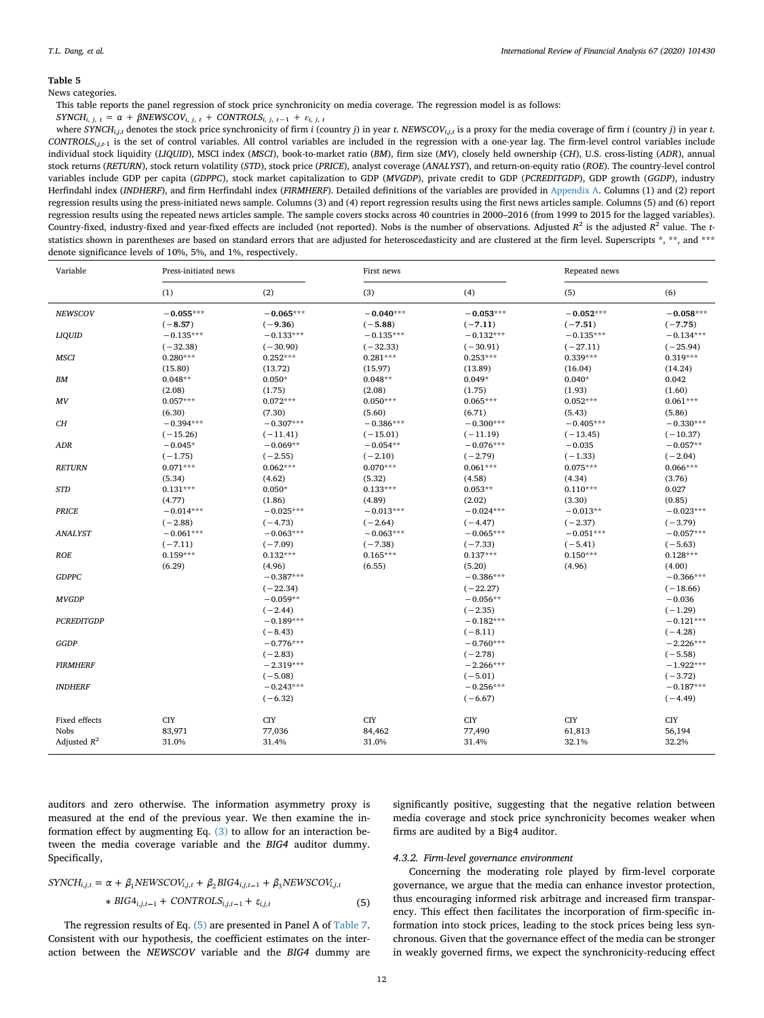<span id="page-11-0"></span>News categories.

This table reports the panel regression of stock price synchronicity on media coverage. The regression model is as follows:

 $SYNCH_{i, j, t} = \alpha + \beta NEWSCOV_{i, j, t} + \beta INFUSCOV_{i, j, t} + \beta INFUSUS_{i, j, t-1} + \varepsilon_{i, j, t}$ 

where  $SYNCH_{i,i,t}$  denotes the stock price synchronicity of firm i (country j) in year t. NEWSCOV<sub>i.i,t</sub> is a proxy for the media coverage of firm i (country j) in year t. *CONTROLSi*,*j*,*t*-1 is the set of control variables. All control variables are included in the regression with a one-year lag. The firm-level control variables include individual stock liquidity (*LIQUID*), MSCI index (*MSCI*), book-to-market ratio (*BM*), firm size (*MV*), closely held ownership (*CH*), U.S. cross-listing (*ADR*), annual stock returns (*RETURN*), stock return volatility (*STD*), stock price (*PRICE*), analyst coverage (*ANALYST*), and return-on-equity ratio (*ROE*). The country-level control variables include GDP per capita (*GDPPC*), stock market capitalization to GDP (*MVGDP*), private credit to GDP (*PCREDITGDP*), GDP growth (*GGDP*), industry Herfindahl index (*INDHERF*), and firm Herfindahl index (*FIRMHERF*). Detailed definitions of the variables are provided in [Appendix A.](#page-14-0) Columns (1) and (2) report regression results using the press-initiated news sample. Columns (3) and (4) report regression results using the first news articles sample. Columns (5) and (6) report regression results using the repeated news articles sample. The sample covers stocks across 40 countries in 2000–2016 (from 1999 to 2015 for the lagged variables). Country-fixed, industry-fixed and year-fixed effects are included (not reported). Nobs is the number of observations. Adjusted  $R^2$  is the adjusted  $R^2$  value. The *t*statistics shown in parentheses are based on standard errors that are adjusted for heteroscedasticity and are clustered at the firm level. Superscripts \*, \*\*, and \*\*\* denote significance levels of 10%, 5%, and 1%, respectively.

| Variable          | Press-initiated news |             | First news  |             | Repeated news |             |
|-------------------|----------------------|-------------|-------------|-------------|---------------|-------------|
|                   | (1)                  | (2)         | (3)         | (4)         | (5)           | (6)         |
| <b>NEWSCOV</b>    | $-0.055***$          | $-0.065***$ | $-0.040***$ | $-0.053***$ | $-0.052***$   | $-0.058***$ |
|                   | $(-8.57)$            | $(-9.36)$   | $(-5.88)$   | $(-7.11)$   | $(-7.51)$     | $(-7.75)$   |
| <b>LIQUID</b>     | $-0.135***$          | $-0.133***$ | $-0.135***$ | $-0.132***$ | $-0.135***$   | $-0.134***$ |
|                   | $(-32.38)$           | $(-30.90)$  | $(-32.33)$  | $(-30.91)$  | $(-27.11)$    | $(-25.94)$  |
| <b>MSCI</b>       | $0.280***$           | $0.252***$  | $0.281***$  | $0.253***$  | $0.339***$    | $0.319***$  |
|                   | (15.80)              | (13.72)     | (15.97)     | (13.89)     | (16.04)       | (14.24)     |
| ${\it BM}$        | $0.048**$            | $0.050*$    | $0.048**$   | $0.049*$    | $0.040*$      | 0.042       |
|                   | (2.08)               | (1.75)      | (2.08)      | (1.75)      | (1.93)        | (1.60)      |
| MV                | $0.057***$           | $0.072***$  | $0.050***$  | $0.065***$  | $0.052***$    | $0.061***$  |
|                   | (6.30)               | (7.30)      | (5.60)      | (6.71)      | (5.43)        | (5.86)      |
| CН                | $-0.394***$          | $-0.307***$ | $-0.386***$ | $-0.300***$ | $-0.405***$   | $-0.330***$ |
|                   | $(-15.26)$           | $(-11.41)$  | $(-15.01)$  | $(-11.19)$  | $(-13.45)$    | $(-10.37)$  |
| ADR               | $-0.045*$            | $-0.069**$  | $-0.054**$  | $-0.076***$ | $-0.035$      | $-0.057**$  |
|                   | $(-1.75)$            | $(-2.55)$   | $(-2.10)$   | $(-2.79)$   | $(-1.33)$     | $(-2.04)$   |
| <b>RETURN</b>     | $0.071***$           | $0.062***$  | $0.070***$  | $0.061***$  | $0.075***$    | $0.066***$  |
|                   | (5.34)               | (4.62)      | (5.32)      | (4.58)      | (4.34)        | (3.76)      |
| <b>STD</b>        | $0.131***$           | $0.050*$    | $0.133***$  | $0.053**$   | $0.110***$    | 0.027       |
|                   | (4.77)               | (1.86)      | (4.89)      | (2.02)      | (3.30)        | (0.85)      |
| <b>PRICE</b>      | $-0.014***$          | $-0.025***$ | $-0.013***$ | $-0.024***$ | $-0.013**$    | $-0.023***$ |
|                   | $(-2.88)$            | $(-4.73)$   | $(-2.64)$   | $(-4.47)$   | $(-2.37)$     | $(-3.79)$   |
| <b>ANALYST</b>    | $-0.061***$          | $-0.063***$ | $-0.063***$ | $-0.065***$ | $-0.051***$   | $-0.057***$ |
|                   | $(-7.11)$            | $(-7.09)$   | $(-7.38)$   | $(-7.33)$   | $(-5.41)$     | $(-5.63)$   |
| <b>ROE</b>        | $0.159***$           | $0.132***$  | $0.165***$  | $0.137***$  | $0.150***$    | $0.128***$  |
|                   | (6.29)               | (4.96)      | (6.55)      | (5.20)      | (4.96)        | (4.00)      |
| <b>GDPPC</b>      |                      | $-0.387***$ |             | $-0.386***$ |               | $-0.366***$ |
|                   |                      | $(-22.34)$  |             | $(-22.27)$  |               | $(-18.66)$  |
| <b>MVGDP</b>      |                      | $-0.059**$  |             | $-0.056**$  |               | $-0.036$    |
|                   |                      | $(-2.44)$   |             | $(-2.35)$   |               | $(-1.29)$   |
| <b>PCREDITGDP</b> |                      | $-0.189***$ |             | $-0.182***$ |               | $-0.121***$ |
|                   |                      | $(-8.43)$   |             | $(-8.11)$   |               | $(-4.28)$   |
| GGDP              |                      | $-0.776***$ |             | $-0.760***$ |               | $-2.226***$ |
|                   |                      | $(-2.83)$   |             | $(-2.78)$   |               | $(-5.58)$   |
| <b>FIRMHERF</b>   |                      | $-2.319***$ |             | $-2.266***$ |               | $-1.922***$ |
|                   |                      | $(-5.08)$   |             | $(-5.01)$   |               | $(-3.72)$   |
| <b>INDHERF</b>    |                      | $-0.243***$ |             | $-0.256***$ |               | $-0.187***$ |
|                   |                      | $(-6.32)$   |             | $(-6.67)$   |               | $(-4.49)$   |
| Fixed effects     | <b>CIY</b>           | <b>CIY</b>  | <b>CIY</b>  | <b>CIY</b>  | <b>CIY</b>    | <b>CIY</b>  |
| Nobs              | 83,971               | 77,036      | 84,462      | 77,490      | 61,813        | 56,194      |
| Adjusted $R^2$    | 31.0%                | 31.4%       | 31.0%       | 31.4%       | 32.1%         | 32.2%       |
|                   |                      |             |             |             |               |             |

auditors and zero otherwise. The information asymmetry proxy is measured at the end of the previous year. We then examine the information effect by augmenting Eq.  $(3)$  to allow for an interaction between the media coverage variable and the *BIG4* auditor dummy. Specifically,

significantly positive, suggesting that the negative relation between media coverage and stock price synchronicity becomes weaker when firms are audited by a Big4 auditor.

## *4.3.2. Firm-level governance environment*

<span id="page-11-1"></span>
$$
SYNCH_{i,j,t} = \alpha + \beta_1 NEWSCOV_{i,j,t} + \beta_2 BIG4_{i,j,t-1} + \beta_3 NEWSCOV_{i,j,t}
$$
  
 
$$
* BIG4_{i,j,t-1} + CONTROLS_{i,j,t-1} + \varepsilon_{i,j,t}
$$
 (5)

The regression results of Eq. [\(5\)](#page-11-1) are presented in Panel A of [Table 7](#page-13-1). Consistent with our hypothesis, the coefficient estimates on the interaction between the *NEWSCOV* variable and the *BIG4* dummy are

Concerning the moderating role played by firm-level corporate governance, we argue that the media can enhance investor protection, thus encouraging informed risk arbitrage and increased firm transparency. This effect then facilitates the incorporation of firm-specific information into stock prices, leading to the stock prices being less synchronous. Given that the governance effect of the media can be stronger in weakly governed firms, we expect the synchronicity-reducing effect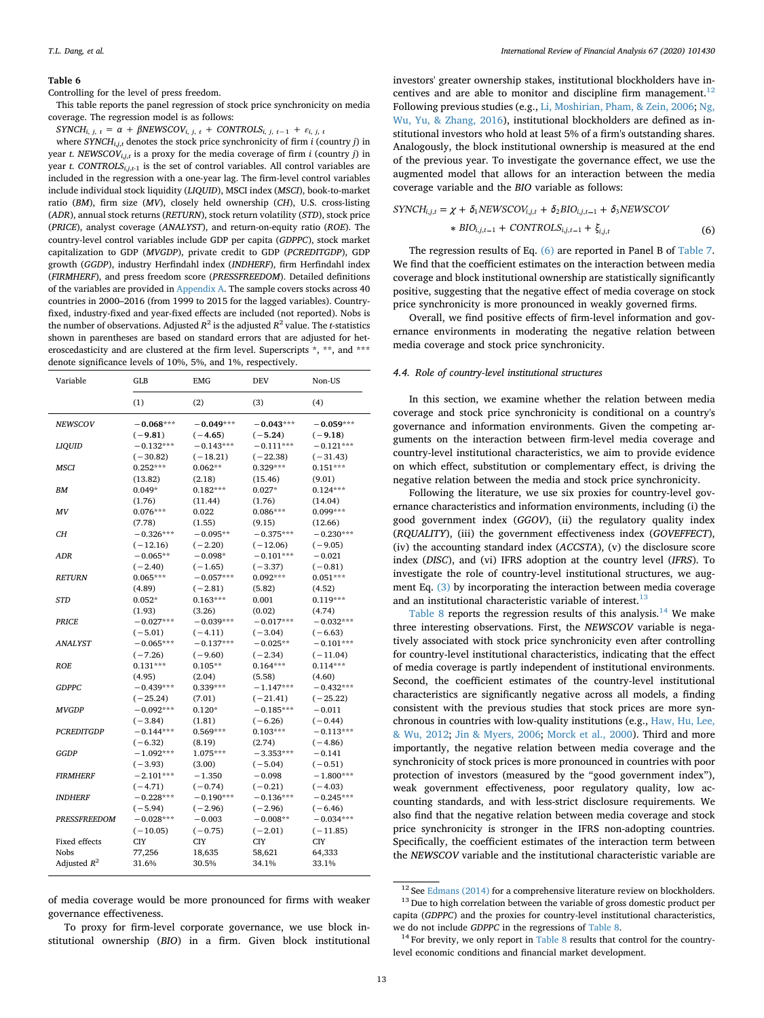<span id="page-12-0"></span>Controlling for the level of press freedom.

This table reports the panel regression of stock price synchronicity on media coverage. The regression model is as follows:

 $SYNCH_{i, j, t} = \alpha + \beta NEWSCOV_{i, j, t} + \beta UNFOLS_{i, j, t-1} + \varepsilon_{i, j, t}$ 

where *SYNCHi*,*j*,*<sup>t</sup>* denotes the stock price synchronicity of firm *i* (country *j*) in year *t*. *NEWSCOVi*,*j*,*<sup>t</sup>* is a proxy for the media coverage of firm *i* (country *j*) in year *t*. *CONTROLS*<sub>*i,j*,*t*<sub>-1</sub></sub> is the set of control variables. All control variables are included in the regression with a one-year lag. The firm-level control variables include individual stock liquidity (*LIQUID*), MSCI index (*MSCI*), book-to-market ratio (*BM*), firm size (*MV*), closely held ownership (*CH*), U.S. cross-listing (*ADR*), annual stock returns (*RETURN*), stock return volatility (*STD*), stock price (*PRICE*), analyst coverage (*ANALYST*), and return-on-equity ratio (*ROE*). The country-level control variables include GDP per capita (*GDPPC*), stock market capitalization to GDP (*MVGDP*), private credit to GDP (*PCREDITGDP*), GDP growth (*GGDP*), industry Herfindahl index (*INDHERF*), firm Herfindahl index (*FIRMHERF*), and press freedom score (*PRESSFREEDOM*). Detailed definitions of the variables are provided in [Appendix A.](#page-14-0) The sample covers stocks across 40 countries in 2000–2016 (from 1999 to 2015 for the lagged variables). Countryfixed, industry-fixed and year-fixed effects are included (not reported). Nobs is the number of observations. Adjusted  $R^2$  is the adjusted  $R^2$  value. The *t*-statistics shown in parentheses are based on standard errors that are adjusted for heteroscedasticity and are clustered at the firm level. Superscripts \*, \*\*, and \*\*\* denote significance levels of 10%, 5%, and 1%, respectively.

| Variable            | GLB         | <b>EMG</b>  | <b>DEV</b>  | Non-US      |
|---------------------|-------------|-------------|-------------|-------------|
|                     | (1)         | (2)         | (3)         | (4)         |
| <b>NEWSCOV</b>      | $-0.068***$ | $-0.049***$ | $-0.043***$ | $-0.059***$ |
|                     | $(-9.81)$   | $(-4.65)$   | $(-5.24)$   | $(-9.18)$   |
| <b>LIQUID</b>       | $-0.132***$ | $-0.143***$ | $-0.111***$ | $-0.121***$ |
|                     | $(-30.82)$  | $(-18.21)$  | $(-22.38)$  | $(-31.43)$  |
| <b>MSCI</b>         | $0.252***$  | $0.062**$   | $0.329***$  | $0.151***$  |
|                     | (13.82)     | (2.18)      | (15.46)     | (9.01)      |
| <b>BM</b>           | $0.049*$    | $0.182***$  | $0.027*$    | $0.124***$  |
|                     | (1.76)      | (11.44)     | (1.76)      | (14.04)     |
| MV                  | $0.076***$  | 0.022       | $0.086***$  | $0.099***$  |
|                     | (7.78)      | (1.55)      | (9.15)      | (12.66)     |
| CH                  | $-0.326***$ | $-0.095**$  | $-0.375***$ | $-0.230***$ |
|                     | $(-12.16)$  | $(-2.20)$   | $(-12.06)$  | $(-9.05)$   |
| <b>ADR</b>          | $-0.065**$  | $-0.098*$   | $-0.101***$ | $-0.021$    |
|                     | $(-2.40)$   | $(-1.65)$   | $(-3.37)$   | $(-0.81)$   |
| <b>RETURN</b>       | $0.065***$  | $-0.057***$ | $0.092***$  | $0.051***$  |
|                     | (4.89)      | $(-2.81)$   | (5.82)      | (4.52)      |
| <b>STD</b>          | $0.052*$    | $0.163***$  | 0.001       | $0.119***$  |
|                     | (1.93)      | (3.26)      | (0.02)      | (4.74)      |
| <b>PRICE</b>        | $-0.027***$ | $-0.039***$ | $-0.017***$ | $-0.032***$ |
|                     | $(-5.01)$   | $(-4.11)$   | $(-3.04)$   | $(-6.63)$   |
| <b>ANALYST</b>      | $-0.065***$ | $-0.137***$ | $-0.025**$  | $-0.101***$ |
|                     | $(-7.26)$   | $(-9.60)$   | $(-2.34)$   | $(-11.04)$  |
| <b>ROE</b>          | $0.131***$  | $0.105**$   | $0.164***$  | $0.114***$  |
|                     | (4.95)      | (2.04)      | (5.58)      | (4.60)      |
| <b>GDPPC</b>        | $-0.439***$ | 0.339***    | $-1.147***$ | $-0.432***$ |
|                     | $(-25.24)$  | (7.01)      | $(-21.41)$  | $(-25.22)$  |
| <b>MVGDP</b>        | $-0.092***$ | $0.120*$    | $-0.185***$ | $-0.011$    |
|                     | $(-3.84)$   | (1.81)      | $(-6.26)$   | $(-0.44)$   |
| <b>PCREDITGDP</b>   | $-0.144***$ | $0.569***$  | $0.103***$  | $-0.113***$ |
|                     | $(-6.32)$   | (8.19)      | (2.74)      | $(-4.86)$   |
| <b>GGDP</b>         | $-1.092***$ | 1.075***    | $-3.353***$ | $-0.141$    |
|                     | $(-3.93)$   | (3.00)      | $(-5.04)$   | $(-0.51)$   |
| <b>FIRMHERF</b>     | $-2.101***$ | $-1.350$    | $-0.098$    | $-1.800***$ |
|                     | $(-4.71)$   | $(-0.74)$   | $(-0.21)$   | $(-4.03)$   |
| <b>INDHERF</b>      | $-0.228***$ | $-0.190***$ | $-0.136***$ | $-0.245***$ |
|                     | $(-5.94)$   | $(-2.96)$   | $(-2.96)$   | $(-6.46)$   |
| <b>PRESSFREEDOM</b> | $-0.028***$ | $-0.003$    | $-0.008**$  | $-0.034***$ |
|                     | $(-10.05)$  | $(-0.75)$   | $(-2.01)$   | $(-11.85)$  |
| Fixed effects       | CIY         | <b>CIY</b>  | <b>CIY</b>  | <b>CIY</b>  |
| <b>Nobs</b>         | 77,256      | 18,635      | 58,621      | 64,333      |
| Adjusted $R^2$      | 31.6%       | 30.5%       | 34.1%       | 33.1%       |
|                     |             |             |             |             |

of media coverage would be more pronounced for firms with weaker governance effectiveness.

To proxy for firm-level corporate governance, we use block institutional ownership (*BIO*) in a firm. Given block institutional investors' greater ownership stakes, institutional blockholders have in-centives and are able to monitor and discipline firm management.<sup>[12](#page-12-1)</sup> Following previous studies (e.g., [Li, Moshirian, Pham, & Zein, 2006](#page-17-24); [Ng,](#page-17-25) [Wu, Yu, & Zhang, 2016](#page-17-25)), institutional blockholders are defined as institutional investors who hold at least 5% of a firm's outstanding shares. Analogously, the block institutional ownership is measured at the end of the previous year. To investigate the governance effect, we use the augmented model that allows for an interaction between the media coverage variable and the *BIO* variable as follows:

<span id="page-12-2"></span>
$$
SYNCH_{i,j,t} = \chi + \delta_1 NEWSCOV_{i,j,t} + \delta_2 BIO_{i,j,t-1} + \delta_3 NEWSCOV
$$
  
\*  $BIO_{i,j,t-1} + CONTROLS_{i,j,t-1} + \xi_{i,j,t}$  (6)

The regression results of Eq. [\(6\)](#page-12-2) are reported in Panel B of [Table 7](#page-13-1). We find that the coefficient estimates on the interaction between media coverage and block institutional ownership are statistically significantly positive, suggesting that the negative effect of media coverage on stock price synchronicity is more pronounced in weakly governed firms.

Overall, we find positive effects of firm-level information and governance environments in moderating the negative relation between media coverage and stock price synchronicity.

#### *4.4. Role of country-level institutional structures*

In this section, we examine whether the relation between media coverage and stock price synchronicity is conditional on a country's governance and information environments. Given the competing arguments on the interaction between firm-level media coverage and country-level institutional characteristics, we aim to provide evidence on which effect, substitution or complementary effect, is driving the negative relation between the media and stock price synchronicity.

Following the literature, we use six proxies for country-level governance characteristics and information environments, including (i) the good government index (*GGOV*), (ii) the regulatory quality index (*RQUALITY*), (iii) the government effectiveness index (*GOVEFFECT*), (iv) the accounting standard index (*ACCSTA*), (v) the disclosure score index (*DISC*), and (vi) IFRS adoption at the country level (*IFRS*). To investigate the role of country-level institutional structures, we augment Eq. [\(3\)](#page-6-3) by incorporating the interaction between media coverage and an institutional characteristic variable of interest.<sup>[13](#page-12-3)</sup>

[Table 8](#page-14-1) reports the regression results of this analysis.<sup>[14](#page-12-4)</sup> We make three interesting observations. First, the *NEWSCOV* variable is negatively associated with stock price synchronicity even after controlling for country-level institutional characteristics, indicating that the effect of media coverage is partly independent of institutional environments. Second, the coefficient estimates of the country-level institutional characteristics are significantly negative across all models, a finding consistent with the previous studies that stock prices are more synchronous in countries with low-quality institutions (e.g., [Haw, Hu, Lee,](#page-16-22) [& Wu, 2012](#page-16-22); [Jin & Myers, 2006;](#page-17-3) [Morck et al., 2000](#page-17-4)). Third and more importantly, the negative relation between media coverage and the synchronicity of stock prices is more pronounced in countries with poor protection of investors (measured by the "good government index"), weak government effectiveness, poor regulatory quality, low accounting standards, and with less-strict disclosure requirements. We also find that the negative relation between media coverage and stock price synchronicity is stronger in the IFRS non-adopting countries. Specifically, the coefficient estimates of the interaction term between the *NEWSCOV* variable and the institutional characteristic variable are

<span id="page-12-1"></span> $^{12}$  See [Edmans \(2014\)](#page-16-42) for a comprehensive literature review on blockholders.

<span id="page-12-3"></span> $13$  Due to high correlation between the variable of gross domestic product per capita (*GDPPC*) and the proxies for country-level institutional characteristics, we do not include *GDPPC* in the regressions of [Table 8](#page-14-1).

<span id="page-12-4"></span> $14$  For brevity, we only report in [Table 8](#page-14-1) results that control for the countrylevel economic conditions and financial market development.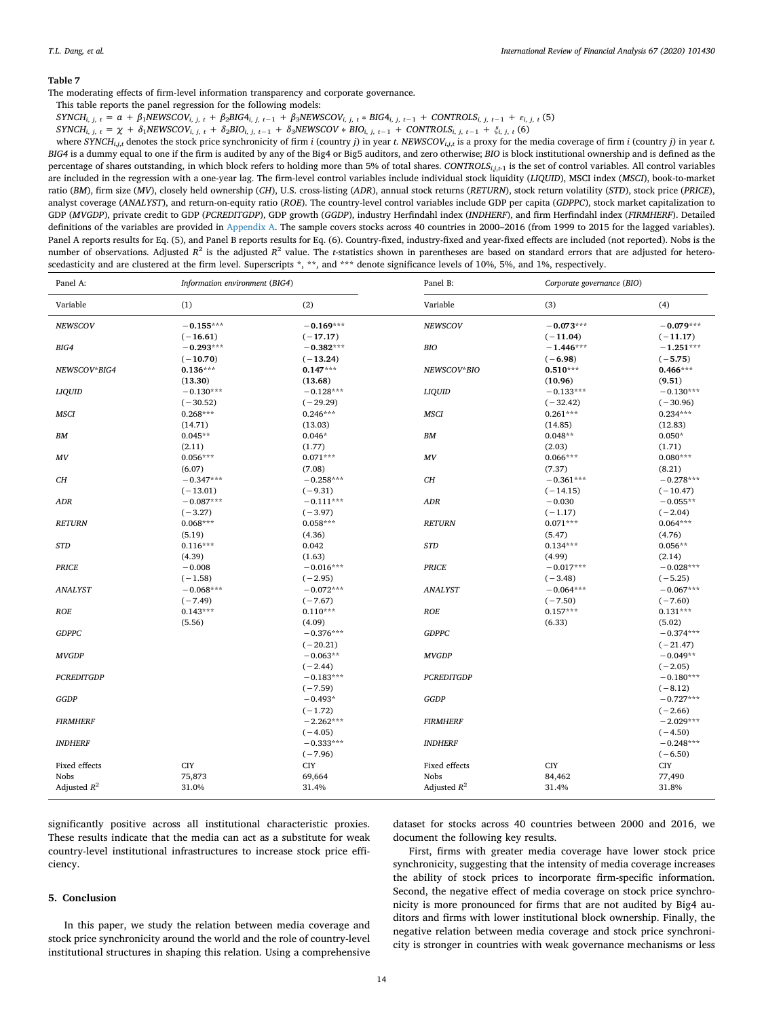<span id="page-13-1"></span>The moderating effects of firm-level information transparency and corporate governance.

This table reports the panel regression for the following models:

 $SYNCH_{i,j,t} = \alpha + \beta_1 NEWSCOV_{i,j,t} + \beta_2 BIG4_{i,j,t-1} + \beta_3 NEWSCOV_{i,j,t} * BIG4_{i,j,t-1} + CONTROLS_{i,j,t-1} + \varepsilon_{i,j,t}$  (5)

SYNCH<sub>i, j, t</sub> =  $\chi$  +  $\delta_1$ NEWSCOV<sub>i, j, t</sub> +  $\delta_2$ BIO<sub>i, j, t-1</sub> +  $\delta_3$ NEWSCOV \* BIO<sub>i, j, t-1</sub> + CONTROLS<sub>i, j, t-1</sub> +  $\xi_{i, j, t}$  (6)

where SYNCH<sub>i,i,t</sub> denotes the stock price synchronicity of firm i (country j) in year t. NEWSCOV<sub>i,j,t</sub> is a proxy for the media coverage of firm i (country j) in year t. *BIG4* is a dummy equal to one if the firm is audited by any of the Big4 or Big5 auditors, and zero otherwise; *BIO* is block institutional ownership and is defined as the percentage of shares outstanding, in which block refers to holding more than 5% of total shares. *CONTROLSi*,*j*,*t*-1 is the set of control variables. All control variables are included in the regression with a one-year lag. The firm-level control variables include individual stock liquidity (*LIQUID*), MSCI index (*MSCI*), book-to-market ratio (*BM*), firm size (*MV*), closely held ownership (*CH*), U.S. cross-listing (*ADR*), annual stock returns (*RETURN*), stock return volatility (*STD*), stock price (*PRICE*), analyst coverage (*ANALYST*), and return-on-equity ratio (*ROE*). The country-level control variables include GDP per capita (*GDPPC*), stock market capitalization to GDP (*MVGDP*), private credit to GDP (*PCREDITGDP*), GDP growth (*GGDP*), industry Herfindahl index (*INDHERF*), and firm Herfindahl index (*FIRMHERF*). Detailed definitions of the variables are provided in [Appendix A](#page-14-0). The sample covers stocks across 40 countries in 2000–2016 (from 1999 to 2015 for the lagged variables). Panel A reports results for Eq. (5), and Panel B reports results for Eq. (6). Country-fixed, industry-fixed and year-fixed effects are included (not reported). Nobs is the number of observations. Adjusted *R*<sup>2</sup> is the adjusted *R*<sup>2</sup> value. The *t*-statistics shown in parentheses are based on standard errors that are adjusted for heteroscedasticity and are clustered at the firm level. Superscripts  $\hat{p}$ ,  $\hat{p}$ , and  $\hat{p}$  and  $\hat{p}$  and  $\hat{p}$  and  $\hat{p}$ ,  $\hat{p}$ , and  $\hat{p}$ ,  $\hat{p}$ ,  $\hat{p}$ ,  $\hat{p}$ ,  $\hat{p}$ ,  $\hat{p}$ ,  $\hat{p}$ ,  $\hat{p}$ ,  $\hat{p}$ 

| Panel A:             | Information environment (BIG4) |             | Panel B:                       | Corporate governance (BIO) |                 |
|----------------------|--------------------------------|-------------|--------------------------------|----------------------------|-----------------|
| Variable             | (1)                            | (2)         | Variable                       | (3)                        | (4)             |
| <b>NEWSCOV</b>       | $-0.155***$                    | $-0.169***$ | <b>NEWSCOV</b>                 | $-0.073***$                | $-0.079***$     |
|                      | $(-16.61)$                     | $(-17.17)$  |                                | $(-11.04)$                 | $(-11.17)$      |
| BIG4                 | $-0.293***$                    | $-0.382***$ | <b>BIO</b>                     | $-1.446***$                | $-1.251***$     |
|                      | $(-10.70)$                     | $(-13.24)$  |                                | $(-6.98)$                  | $(-5.75)$       |
| NEWSCOV*BIG4         | $0.136***$                     | $0.147***$  | NEWSCOV*BIO                    | $0.510***$                 | $0.466***$      |
|                      | (13.30)                        | (13.68)     |                                | (10.96)                    | (9.51)          |
| <b>LIQUID</b>        | $-0.130***$                    | $-0.128***$ | <b>LIQUID</b>                  | $-0.133***$                | $-0.130***$     |
|                      | $(-30.52)$                     | $(-29.29)$  |                                | $(-32.42)$                 | $(-30.96)$      |
| <b>MSCI</b>          | $0.268***$                     | $0.246***$  | <b>MSCI</b>                    | $0.261***$                 | $0.234***$      |
|                      | (14.71)                        | (13.03)     |                                | (14.85)                    | (12.83)         |
| BМ                   | $0.045**$                      | $0.046*$    | <b>BM</b>                      | $0.048**$                  | $0.050*$        |
|                      | (2.11)                         | (1.77)      |                                | (2.03)                     | (1.71)          |
| MV                   | $0.056***$                     | $0.071***$  | $\boldsymbol{M}\boldsymbol{V}$ | $0.066***$                 | $0.080***$      |
|                      | (6.07)                         | (7.08)      |                                | (7.37)                     | (8.21)          |
| CH                   | $-0.347***$                    | $-0.258***$ | CH                             | $-0.361***$                | $-0.278***$     |
|                      | $(-13.01)$                     | $(-9.31)$   |                                | $(-14.15)$                 | $(-10.47)$      |
| ADR                  | $-0.087***$                    | $-0.111***$ | <b>ADR</b>                     | $-0.030$                   | $-0.055**$      |
|                      | $(-3.27)$                      | $(-3.97)$   |                                | $(-1.17)$                  | $(-2.04)$       |
| <b>RETURN</b>        | $0.068***$                     | $0.058***$  | <b>RETURN</b>                  | $0.071***$                 | $0.064***$      |
|                      | (5.19)                         | (4.36)      |                                | (5.47)                     | (4.76)          |
| <b>STD</b>           | $0.116***$                     | 0.042       | <b>STD</b>                     | $0.134***$                 | $0.056**$       |
|                      | (4.39)                         | (1.63)      |                                | (4.99)                     | (2.14)          |
| PRICE                | $-0.008$                       | $-0.016***$ | <b>PRICE</b>                   | $-0.017***$                | $-0.028***$     |
|                      | $(-1.58)$                      | $(-2.95)$   |                                | $(-3.48)$                  | $(-5.25)$       |
| <b>ANALYST</b>       | $-0.068***$                    | $-0.072***$ | <b>ANALYST</b>                 | $-0.064***$                | $-0.067***$     |
|                      | $(-7.49)$                      | $(-7.67)$   |                                | $(-7.50)$                  | $(-7.60)$       |
| ROE                  | $0.143***$                     | $0.110***$  | ROE                            | $0.157***$                 | $0.131***$      |
|                      | (5.56)                         | (4.09)      |                                | (6.33)                     | (5.02)          |
| <b>GDPPC</b>         |                                | $-0.376***$ | <b>GDPPC</b>                   |                            | $-0.374***$     |
|                      |                                | $(-20.21)$  |                                |                            | $(-21.47)$      |
| <b>MVGDP</b>         |                                | $-0.063**$  | <b>MVGDP</b>                   |                            | $-0.049**$      |
|                      |                                | $(-2.44)$   |                                |                            | $(-2.05)$       |
| <b>PCREDITGDP</b>    |                                | $-0.183***$ | <b>PCREDITGDP</b>              |                            | $-0.180***$     |
|                      |                                | $(-7.59)$   |                                |                            | $(-8.12)$       |
| GGDP                 |                                | $-0.493*$   | GGDP                           |                            | $-0.727***$     |
|                      |                                | $(-1.72)$   |                                |                            | $(-2.66)$       |
| <b>FIRMHERF</b>      |                                | $-2.262***$ | <b>FIRMHERF</b>                |                            | $-2.029***$     |
|                      |                                | $(-4.05)$   |                                |                            | $(-4.50)$       |
| <b>INDHERF</b>       |                                | $-0.333***$ | <b>INDHERF</b>                 |                            | $-0.248***$     |
|                      |                                | $(-7.96)$   |                                |                            | $(-6.50)$       |
| <b>Fixed effects</b> | <b>CIY</b>                     | <b>CIY</b>  | Fixed effects                  | <b>CIY</b>                 | C <sub>IV</sub> |
| Nobs                 | 75,873                         |             | <b>Nobs</b>                    |                            |                 |
|                      |                                | 69,664      |                                | 84,462                     | 77,490          |
| Adjusted $R^2$       | 31.0%                          | 31.4%       | Adjusted $R^2$                 | 31.4%                      | 31.8%           |

significantly positive across all institutional characteristic proxies. These results indicate that the media can act as a substitute for weak country-level institutional infrastructures to increase stock price efficiency.

#### <span id="page-13-0"></span>**5. Conclusion**

In this paper, we study the relation between media coverage and stock price synchronicity around the world and the role of country-level institutional structures in shaping this relation. Using a comprehensive

dataset for stocks across 40 countries between 2000 and 2016, we document the following key results.

First, firms with greater media coverage have lower stock price synchronicity, suggesting that the intensity of media coverage increases the ability of stock prices to incorporate firm-specific information. Second, the negative effect of media coverage on stock price synchronicity is more pronounced for firms that are not audited by Big4 auditors and firms with lower institutional block ownership. Finally, the negative relation between media coverage and stock price synchronicity is stronger in countries with weak governance mechanisms or less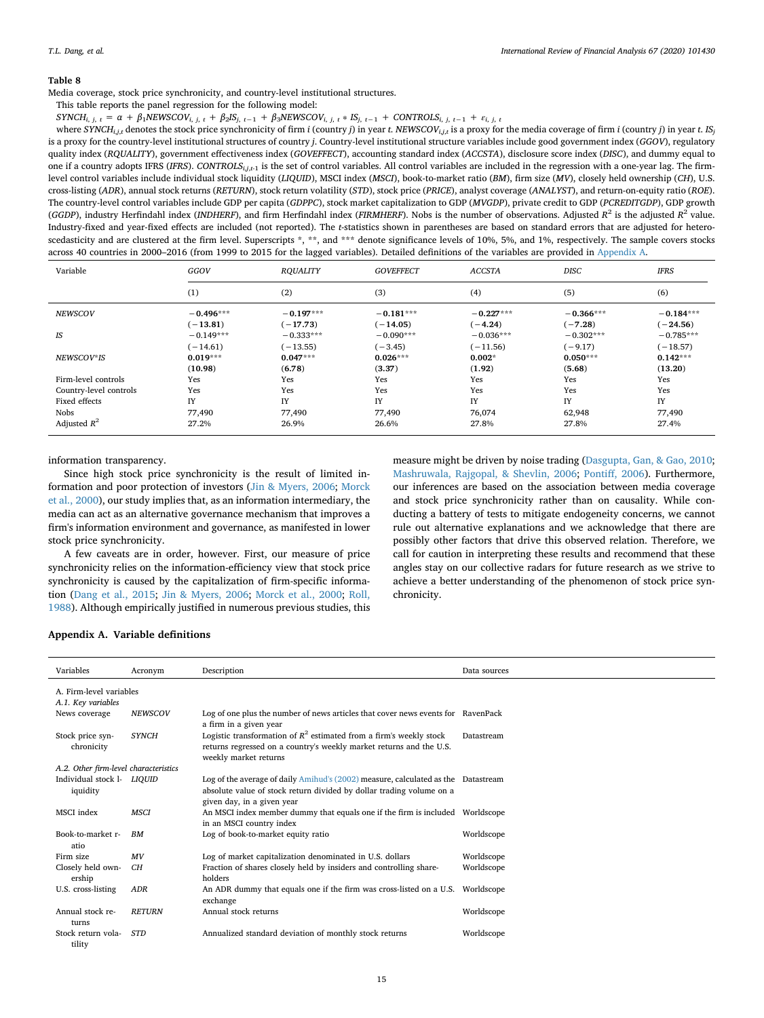<span id="page-14-1"></span>Media coverage, stock price synchronicity, and country-level institutional structures.

This table reports the panel regression for the following model:

 $SYNCH_{i, j, t} = \alpha + \beta_1 NEWSCOV_{i, j, t} + \beta_2 IS_{j, t-1} + \beta_3 NEWSCOV_{i, j, t} * IS_{j, t-1} + CONTROIS_{i, j, t-1} + \varepsilon_{i, j, t}$ 

where SYNCH<sub>i,j,t</sub> denotes the stock price synchronicity of firm i (country j) in year t. NEWSCOV<sub>i,j,t</sub> is a proxy for the media coverage of firm i (country j) in year t. IS<sub>i</sub> is a proxy for the country-level institutional structures of country *j*. Country-level institutional structure variables include good government index (*GGOV*), regulatory quality index (*RQUALITY*), government effectiveness index (*GOVEFFECT*), accounting standard index (*ACCSTA*), disclosure score index (*DISC*), and dummy equal to one if a country adopts IFRS (*IFRS*). *CONTROLSi*,*j*,*t*-1 is the set of control variables. All control variables are included in the regression with a one-year lag. The firmlevel control variables include individual stock liquidity (*LIQUID*), MSCI index (*MSCI*), book-to-market ratio (*BM*), firm size (*MV*), closely held ownership (*CH*), U.S. cross-listing (*ADR*), annual stock returns (*RETURN*), stock return volatility (*STD*), stock price (*PRICE*), analyst coverage (*ANALYST*), and return-on-equity ratio (*ROE*). The country-level control variables include GDP per capita (*GDPPC*), stock market capitalization to GDP (*MVGDP*), private credit to GDP (*PCREDITGDP*), GDP growth (*GGDP*), industry Herfindahl index (*INDHERF*), and firm Herfindahl index (*FIRMHERF*). Nobs is the number of observations. Adjusted  $R^2$  is the adjusted  $R^2$  value. Industry-fixed and year-fixed effects are included (not reported). The *t*-statistics shown in parentheses are based on standard errors that are adjusted for heteroscedasticity and are clustered at the firm level. Superscripts \*, \*\*, and \*\*\* denote significance levels of 10%, 5%, and 1%, respectively. The sample covers stocks across 40 countries in 2000–2016 (from 1999 to 2015 for the lagged variables). Detailed definitions of the variables are provided in [Appendix A](#page-14-0).

| Variable               | GGOV                      | <b>RQUALITY</b>           | <b>GOVEFFECT</b>          | <b>ACCSTA</b>             | <b>DISC</b>              | <b>IFRS</b>               |
|------------------------|---------------------------|---------------------------|---------------------------|---------------------------|--------------------------|---------------------------|
|                        | (1)                       | (2)                       | (3)                       | (4)                       | (5)                      | (6)                       |
| <b>NEWSCOV</b>         | $-0.496***$<br>$(-13.81)$ | $-0.197***$<br>$(-17.73)$ | $-0.181***$<br>$(-14.05)$ | $-0.227***$<br>$(-4.24)$  | $-0.366***$<br>$(-7.28)$ | $-0.184***$<br>$(-24.56)$ |
| IS                     | $-0.149***$<br>$(-14.61)$ | $-0.333***$<br>$(-13.55)$ | $-0.090***$<br>$(-3.45)$  | $-0.036***$<br>$(-11.56)$ | $-0.302***$<br>$(-9.17)$ | $-0.785***$<br>$(-18.57)$ |
| NEWSCOV*IS             | $0.019***$<br>(10.98)     | $0.047***$                | $0.026***$                | $0.002*$<br>(1.92)        | $0.050***$               | $0.142***$                |
| Firm-level controls    | Yes                       | (6.78)<br>Yes             | (3.37)<br>Yes             | Yes                       | (5.68)<br>Yes            | (13.20)<br>Yes            |
| Country-level controls | Yes                       | Yes                       | Yes                       | Yes                       | Yes                      | Yes                       |
| Fixed effects          | IY                        | IY                        | IY                        | IY                        | IY                       | IY                        |
| Nobs                   | 77,490                    | 77,490                    | 77,490                    | 76,074                    | 62,948                   | 77,490                    |
| Adjusted $R^2$         | 27.2%                     | 26.9%                     | 26.6%                     | 27.8%                     | 27.8%                    | 27.4%                     |

information transparency.

Since high stock price synchronicity is the result of limited information and poor protection of investors [\(Jin & Myers, 2006](#page-17-3); [Morck](#page-17-4) [et al., 2000\)](#page-17-4), our study implies that, as an information intermediary, the media can act as an alternative governance mechanism that improves a firm's information environment and governance, as manifested in lower stock price synchronicity.

A few caveats are in order, however. First, our measure of price synchronicity relies on the information-efficiency view that stock price synchronicity is caused by the capitalization of firm-specific information ([Dang et al., 2015](#page-16-2); [Jin & Myers, 2006;](#page-17-3) [Morck et al., 2000;](#page-17-4) [Roll,](#page-17-26) [1988\)](#page-17-26). Although empirically justified in numerous previous studies, this

measure might be driven by noise trading ([Dasgupta, Gan, & Gao, 2010](#page-16-43); [Mashruwala, Rajgopal, & Shevlin, 2006;](#page-17-27) [Pontiff, 2006\)](#page-17-28). Furthermore, our inferences are based on the association between media coverage and stock price synchronicity rather than on causality. While conducting a battery of tests to mitigate endogeneity concerns, we cannot rule out alternative explanations and we acknowledge that there are possibly other factors that drive this observed relation. Therefore, we call for caution in interpreting these results and recommend that these angles stay on our collective radars for future research as we strive to achieve a better understanding of the phenomenon of stock price synchronicity.

## <span id="page-14-0"></span>**Appendix A. Variable definitions**

| Variables                                     | Acronym        | Description                                                                                                                                                           | Data sources |
|-----------------------------------------------|----------------|-----------------------------------------------------------------------------------------------------------------------------------------------------------------------|--------------|
| A. Firm-level variables<br>A.1. Key variables |                |                                                                                                                                                                       |              |
| News coverage                                 | <b>NEWSCOV</b> | Log of one plus the number of news articles that cover news events for RavenPack<br>a firm in a given year                                                            |              |
| Stock price syn-<br>chronicity                | <b>SYNCH</b>   | Logistic transformation of $R^2$ estimated from a firm's weekly stock<br>returns regressed on a country's weekly market returns and the U.S.<br>weekly market returns | Datastream   |
| A.2. Other firm-level characteristics         |                |                                                                                                                                                                       |              |
| Individual stock 1- LIOUID<br>iquidity        |                | Log of the average of daily Amihud's (2002) measure, calculated as the Datastream<br>absolute value of stock return divided by dollar trading volume on a             |              |
|                                               |                | given day, in a given year                                                                                                                                            |              |
| MSCI index                                    | <b>MSCI</b>    | An MSCI index member dummy that equals one if the firm is included Worldscope<br>in an MSCI country index                                                             |              |
| Book-to-market r-<br>atio                     | <b>BM</b>      | Log of book-to-market equity ratio                                                                                                                                    | Worldscope   |
| Firm size                                     | MV             | Log of market capitalization denominated in U.S. dollars                                                                                                              | Worldscope   |
| Closely held own-<br>ership                   | CH             | Fraction of shares closely held by insiders and controlling share-<br>holders                                                                                         | Worldscope   |
| U.S. cross-listing                            | ADR            | An ADR dummy that equals one if the firm was cross-listed on a U.S.<br>exchange                                                                                       | Worldscope   |
| Annual stock re-<br>turns                     | <b>RETURN</b>  | Annual stock returns                                                                                                                                                  | Worldscope   |
| Stock return vola-<br>tility                  | <b>STD</b>     | Annualized standard deviation of monthly stock returns                                                                                                                | Worldscope   |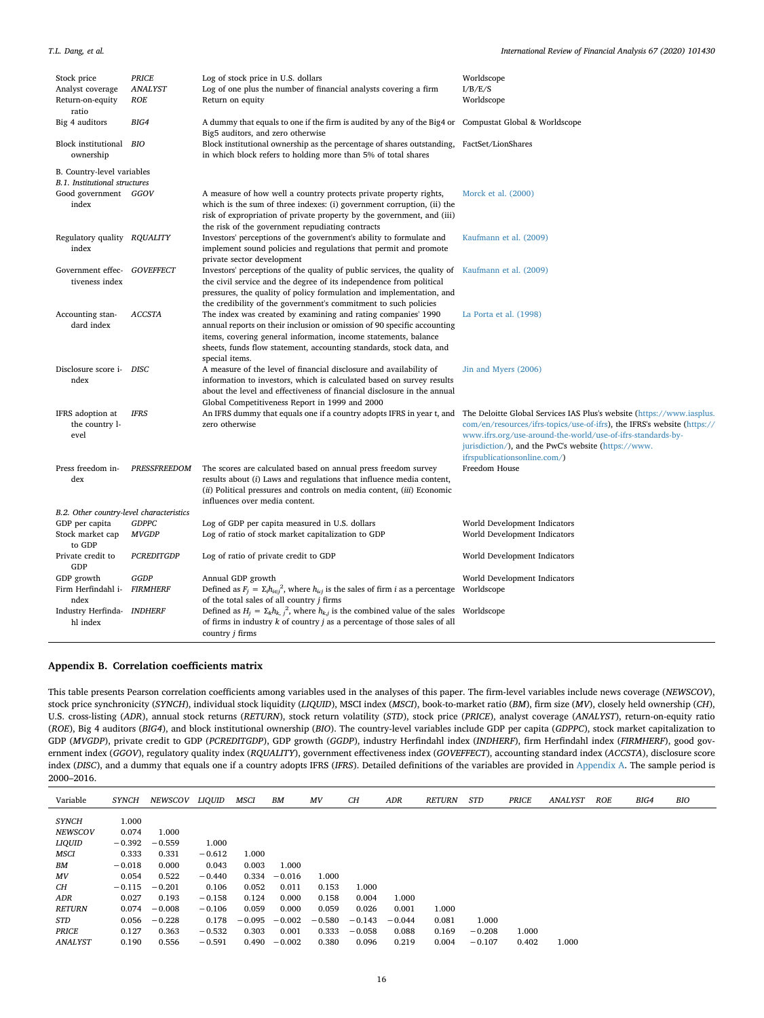| Stock price<br>Analyst coverage<br>Return-on-equity<br>ratio | <b>PRICE</b><br><b>ANALYST</b><br><b>ROE</b> | Log of stock price in U.S. dollars<br>Log of one plus the number of financial analysts covering a firm<br>Return on equity                                                                                                                                                                           | Worldscope<br>I/B/E/S<br>Worldscope                                                                                                                                                                                                                                                                    |
|--------------------------------------------------------------|----------------------------------------------|------------------------------------------------------------------------------------------------------------------------------------------------------------------------------------------------------------------------------------------------------------------------------------------------------|--------------------------------------------------------------------------------------------------------------------------------------------------------------------------------------------------------------------------------------------------------------------------------------------------------|
| Big 4 auditors                                               | BIG4                                         | A dummy that equals to one if the firm is audited by any of the Big4 or Compustat Global & Worldscope<br>Big5 auditors, and zero otherwise                                                                                                                                                           |                                                                                                                                                                                                                                                                                                        |
| Block institutional BIO<br>ownership                         |                                              | Block institutional ownership as the percentage of shares outstanding, FactSet/LionShares<br>in which block refers to holding more than 5% of total shares                                                                                                                                           |                                                                                                                                                                                                                                                                                                        |
| B. Country-level variables<br>B.1. Institutional structures  |                                              |                                                                                                                                                                                                                                                                                                      |                                                                                                                                                                                                                                                                                                        |
| Good government GGOV<br>index                                |                                              | A measure of how well a country protects private property rights,<br>which is the sum of three indexes: (i) government corruption, (ii) the<br>risk of expropriation of private property by the government, and (iii)<br>the risk of the government repudiating contracts                            | Morck et al. (2000)                                                                                                                                                                                                                                                                                    |
| Regulatory quality RQUALITY<br>index                         |                                              | Investors' perceptions of the government's ability to formulate and<br>implement sound policies and regulations that permit and promote<br>private sector development                                                                                                                                | Kaufmann et al. (2009)                                                                                                                                                                                                                                                                                 |
| Government effec-<br>tiveness index                          | <b>GOVEFFECT</b>                             | Investors' perceptions of the quality of public services, the quality of<br>the civil service and the degree of its independence from political<br>pressures, the quality of policy formulation and implementation, and<br>the credibility of the government's commitment to such policies           | Kaufmann et al. (2009)                                                                                                                                                                                                                                                                                 |
| Accounting stan-<br>dard index                               | <b>ACCSTA</b>                                | The index was created by examining and rating companies' 1990<br>annual reports on their inclusion or omission of 90 specific accounting<br>items, covering general information, income statements, balance<br>sheets, funds flow statement, accounting standards, stock data, and<br>special items. | La Porta et al. (1998)                                                                                                                                                                                                                                                                                 |
| Disclosure score i- DISC<br>ndex                             |                                              | A measure of the level of financial disclosure and availability of<br>information to investors, which is calculated based on survey results<br>about the level and effectiveness of financial disclosure in the annual<br>Global Competitiveness Report in 1999 and 2000                             | Jin and Myers (2006)                                                                                                                                                                                                                                                                                   |
| IFRS adoption at<br>the country 1-<br>evel                   | <b>IFRS</b>                                  | An IFRS dummy that equals one if a country adopts IFRS in year t, and<br>zero otherwise                                                                                                                                                                                                              | The Deloitte Global Services IAS Plus's website (https://www.iasplus.<br>com/en/resources/ifrs-topics/use-of-ifrs), the IFRS's website (https://<br>www.ifrs.org/use-around-the-world/use-of-ifrs-standards-by-<br>jurisdiction/), and the PwC's website (https://www.<br>ifrspublicationsonline.com/) |
| Press freedom in-<br>dex                                     | PRESSFREEDOM                                 | The scores are calculated based on annual press freedom survey<br>results about (i) Laws and regulations that influence media content,<br>(ii) Political pressures and controls on media content, (iii) Economic<br>influences over media content.                                                   | Freedom House                                                                                                                                                                                                                                                                                          |
| B.2. Other country-level characteristics                     |                                              |                                                                                                                                                                                                                                                                                                      |                                                                                                                                                                                                                                                                                                        |
| GDP per capita<br>Stock market cap<br>to GDP                 | <b>GDPPC</b><br><b>MVGDP</b>                 | Log of GDP per capita measured in U.S. dollars<br>Log of ratio of stock market capitalization to GDP                                                                                                                                                                                                 | World Development Indicators<br>World Development Indicators                                                                                                                                                                                                                                           |
| Private credit to<br>GDP                                     | <b>PCREDITGDP</b>                            | Log of ratio of private credit to GDP                                                                                                                                                                                                                                                                | World Development Indicators                                                                                                                                                                                                                                                                           |
| GDP growth<br>Firm Herfindahl i-<br>ndex                     | <b>GGDP</b><br><b>FIRMHERF</b>               | Annual GDP growth<br>Defined as $F_i = \sum_i h_{i \in i}^2$ , where $h_{i \in i}$ is the sales of firm <i>i</i> as a percentage Worldscope<br>of the total sales of all country j firms                                                                                                             | World Development Indicators                                                                                                                                                                                                                                                                           |
| Industry Herfinda- INDHERF<br>hl index                       |                                              | Defined as $H_i = \sum_k h_{k,i}^2$ , where $h_{k,i}$ is the combined value of the sales Worldscope<br>of firms in industry $k$ of country $j$ as a percentage of those sales of all<br>country <i>j</i> firms                                                                                       |                                                                                                                                                                                                                                                                                                        |

## <span id="page-15-0"></span>**Appendix B. Correlation coefficients matrix**

This table presents Pearson correlation coefficients among variables used in the analyses of this paper. The firm-level variables include news coverage (*NEWSCOV*), stock price synchronicity (*SYNCH*), individual stock liquidity (*LIQUID*), MSCI index (*MSCI*), book-to-market ratio (*BM*), firm size (*MV*), closely held ownership (*CH*), U.S. cross-listing (*ADR*), annual stock returns (*RETURN*), stock return volatility (*STD*), stock price (*PRICE*), analyst coverage (*ANALYST*), return-on-equity ratio (*ROE*), Big 4 auditors (*BIG4*), and block institutional ownership (*BIO*). The country-level variables include GDP per capita (*GDPPC*), stock market capitalization to GDP (*MVGDP*), private credit to GDP (*PCREDITGDP*), GDP growth (*GGDP*), industry Herfindahl index (*INDHERF*), firm Herfindahl index (*FIRMHERF*), good government index (*GGOV*), regulatory quality index (*RQUALITY*), government effectiveness index (*GOVEFFECT*), accounting standard index (*ACCSTA*), disclosure score index (*DISC*), and a dummy that equals one if a country adopts IFRS (*IFRS*). Detailed definitions of the variables are provided in [Appendix A](#page-14-0). The sample period is 2000–2016.

| Variable       | SYNCH    | NEWSCOV  | LIOUID   | MSCI     | BM       | MV       | CН       | ADR      | <b>RETURN</b> | <b>STD</b> | <b>PRICE</b> | ANALYST | <b>ROE</b> | BIG4 | BIC |
|----------------|----------|----------|----------|----------|----------|----------|----------|----------|---------------|------------|--------------|---------|------------|------|-----|
|                |          |          |          |          |          |          |          |          |               |            |              |         |            |      |     |
| <b>SYNCH</b>   | 1.000    |          |          |          |          |          |          |          |               |            |              |         |            |      |     |
| <b>NEWSCOV</b> | 0.074    | 1.000    |          |          |          |          |          |          |               |            |              |         |            |      |     |
| <b>LIQUID</b>  | $-0.392$ | $-0.559$ | 1.000    |          |          |          |          |          |               |            |              |         |            |      |     |
| MSCI           | 0.333    | 0.331    | $-0.612$ | 1.000    |          |          |          |          |               |            |              |         |            |      |     |
| BM             | $-0.018$ | 0.000    | 0.043    | 0.003    | 1.000    |          |          |          |               |            |              |         |            |      |     |
| MV             | 0.054    | 0.522    | $-0.440$ | 0.334    | $-0.016$ | 1.000    |          |          |               |            |              |         |            |      |     |
| CН             | $-0.115$ | $-0.201$ | 0.106    | 0.052    | 0.011    | 0.153    | 1.000    |          |               |            |              |         |            |      |     |
| ADR            | 0.027    | 0.193    | $-0.158$ | 0.124    | 0.000    | 0.158    | 0.004    | 1.000    |               |            |              |         |            |      |     |
| <b>RETURN</b>  | 0.074    | $-0.008$ | $-0.106$ | 0.059    | 0.000    | 0.059    | 0.026    | 0.001    | 1.000         |            |              |         |            |      |     |
| STD            | 0.056    | $-0.228$ | 0.178    | $-0.095$ | $-0.002$ | $-0.580$ | $-0.143$ | $-0.044$ | 0.081         | 1.000      |              |         |            |      |     |
| <b>PRICE</b>   | 0.127    | 0.363    | $-0.532$ | 0.303    | 0.001    | 0.333    | $-0.058$ | 0.088    | 0.169         | $-0.208$   | 1.000        |         |            |      |     |
| <b>ANALYST</b> | 0.190    | 0.556    | $-0.591$ | 0.490    | $-0.002$ | 0.380    | 0.096    | 0.219    | 0.004         | $-0.107$   | 0.402        | 1.000   |            |      |     |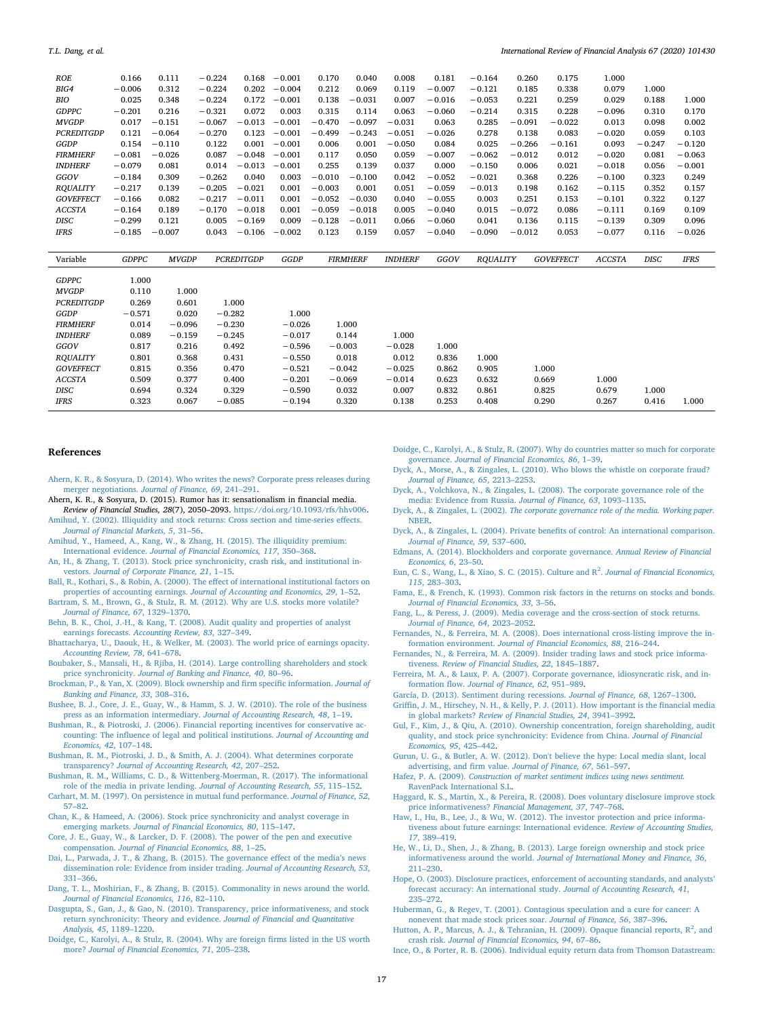| ROE               | 0.166        | 0.111        | $-0.224$ | 0.168      | $-0.001$ | 0.170    | 0.040           | 0.008          | 0.181    | $-0.164$        | 0.260    | 0.175            | 1.000         |             |             |  |
|-------------------|--------------|--------------|----------|------------|----------|----------|-----------------|----------------|----------|-----------------|----------|------------------|---------------|-------------|-------------|--|
| BIG4              | $-0.006$     | 0.312        | $-0.224$ | 0.202      | $-0.004$ | 0.212    | 0.069           | 0.119          | $-0.007$ | $-0.121$        | 0.185    | 0.338            | 0.079         | 1.000       |             |  |
| BIO               | 0.025        | 0.348        | $-0.224$ | 0.172      | $-0.001$ | 0.138    | $-0.031$        | 0.007          | $-0.016$ | $-0.053$        | 0.221    | 0.259            | 0.029         | 0.188       | 1.000       |  |
| <b>GDPPC</b>      | $-0.201$     | 0.216        | $-0.321$ | 0.072      | 0.003    | 0.315    | 0.114           | 0.063          | $-0.060$ | $-0.214$        | 0.315    | 0.228            | $-0.096$      | 0.310       | 0.170       |  |
| <b>MVGDP</b>      | 0.017        | $-0.151$     | $-0.067$ | $-0.013$   | $-0.001$ | $-0.470$ | $-0.097$        | $-0.031$       | 0.063    | 0.285           | $-0.091$ | $-0.022$         | 0.013         | 0.098       | 0.002       |  |
| <b>PCREDITGDP</b> | 0.121        | $-0.064$     | $-0.270$ | 0.123      | $-0.001$ | $-0.499$ | $-0.243$        | $-0.051$       | $-0.026$ | 0.278           | 0.138    | 0.083            | $-0.020$      | 0.059       | 0.103       |  |
| GGDP              | 0.154        | $-0.110$     | 0.122    | 0.001      | $-0.001$ | 0.006    | 0.001           | $-0.050$       | 0.084    | 0.025           | $-0.266$ | $-0.161$         | 0.093         | $-0.247$    | $-0.120$    |  |
| <b>FIRMHERF</b>   | $-0.081$     | $-0.026$     | 0.087    | $-0.048$   | $-0.001$ | 0.117    | 0.050           | 0.059          | $-0.007$ | $-0.062$        | $-0.012$ | 0.012            | $-0.020$      | 0.081       | $-0.063$    |  |
| <b>INDHERF</b>    | $-0.079$     | 0.081        | 0.014    | $-0.013$   | $-0.001$ | 0.255    | 0.139           | 0.037          | 0.000    | $-0.150$        | 0.006    | 0.021            | $-0.018$      | 0.056       | $-0.001$    |  |
| GGOV              | $-0.184$     | 0.309        | $-0.262$ | 0.040      | 0.003    | $-0.010$ | $-0.100$        | 0.042          | $-0.052$ | $-0.021$        | 0.368    | 0.226            | $-0.100$      | 0.323       | 0.249       |  |
| <b>RQUALITY</b>   | $-0.217$     | 0.139        | $-0.205$ | $-0.021$   | 0.001    | $-0.003$ | 0.001           | 0.051          | $-0.059$ | $-0.013$        | 0.198    | 0.162            | $-0.115$      | 0.352       | 0.157       |  |
| <b>GOVEFFECT</b>  | $-0.166$     | 0.082        | $-0.217$ | $-0.011$   | 0.001    | $-0.052$ | $-0.030$        | 0.040          | $-0.055$ | 0.003           | 0.251    | 0.153            | $-0.101$      | 0.322       | 0.127       |  |
| <b>ACCSTA</b>     | $-0.164$     | 0.189        | $-0.170$ | $-0.018$   | 0.001    | $-0.059$ | $-0.018$        | 0.005          | $-0.040$ | 0.015           | $-0.072$ | 0.086            | $-0.111$      | 0.169       | 0.109       |  |
| <b>DISC</b>       | $-0.299$     | 0.121        | 0.005    | $-0.169$   | 0.009    | $-0.128$ | $-0.011$        | 0.066          | $-0.060$ | 0.041           | 0.136    | 0.115            | $-0.139$      | 0.309       | 0.096       |  |
| IFRS              | $-0.185$     | $-0.007$     | 0.043    | $-0.106$   | $-0.002$ | 0.123    | 0.159           | 0.057          | $-0.040$ | $-0.090$        | $-0.012$ | 0.053            | $-0.077$      | 0.116       | $-0.026$    |  |
|                   |              |              |          |            |          |          |                 |                |          |                 |          |                  |               |             |             |  |
| Variable          | <b>GDPPC</b> | <b>MVGDP</b> |          | PCREDITGDP | GGDP     |          | <b>FIRMHERF</b> | <b>INDHERF</b> | GGOV     | <b>RQUALITY</b> |          | <b>GOVEFFECT</b> | <b>ACCSTA</b> | <b>DISC</b> | <b>IFRS</b> |  |
|                   |              |              |          |            |          |          |                 |                |          |                 |          |                  |               |             |             |  |
| <b>GDPPC</b>      | 1.000        |              |          |            |          |          |                 |                |          |                 |          |                  |               |             |             |  |
| <b>MVGDP</b>      | 0.110        | 1.000        |          |            |          |          |                 |                |          |                 |          |                  |               |             |             |  |
| <b>PCREDITGDP</b> | 0.269        | 0.601        |          | 1.000      |          |          |                 |                |          |                 |          |                  |               |             |             |  |
| GGDP              | $-0.571$     | 0.020        | $-0.282$ |            | 1.000    |          |                 |                |          |                 |          |                  |               |             |             |  |
| <b>FIRMHERE</b>   | 0.014        | $-0.096$     | – 0 230  |            | $-0.026$ |          | 1.000           |                |          |                 |          |                  |               |             |             |  |

| <i>FIRMHERF</i>  | 0.014 | $-0.096$ | $-0.230$ | $-0.026$ | L.000    |          |       |       |       |       |       |       |
|------------------|-------|----------|----------|----------|----------|----------|-------|-------|-------|-------|-------|-------|
| <b>INDHERF</b>   | 0.089 | $-0.159$ | $-0.245$ | $-0.017$ | 0.144    | .000     |       |       |       |       |       |       |
| GGOV             | 0.817 | 0.216    | 0.492    | $-0.596$ | $-0.003$ | $-0.028$ | 1.000 |       |       |       |       |       |
| <b>ROUALITY</b>  | 0.801 | 0.368    | 0.431    | $-0.550$ | 0.018    | 0.012    | 0.836 | .000  |       |       |       |       |
| <b>GOVEFFECT</b> | 0.815 | 0.356    | 0.470    | $-0.521$ | $-0.042$ | $-0.025$ | 0.862 | 0.905 | 0001  |       |       |       |
| <b>ACCSTA</b>    | 0.509 | 0.377    | 0.400    | $-0.201$ | $-0.069$ | $-0.014$ | 0.623 | 0.632 | 0.669 | 000.1 |       |       |
| <b>DISC</b>      | 0.694 | 0.324    | 0.329    | $-0.590$ | 0.032    | 0.007    | 0.832 | 0.861 | 0.825 | 0.679 | 1.000 |       |
| <b>IFRS</b>      | 0.323 | 0.067    | $-0.085$ | $-0.194$ | 0.320    | 0.138    | 0.253 | 0.408 | 0.290 | 0.267 | 0.416 | 1.000 |
|                  |       |          |          |          |          |          |       |       |       |       |       |       |

## **References**

- <span id="page-16-1"></span>[Ahern, K. R., & Sosyura, D. \(2014\). Who writes the news? Corporate press releases during](http://refhub.elsevier.com/S1057-5219(19)30038-9/rf0005) merger negotiations. *[Journal of Finance, 69](http://refhub.elsevier.com/S1057-5219(19)30038-9/rf0005)*, 241–291.
- <span id="page-16-19"></span>Ahern, K. R., & Sosyura, D. (2015). Rumor has it: sensationalism in financial media. *Review of Financial Studies, 28*(7), 2050–2093. [https://doi.org/10.1093/rfs/hhv006.](https://doi.org/10.1093/rfs/hhv006)
- <span id="page-16-44"></span>[Amihud, Y. \(2002\). Illiquidity and stock returns: Cross section and time-series effects.](http://refhub.elsevier.com/S1057-5219(19)30038-9/rf0010) *[Journal of Financial Markets, 5](http://refhub.elsevier.com/S1057-5219(19)30038-9/rf0010)*, 31–56.
- <span id="page-16-35"></span>[Amihud, Y., Hameed, A., Kang, W., & Zhang, H. \(2015\). The illiquidity premium:](http://refhub.elsevier.com/S1057-5219(19)30038-9/rf0015) International evidence. *[Journal of Financial Economics, 117](http://refhub.elsevier.com/S1057-5219(19)30038-9/rf0015)*, 350–368.
- <span id="page-16-26"></span>[An, H., & Zhang, T. \(2013\). Stock price synchronicity, crash risk, and institutional in](http://refhub.elsevier.com/S1057-5219(19)30038-9/rf0020)vestors. *[Journal of Corporate Finance, 21](http://refhub.elsevier.com/S1057-5219(19)30038-9/rf0020)*, 1–15.
- <span id="page-16-31"></span>[Ball, R., Kothari, S., & Robin, A. \(2000\). The effect of international institutional factors on](http://refhub.elsevier.com/S1057-5219(19)30038-9/rf0025)
- <span id="page-16-36"></span>properties of accounting earnings. *[Journal of Accounting and Economics, 29](http://refhub.elsevier.com/S1057-5219(19)30038-9/rf0025)*, 1–52. [Bartram, S. M., Brown, G., & Stulz, R. M. \(2012\). Why are U.S. stocks more volatile?](http://refhub.elsevier.com/S1057-5219(19)30038-9/rf0030) *[Journal of Finance, 67](http://refhub.elsevier.com/S1057-5219(19)30038-9/rf0030)*, 1329–1370.
- <span id="page-16-10"></span>[Behn, B. K., Choi, J.-H., & Kang, T. \(2008\). Audit quality and properties of analyst](http://refhub.elsevier.com/S1057-5219(19)30038-9/rf0035) earnings forecasts. *[Accounting Review, 83](http://refhub.elsevier.com/S1057-5219(19)30038-9/rf0035)*, 327–349.
- <span id="page-16-11"></span>[Bhattacharya, U., Daouk, H., & Welker, M. \(2003\). The world price of earnings opacity.](http://refhub.elsevier.com/S1057-5219(19)30038-9/rf0040) *[Accounting Review, 78](http://refhub.elsevier.com/S1057-5219(19)30038-9/rf0040)*, 641–678.
- <span id="page-16-28"></span>[Boubaker, S., Mansali, H., & Rjiba, H. \(2014\). Large controlling shareholders and stock](http://refhub.elsevier.com/S1057-5219(19)30038-9/rf0045) price synchronicity. *[Journal of Banking and Finance, 40](http://refhub.elsevier.com/S1057-5219(19)30038-9/rf0045)*, 80–96.
- <span id="page-16-24"></span>[Brockman, P., & Yan, X. \(2009\). Block ownership and firm specific information.](http://refhub.elsevier.com/S1057-5219(19)30038-9/rf0050) *Journal of [Banking and Finance, 33](http://refhub.elsevier.com/S1057-5219(19)30038-9/rf0050)*, 308–316.
- <span id="page-16-5"></span>[Bushee, B. J., Core, J. E., Guay, W., & Hamm, S. J. W. \(2010\). The role of the business](http://refhub.elsevier.com/S1057-5219(19)30038-9/rf0055) [press as an information intermediary.](http://refhub.elsevier.com/S1057-5219(19)30038-9/rf0055) *Journal of Accounting Research, 48*, 1–19.
- <span id="page-16-32"></span>[Bushman, R., & Piotroski, J. \(2006\). Financial reporting incentives for conservative ac](http://refhub.elsevier.com/S1057-5219(19)30038-9/rf0060)[counting: The influence of legal and political institutions.](http://refhub.elsevier.com/S1057-5219(19)30038-9/rf0060) *Journal of Accounting and [Economics, 42](http://refhub.elsevier.com/S1057-5219(19)30038-9/rf0060)*, 107–148.
- <span id="page-16-12"></span>[Bushman, R. M., Piotroski, J. D., & Smith, A. J. \(2004\). What determines corporate](http://refhub.elsevier.com/S1057-5219(19)30038-9/rf0065) transparency? *[Journal of Accounting Research, 42](http://refhub.elsevier.com/S1057-5219(19)30038-9/rf0065)*, 207–252.
- <span id="page-16-34"></span>[Bushman, R. M., Williams, C. D., & Wittenberg-Moerman, R. \(2017\). The informational](http://refhub.elsevier.com/S1057-5219(19)30038-9/rf0070) [role of the media in private lending.](http://refhub.elsevier.com/S1057-5219(19)30038-9/rf0070) *Journal of Accounting Research, 55*, 115–152.
- <span id="page-16-40"></span>[Carhart, M. M. \(1997\). On persistence in mutual fund performance.](http://refhub.elsevier.com/S1057-5219(19)30038-9/rf0075) *Journal of Finance, 52*, [57–82](http://refhub.elsevier.com/S1057-5219(19)30038-9/rf0075).
- <span id="page-16-41"></span>[Chan, K., & Hameed, A. \(2006\). Stock price synchronicity and analyst coverage in](http://refhub.elsevier.com/S1057-5219(19)30038-9/rf0080) emerging markets. *[Journal of Financial Economics, 80](http://refhub.elsevier.com/S1057-5219(19)30038-9/rf0080)*, 115–147.
- <span id="page-16-6"></span>[Core, J. E., Guay, W., & Larcker, D. F. \(2008\). The power of the pen and executive](http://refhub.elsevier.com/S1057-5219(19)30038-9/rf0085) compensation. *[Journal of Financial Economics, 88](http://refhub.elsevier.com/S1057-5219(19)30038-9/rf0085)*, 1–25.
- <span id="page-16-20"></span>[Dai, L., Parwada, J. T., & Zhang, B. \(2015\). The governance effect of the media's news](http://refhub.elsevier.com/S1057-5219(19)30038-9/rf0090) [dissemination role: Evidence from insider trading.](http://refhub.elsevier.com/S1057-5219(19)30038-9/rf0090) *Journal of Accounting Research, 53*, [331–366](http://refhub.elsevier.com/S1057-5219(19)30038-9/rf0090).
- <span id="page-16-2"></span>[Dang, T. L., Moshirian, F., & Zhang, B. \(2015\). Commonality in news around the world.](http://refhub.elsevier.com/S1057-5219(19)30038-9/rf0095) *[Journal of Financial Economics, 116](http://refhub.elsevier.com/S1057-5219(19)30038-9/rf0095)*, 82–110.
- <span id="page-16-43"></span>[Dasgupta, S., Gan, J., & Gao, N. \(2010\). Transparency, price informativeness, and stock](http://refhub.elsevier.com/S1057-5219(19)30038-9/rf0100) [return synchronicity: Theory and evidence.](http://refhub.elsevier.com/S1057-5219(19)30038-9/rf0100) *Journal of Financial and Quantitative Analysis, 45*[, 1189–1220.](http://refhub.elsevier.com/S1057-5219(19)30038-9/rf0100)
- <span id="page-16-29"></span>[Doidge, C., Karolyi, A., & Stulz, R. \(2004\). Why are foreign firms listed in the US worth](http://refhub.elsevier.com/S1057-5219(19)30038-9/rf0105) more? *[Journal of Financial Economics, 71](http://refhub.elsevier.com/S1057-5219(19)30038-9/rf0105)*, 205–238.

[Doidge, C., Karolyi, A., & Stulz, R. \(2007\). Why do countries matter so much for corporate](http://refhub.elsevier.com/S1057-5219(19)30038-9/rf0110) governance. *[Journal of Financial Economics, 86](http://refhub.elsevier.com/S1057-5219(19)30038-9/rf0110)*, 1–39.

- <span id="page-16-7"></span>[Dyck, A., Morse, A., & Zingales, L. \(2010\). Who blows the whistle on corporate fraud?](http://refhub.elsevier.com/S1057-5219(19)30038-9/rf0115) *[Journal of Finance, 65](http://refhub.elsevier.com/S1057-5219(19)30038-9/rf0115)*, 2213–2253.
- <span id="page-16-8"></span>[Dyck, A., Volchkova, N., & Zingales, L. \(2008\). The corporate governance role of the](http://refhub.elsevier.com/S1057-5219(19)30038-9/rf0120) [media: Evidence from Russia.](http://refhub.elsevier.com/S1057-5219(19)30038-9/rf0120) *Journal of Finance, 63*, 1093–1135.
- <span id="page-16-9"></span>Dyck, A., & Zingales, L. (2002). *[The corporate governance role of the media. Working paper.](http://refhub.elsevier.com/S1057-5219(19)30038-9/rf0125)* [NBER.](http://refhub.elsevier.com/S1057-5219(19)30038-9/rf0125)
- <span id="page-16-30"></span>[Dyck, A., & Zingales, L. \(2004\). Private benefits of control: An international comparison.](http://refhub.elsevier.com/S1057-5219(19)30038-9/rf0130) *[Journal of Finance, 59](http://refhub.elsevier.com/S1057-5219(19)30038-9/rf0130)*, 537–600.
- <span id="page-16-42"></span>[Edmans, A. \(2014\). Blockholders and corporate governance.](http://refhub.elsevier.com/S1057-5219(19)30038-9/rf0135) *Annual Review of Financial [Economics, 6](http://refhub.elsevier.com/S1057-5219(19)30038-9/rf0135)*, 23–50.
- <span id="page-16-17"></span>[Eun, C. S., Wang, L., & Xiao, S. C. \(2015\). Culture and R](http://refhub.elsevier.com/S1057-5219(19)30038-9/rf0140)<sup>2</sup>. Journal of Financial Economics, *115*[, 283–303.](http://refhub.elsevier.com/S1057-5219(19)30038-9/rf0140)
- <span id="page-16-39"></span>[Fama, E., & French, K. \(1993\). Common risk factors in the returns on stocks and bonds.](http://refhub.elsevier.com/S1057-5219(19)30038-9/rf0145) *[Journal of Financial Economics, 33](http://refhub.elsevier.com/S1057-5219(19)30038-9/rf0145)*, 3–56.
- <span id="page-16-0"></span>[Fang, L., & Peress, J. \(2009\). Media coverage and the cross-section of stock returns.](http://refhub.elsevier.com/S1057-5219(19)30038-9/rf0150) *[Journal of Finance, 64](http://refhub.elsevier.com/S1057-5219(19)30038-9/rf0150)*, 2023–2052.
- <span id="page-16-3"></span>[Fernandes, N., & Ferreira, M. A. \(2008\). Does international cross-listing improve the in](http://refhub.elsevier.com/S1057-5219(19)30038-9/rf0155)formation environment. *[Journal of Financial Economics, 88](http://refhub.elsevier.com/S1057-5219(19)30038-9/rf0155)*, 216–244.
- <span id="page-16-21"></span>[Fernandes, N., & Ferreira, M. A. \(2009\). Insider trading laws and stock price informa](http://refhub.elsevier.com/S1057-5219(19)30038-9/rf0160)tiveness. *[Review of Financial Studies, 22](http://refhub.elsevier.com/S1057-5219(19)30038-9/rf0160)*, 1845–1887.
- <span id="page-16-18"></span>[Ferreira, M. A., & Laux, P. A. \(2007\). Corporate governance, idiosyncratic risk, and in](http://refhub.elsevier.com/S1057-5219(19)30038-9/rf0165)formation flow. *[Journal of Finance, 62](http://refhub.elsevier.com/S1057-5219(19)30038-9/rf0165)*, 951–989.
- <span id="page-16-13"></span>[García, D. \(2013\). Sentiment during recessions.](http://refhub.elsevier.com/S1057-5219(19)30038-9/rf0170) *Journal of Finance, 68*, 1267–1300.
- <span id="page-16-16"></span>[Griffin, J. M., Hirschey, N. H., & Kelly, P. J. \(2011\). How important is the financial media](http://refhub.elsevier.com/S1057-5219(19)30038-9/rf0175) in global markets? *[Review of Financial Studies, 24](http://refhub.elsevier.com/S1057-5219(19)30038-9/rf0175)*, 3941–3992.
- <span id="page-16-25"></span>[Gul, F., Kim, J., & Qiu, A. \(2010\). Ownership concentration, foreign shareholding, audit](http://refhub.elsevier.com/S1057-5219(19)30038-9/rf0180) [quality, and stock price synchronicity: Evidence from China.](http://refhub.elsevier.com/S1057-5219(19)30038-9/rf0180) *Journal of Financial [Economics, 95](http://refhub.elsevier.com/S1057-5219(19)30038-9/rf0180)*, 425–442.
- <span id="page-16-14"></span>[Gurun, U. G., & Butler, A. W. \(2012\). Don't believe the hype: Local media slant, local](http://refhub.elsevier.com/S1057-5219(19)30038-9/rf0185) [advertising, and firm value.](http://refhub.elsevier.com/S1057-5219(19)30038-9/rf0185) *Journal of Finance, 67*, 561–597.
- <span id="page-16-38"></span>Hafez, P. A. (2009). *[Construction of market sentiment indices using news sentiment.](http://refhub.elsevier.com/S1057-5219(19)30038-9/rf0190)* [RavenPack International S.L.](http://refhub.elsevier.com/S1057-5219(19)30038-9/rf0190)
- <span id="page-16-23"></span>[Haggard, K. S., Martin, X., & Pereira, R. \(2008\). Does voluntary disclosure improve stock](http://refhub.elsevier.com/S1057-5219(19)30038-9/rf0195) price informativeness? *[Financial Management, 37](http://refhub.elsevier.com/S1057-5219(19)30038-9/rf0195)*, 747–768.
- <span id="page-16-22"></span>[Haw, I., Hu, B., Lee, J., & Wu, W. \(2012\). The investor protection and price informa](http://refhub.elsevier.com/S1057-5219(19)30038-9/rf0200)[tiveness about future earnings: International evidence.](http://refhub.elsevier.com/S1057-5219(19)30038-9/rf0200) *Review of Accounting Studies, 17*[, 389–419](http://refhub.elsevier.com/S1057-5219(19)30038-9/rf0200).
- <span id="page-16-27"></span>[He, W., Li, D., Shen, J., & Zhang, B. \(2013\). Large foreign ownership and stock price](http://refhub.elsevier.com/S1057-5219(19)30038-9/rf0205) informativeness around the world. *[Journal of International Money and Finance, 36](http://refhub.elsevier.com/S1057-5219(19)30038-9/rf0205)*, [211–230](http://refhub.elsevier.com/S1057-5219(19)30038-9/rf0205).
- <span id="page-16-33"></span>[Hope, O. \(2003\). Disclosure practices, enforcement of accounting standards, and analysts'](http://refhub.elsevier.com/S1057-5219(19)30038-9/rf0210) [forecast accuracy: An international study.](http://refhub.elsevier.com/S1057-5219(19)30038-9/rf0210) *Journal of Accounting Research, 41*, [235–272](http://refhub.elsevier.com/S1057-5219(19)30038-9/rf0210).
- <span id="page-16-15"></span>[Huberman, G., & Regev, T. \(2001\). Contagious speculation and a cure for cancer: A](http://refhub.elsevier.com/S1057-5219(19)30038-9/rf0215) [nonevent that made stock prices soar.](http://refhub.elsevier.com/S1057-5219(19)30038-9/rf0215) *Journal of Finance, 56*, 387–396.
- <span id="page-16-4"></span>Hutton, A. P., Marcus, A. J., & Tehranian, H. (2009). Opaque financial reports,  $R^2$ , and crash risk. *[Journal of Financial Economics, 94](http://refhub.elsevier.com/S1057-5219(19)30038-9/rf0220)*, 67–86.
- <span id="page-16-37"></span>[Ince, O., & Porter, R. B. \(2006\). Individual equity return data from Thomson Datastream:](http://refhub.elsevier.com/S1057-5219(19)30038-9/rf0225)